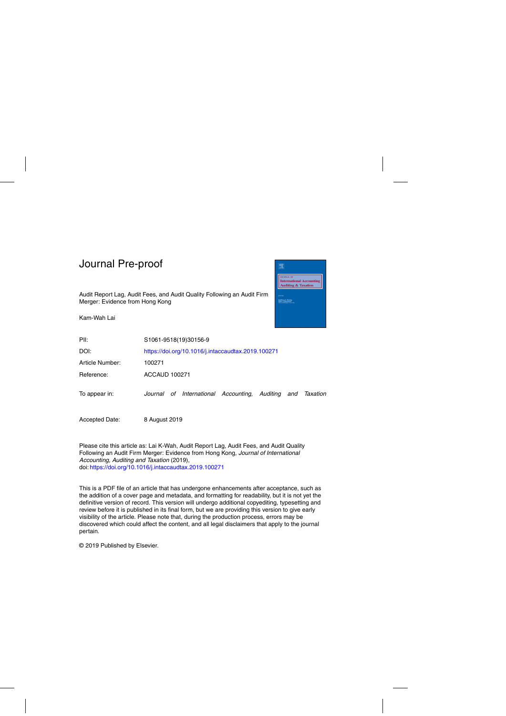Audit Report Lag, Audit Fees, and Audit Quality Following an Audit Firm Merger: Evidence from Hong Kong

Kam-Wah Lai



| PII:            | S1061-9518(19)30156-9                                            |  |  |  |  |  |  |  |
|-----------------|------------------------------------------------------------------|--|--|--|--|--|--|--|
| DOI:            | https://doi.org/10.1016/j.intaccaudtax.2019.100271               |  |  |  |  |  |  |  |
| Article Number: | 100271                                                           |  |  |  |  |  |  |  |
| Reference:      | <b>ACCAUD 100271</b>                                             |  |  |  |  |  |  |  |
| To appear in:   | Journal of International Accounting, Auditing<br>and<br>Taxation |  |  |  |  |  |  |  |
| Accepted Date:  | 8 August 2019                                                    |  |  |  |  |  |  |  |

Please cite this article as: Lai K-Wah, Audit Report Lag, Audit Fees, and Audit Quality Following an Audit Firm Merger: Evidence from Hong Kong, Journal of International Accounting, Auditing and Taxation (2019), doi: <https://doi.org/10.1016/j.intaccaudtax.2019.100271>

This is a PDF file of an article that has undergone enhancements after acceptance, such as the addition of a cover page and metadata, and formatting for readability, but it is not yet the definitive version of record. This version will undergo additional copyediting, typesetting and review before it is published in its final form, but we are providing this version to give early visibility of the article. Please note that, during the production process, errors may be discovered which could affect the content, and all legal disclaimers that apply to the journal pertain.

© 2019 Published by Elsevier.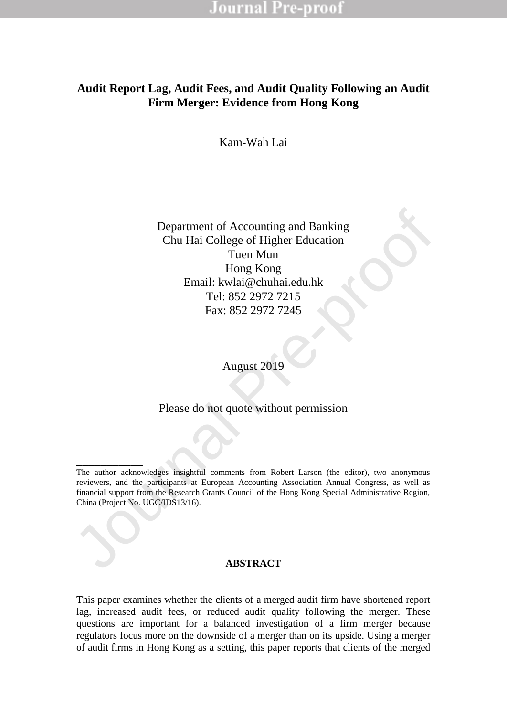## **Audit Report Lag, Audit Fees, and Audit Quality Following an Audit Firm Merger: Evidence from Hong Kong**

Kam-Wah Lai

Department of Accounting and Banking<br>
Chu Hai Colloge of Higher Education<br>
Tuen Mun<br>
Hong Kong<br>
Email: Wali@chuhai.edu.hk<br>
Tel: 852 2972 7215<br>
Fax: 852 2972 7245<br>
August 2019<br>
Please do not quote without permission<br>
The au Department of Accounting and Banking Chu Hai College of Higher Education Tuen Mun Hong Kong Email: kwlai@chuhai.edu.hk Tel: 852 2972 7215 Fax: 852 2972 7245

August 2019

Please do not quote without permission

**\_\_\_\_\_\_\_\_\_\_\_**

#### **ABSTRACT**

This paper examines whether the clients of a merged audit firm have shortened report lag, increased audit fees, or reduced audit quality following the merger. These questions are important for a balanced investigation of a firm merger because regulators focus more on the downside of a merger than on its upside. Using a merger of audit firms in Hong Kong as a setting, this paper reports that clients of the merged

The author acknowledges insightful comments from Robert Larson (the editor), two anonymous reviewers, and the participants at European Accounting Association Annual Congress, as well as financial support from the Research Grants Council of the Hong Kong Special Administrative Region, China (Project No. UGC/IDS13/16).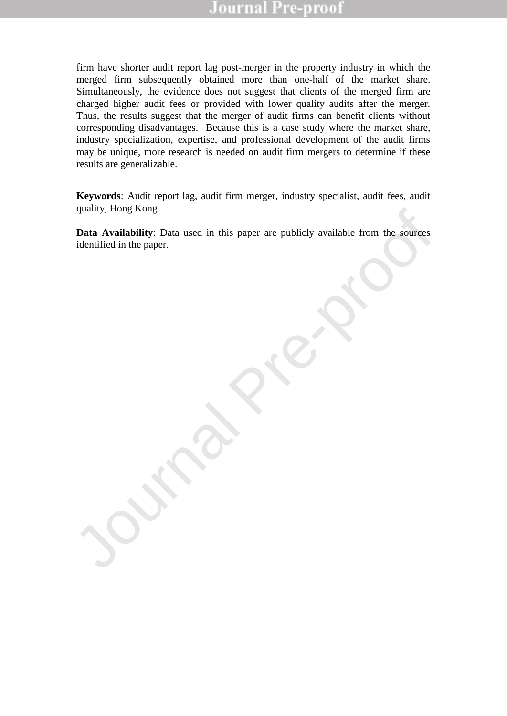firm have shorter audit report lag post-merger in the property industry in which the merged firm subsequently obtained more than one-half of the market share. Simultaneously, the evidence does not suggest that clients of the merged firm are charged higher audit fees or provided with lower quality audits after the merger. Thus, the results suggest that the merger of audit firms can benefit clients without corresponding disadvantages. Because this is a case study where the market share, industry specialization, expertise, and professional development of the audit firms may be unique, more research is needed on audit firm mergers to determine if these results are generalizable.

**Keywords**: Audit report lag, audit firm merger, industry specialist, audit fees, audit quality, Hong Kong

quanty, riong Rong<br>Data Availability: Data used in this paper are publicly available from the sources<br>identified in the paper. **Data Availability**: Data used in this paper are publicly available from the sources identified in the paper.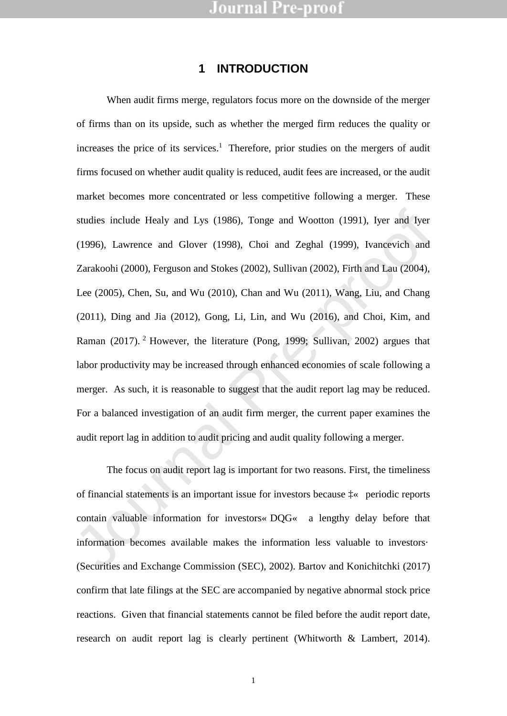### **1 INTRODUCTION**

studies include Healy and Lys (1986), Tonge and Wootton (1991), Iyer and Iyer (1996), Lawrence and Glover (1998), Choi and Zeghal (1999), Ivancevich and Zarakoohi (2000), Ferguson and Stokes (2002), Sullivan (2002), Firth When audit firms merge, regulators focus more on the downside of the merger of firms than on its upside, such as whether the merged firm reduces the quality or increases the price of its services.<sup>1</sup> Therefore, prior studies on the mergers of audit firms focused on whether audit quality is reduced, audit fees are increased, or the audit market becomes more concentrated or less competitive following a merger. These studies include Healy and Lys (1986), Tonge and Wootton (1991), Iyer and Iyer (1996), Lawrence and Glover (1998), Choi and Zeghal (1999), Ivancevich and Zarakoohi (2000), Ferguson and Stokes (2002), Sullivan (2002), Firth and Lau (2004), Lee (2005), Chen, Su, and Wu (2010), Chan and Wu (2011), Wang, Liu, and Chang (2011), Ding and Jia (2012), Gong, Li, Lin, and Wu (2016), and Choi, Kim, and Raman (2017). <sup>2</sup> However, the literature (Pong, 1999; Sullivan, 2002) argues that labor productivity may be increased through enhanced economies of scale following a merger. As such, it is reasonable to suggest that the audit report lag may be reduced. For a balanced investigation of an audit firm merger, the current paper examines the audit report lag in addition to audit pricing and audit quality following a merger.

The focus on audit report lag is important for two reasons. First, the timeliness of financial statements is an important issue for investors because  $\frac{1}{2}$  periodic reports contain valuable information for investors  $\overline{D}OG$  a lengthy delay before that information becomes available makes the information less valuable to investors´ (Securities and Exchange Commission (SEC), 2002). Bartov and Konichitchki (2017) confirm that late filings at the SEC are accompanied by negative abnormal stock price reactions. Given that financial statements cannot be filed before the audit report date, research on audit report lag is clearly pertinent (Whitworth & Lambert, 2014).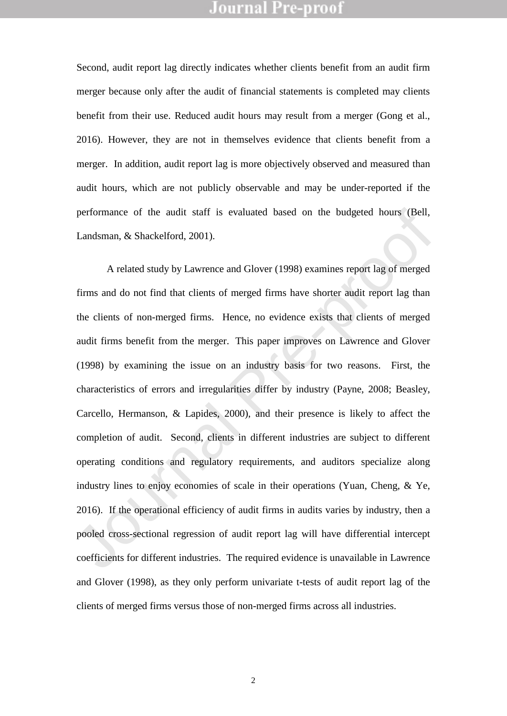Second, audit report lag directly indicates whether clients benefit from an audit firm merger because only after the audit of financial statements is completed may clients benefit from their use. Reduced audit hours may result from a merger (Gong et al., 2016). However, they are not in themselves evidence that clients benefit from a merger. In addition, audit report lag is more objectively observed and measured than audit hours, which are not publicly observable and may be under-reported if the performance of the audit staff is evaluated based on the budgeted hours (Bell, Landsman, & Shackelford, 2001).

performance of the audit staff is evaluated based on the budgeted hours (Bell, Landsman, & Shackelford, 2001).<br>
A related study by Lawrence and Glover (1998) examines report lag of merged<br>
firms and do not find that client A related study by Lawrence and Glover (1998) examines report lag of merged firms and do not find that clients of merged firms have shorter audit report lag than the clients of non-merged firms. Hence, no evidence exists that clients of merged audit firms benefit from the merger. This paper improves on Lawrence and Glover (1998) by examining the issue on an industry basis for two reasons. First, the characteristics of errors and irregularities differ by industry (Payne, 2008; Beasley, Carcello, Hermanson, & Lapides, 2000), and their presence is likely to affect the completion of audit. Second, clients in different industries are subject to different operating conditions and regulatory requirements, and auditors specialize along industry lines to enjoy economies of scale in their operations (Yuan, Cheng, & Ye, 2016). If the operational efficiency of audit firms in audits varies by industry, then a pooled cross-sectional regression of audit report lag will have differential intercept coefficients for different industries. The required evidence is unavailable in Lawrence and Glover (1998), as they only perform univariate t-tests of audit report lag of the clients of merged firms versus those of non-merged firms across all industries.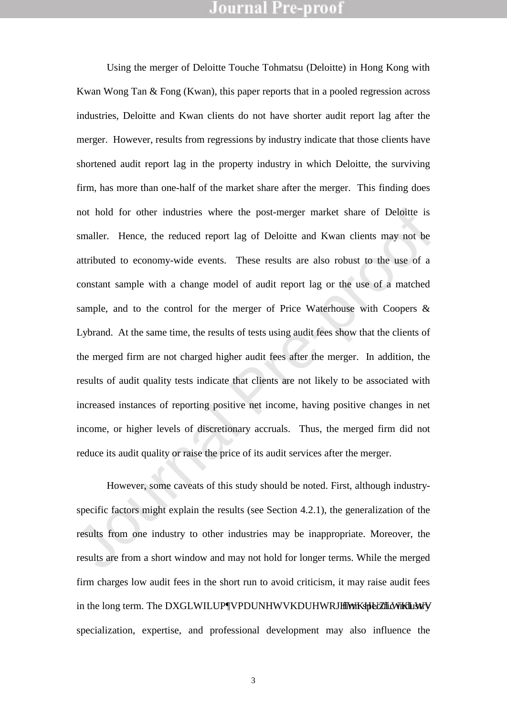not hold for other industries where the post-merger market share of Deloitte is<br>smaller. Hence, the reduced report lag of Deloitte and Kwan clients may not be<br>attributed to economy-wide events. These results are also robus Using the merger of Deloitte Touche Tohmatsu (Deloitte) in Hong Kong with Kwan Wong Tan & Fong (Kwan), this paper reports that in a pooled regression across industries, Deloitte and Kwan clients do not have shorter audit report lag after the merger. However, results from regressions by industry indicate that those clients have shortened audit report lag in the property industry in which Deloitte, the surviving firm, has more than one-half of the market share after the merger. This finding does not hold for other industries where the post-merger market share of Deloitte is smaller. Hence, the reduced report lag of Deloitte and Kwan clients may not be attributed to economy-wide events. These results are also robust to the use of a constant sample with a change model of audit report lag or the use of a matched sample, and to the control for the merger of Price Waterhouse with Coopers & Lybrand. At the same time, the results of tests using audit fees show that the clients of the merged firm are not charged higher audit fees after the merger. In addition, the results of audit quality tests indicate that clients are not likely to be associated with increased instances of reporting positive net income, having positive changes in net income, or higher levels of discretionary accruals. Thus, the merged firm did not reduce its audit quality or raise the price of its audit services after the merger.

However, some caveats of this study should be noted. First, although industryspecific factors might explain the results (see Section 4.2.1), the generalization of the results from one industry to other industries may be inappropriate. Moreover, the results are from a short window and may not hold for longer terms. While the merged firm charges low audit fees in the short run to avoid criticism, it may raise audit fees in the long term. The DXGLWILUPWPDUNHWVKDUHWRJHWKHpEZIfNKHUWWY specialization, expertise, and professional development may also influence the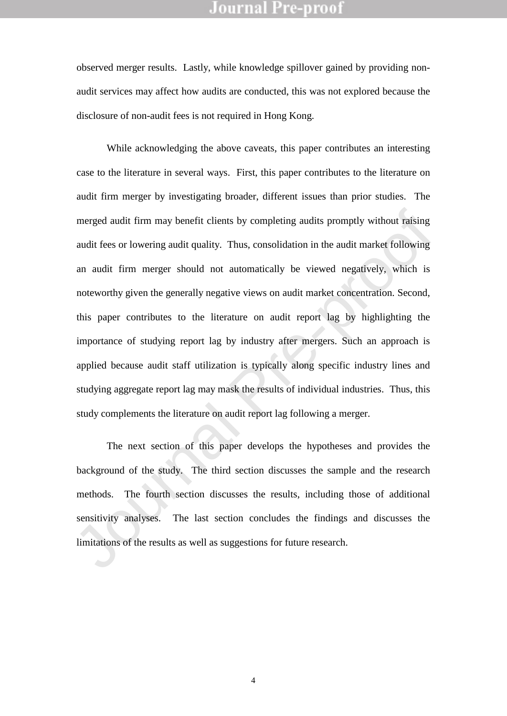observed merger results. Lastly, while knowledge spillover gained by providing nonaudit services may affect how audits are conducted, this was not explored because the disclosure of non-audit fees is not required in Hong Kong.

merged audit firm may benefit clients by completing audits promptly without raising<br>audit fees or lowering audit quality. Thus, consolidation in the audit market following<br>an audit firm merger should not automatically be v While acknowledging the above caveats, this paper contributes an interesting case to the literature in several ways. First, this paper contributes to the literature on audit firm merger by investigating broader, different issues than prior studies. The merged audit firm may benefit clients by completing audits promptly without raising audit fees or lowering audit quality. Thus, consolidation in the audit market following an audit firm merger should not automatically be viewed negatively, which is noteworthy given the generally negative views on audit market concentration. Second, this paper contributes to the literature on audit report lag by highlighting the importance of studying report lag by industry after mergers. Such an approach is applied because audit staff utilization is typically along specific industry lines and studying aggregate report lag may mask the results of individual industries. Thus, this study complements the literature on audit report lag following a merger.

The next section of this paper develops the hypotheses and provides the background of the study. The third section discusses the sample and the research methods. The fourth section discusses the results, including those of additional sensitivity analyses. The last section concludes the findings and discusses the limitations of the results as well as suggestions for future research.

4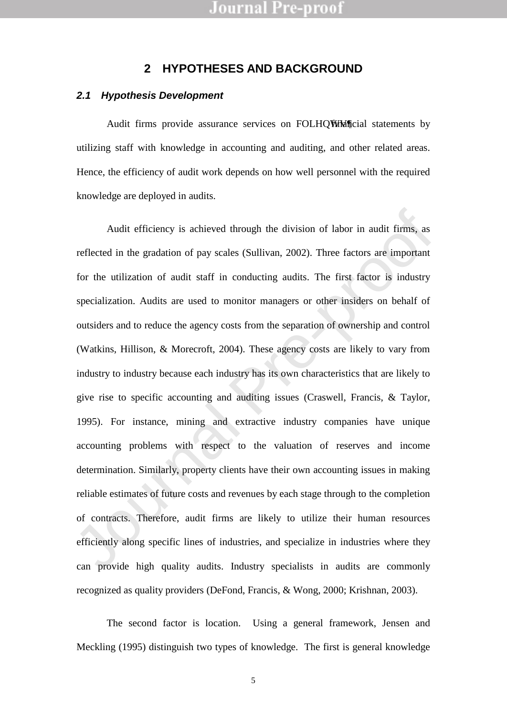### **2 HYPOTHESES AND BACKGROUND**

#### *2.1 Hypothesis Development*

Audit firms provide assurance services on FOLHQWMM ficial statements by utilizing staff with knowledge in accounting and auditing, and other related areas. Hence, the efficiency of audit work depends on how well personnel with the required knowledge are deployed in audits.

Audit efficiency is achieved through the division of labor in audit firms, as<br>reflected in the gradation of pay scales (Sullivan, 2002). Three factors are important<br>for the utilization of audit staff in conducting audits. Audit efficiency is achieved through the division of labor in audit firms, as reflected in the gradation of pay scales (Sullivan, 2002). Three factors are important for the utilization of audit staff in conducting audits. The first factor is industry specialization. Audits are used to monitor managers or other insiders on behalf of outsiders and to reduce the agency costs from the separation of ownership and control (Watkins, Hillison, & Morecroft, 2004). These agency costs are likely to vary from industry to industry because each industry has its own characteristics that are likely to give rise to specific accounting and auditing issues (Craswell, Francis, & Taylor, 1995). For instance, mining and extractive industry companies have unique accounting problems with respect to the valuation of reserves and income determination. Similarly, property clients have their own accounting issues in making reliable estimates of future costs and revenues by each stage through to the completion of contracts. Therefore, audit firms are likely to utilize their human resources efficiently along specific lines of industries, and specialize in industries where they can provide high quality audits. Industry specialists in audits are commonly recognized as quality providers (DeFond, Francis, & Wong, 2000; Krishnan, 2003).

The second factor is location. Using a general framework, Jensen and Meckling (1995) distinguish two types of knowledge. The first is general knowledge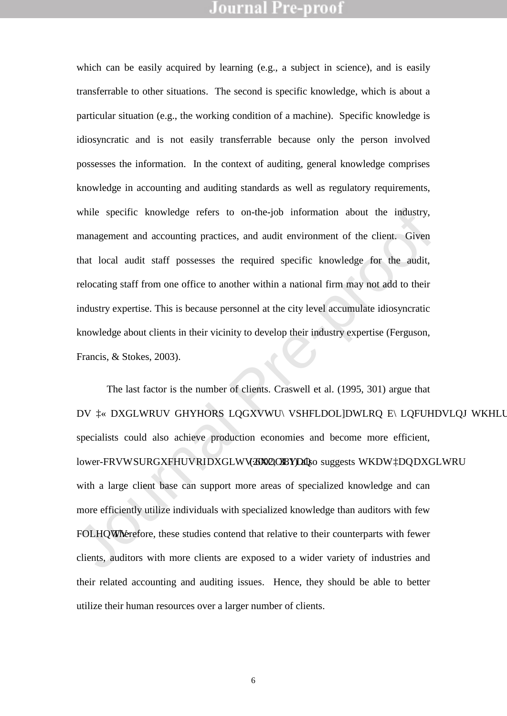which can be easily acquired by learning (e.g., a subject in science), and is easily transferrable to other situations. The second is specific knowledge, which is about a particular situation (e.g., the working condition of a machine). Specific knowledge is idiosyncratic and is not easily transferrable because only the person involved possesses the information. In the context of auditing, general knowledge comprises knowledge in accounting and auditing standards as well as regulatory requirements, while specific knowledge refers to on-the-job information about the industry, management and accounting practices, and audit environment of the client. Given that local audit staff possesses the required specific knowledge for the audit, relocating staff from one office to another within a national firm may not add to their industry expertise. This is because personnel at the city level accumulate idiosyncratic knowledge about clients in their vicinity to develop their industry expertise (Ferguson, Francis, & Stokes, 2003).

while specific knowledge refers to on-the-job information about the industry,<br>management and accounting practices, and audit environment of the client. Given<br>that local audit staff possesses the required specific knowledge The last factor is the number of clients. Craswell et al. (1995, 301) argue that DV &DXGLWRUV GHYHORS LQGXVWU\ VSHFLDOLDWLRQ E\LQFUHDVLQJ WKHLU FC specialists could also achieve production economies and become more efficient, lower-FRVWSURGXFHUVRIDXGLWV@XOOSMDQso suggests WKDWDQDXGLWRU with a large client base can support more areas of specialized knowledge and can more efficiently utilize individuals with specialized knowledge than auditors with few FOLHQWN Exercise studies contend that relative to their counterparts with fewer clients, auditors with more clients are exposed to a wider variety of industries and their related accounting and auditing issues. Hence, they should be able to better utilize their human resources over a larger number of clients.

6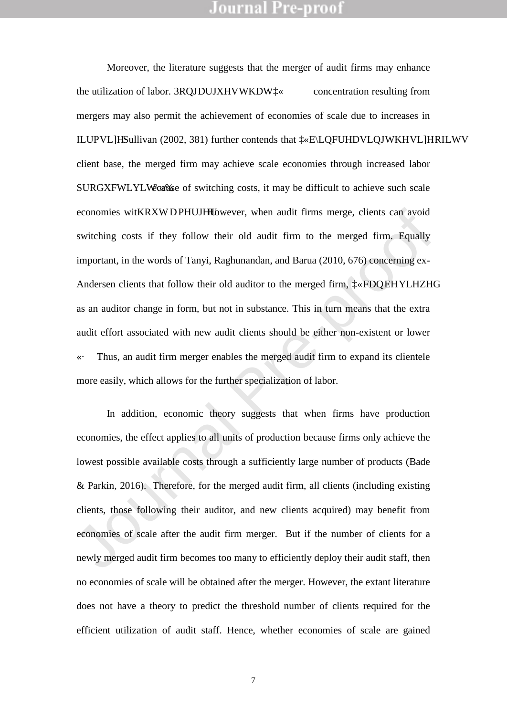economies witkRXWDPHUJHHbwever, when audit firms merge, clients can avoid<br>switching costs if they follow their old audit firm to the merged firm, Equally<br>important, in the words of Tanyi, Raghunandan, and Barua (2010, 676 Moreover, the literature suggests that the merger of audit firms may enhance the utilization of labor. 3ROJDUJXHVWKDW $\&$  concentration resulting from mergers may also permit the achievement of economies of scale due to increases in ILUPVLH Sullivan (2002, 381) further contends that <sup>3</sup> ELQFUHDVLQJWKHVLHRILWV client base, the merged firm may achieve scale economies through increased labor SURGXFWLYLW\& ause of switching costs, it may be difficult to achieve such scale economies witKRXWDPHUJHU<sub>W</sub>wever, when audit firms merge, clients can avoid switching costs if they follow their old audit firm to the merged firm. Equally important, in the words of Tanyi, Raghunandan, and Barua (2010, 676) concerning ex-Andersen clients that follow their old auditor to the merged firm,  $FDOEHYLHZHG$ as an auditor change in form, but not in substance. This in turn means that the extra audit effort associated with new audit clients should be either non-existent or lower «´ Thus, an audit firm merger enables the merged audit firm to expand its clientele more easily, which allows for the further specialization of labor.

In addition, economic theory suggests that when firms have production economies, the effect applies to all units of production because firms only achieve the lowest possible available costs through a sufficiently large number of products (Bade & Parkin, 2016). Therefore, for the merged audit firm, all clients (including existing clients, those following their auditor, and new clients acquired) may benefit from economies of scale after the audit firm merger. But if the number of clients for a newly merged audit firm becomes too many to efficiently deploy their audit staff, then no economies of scale will be obtained after the merger. However, the extant literature does not have a theory to predict the threshold number of clients required for the efficient utilization of audit staff. Hence, whether economies of scale are gained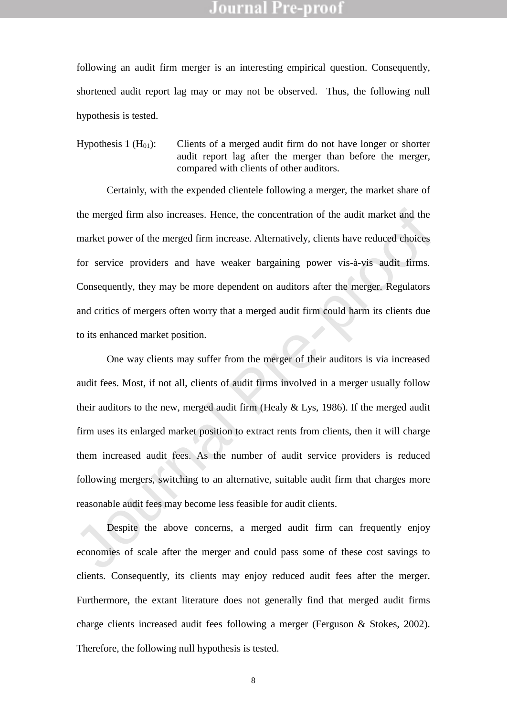following an audit firm merger is an interesting empirical question. Consequently, shortened audit report lag may or may not be observed. Thus, the following null hypothesis is tested.

Hypothesis 1  $(H<sub>01</sub>)$ : Clients of a merged audit firm do not have longer or shorter audit report lag after the merger than before the merger, compared with clients of other auditors.

Certainly, with the expended clientele following a merger, the market share of the merged firm also increases. Hence, the concentration of the audit market and the market power of the merged firm increase. Alternatively, clients have reduced choices for service providers and have weaker bargaining power vis-à-vis audit firms. Consequently, they may be more dependent on auditors after the merger. Regulators and critics of mergers often worry that a merged audit firm could harm its clients due to its enhanced market position.

the merged firm also increases. Hence, the concentration of the audit market and the market power of the merged firm increase. Alternatively, clients have reduced choices for service providers and have weaker bargaining po One way clients may suffer from the merger of their auditors is via increased audit fees. Most, if not all, clients of audit firms involved in a merger usually follow their auditors to the new, merged audit firm (Healy  $&$  Lys, 1986). If the merged audit firm uses its enlarged market position to extract rents from clients, then it will charge them increased audit fees. As the number of audit service providers is reduced following mergers, switching to an alternative, suitable audit firm that charges more reasonable audit fees may become less feasible for audit clients.

Despite the above concerns, a merged audit firm can frequently enjoy economies of scale after the merger and could pass some of these cost savings to clients. Consequently, its clients may enjoy reduced audit fees after the merger. Furthermore, the extant literature does not generally find that merged audit firms charge clients increased audit fees following a merger (Ferguson & Stokes, 2002). Therefore, the following null hypothesis is tested.

8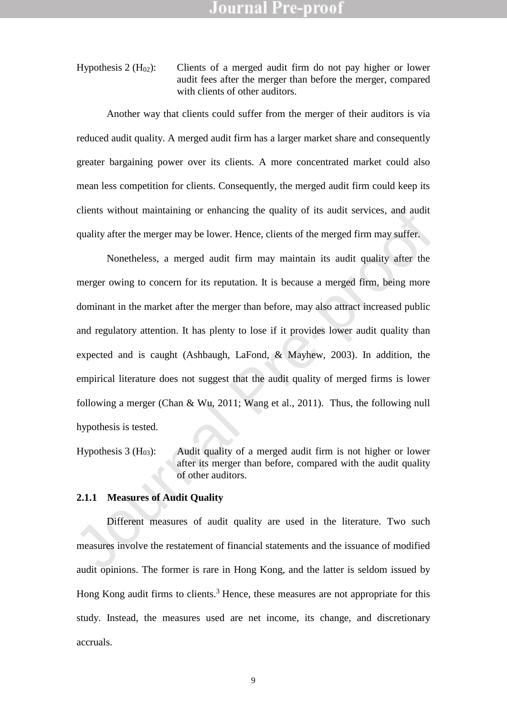Hypothesis 2 ( $H_{02}$ ): Clients of a merged audit firm do not pay higher or lower audit fees after the merger than before the merger, compared with clients of other auditors.

Another way that clients could suffer from the merger of their auditors is via reduced audit quality. A merged audit firm has a larger market share and consequently greater bargaining power over its clients. A more concentrated market could also mean less competition for clients. Consequently, the merged audit firm could keep its clients without maintaining or enhancing the quality of its audit services, and audit quality after the merger may be lower. Hence, clients of the merged firm may suffer.

clients without maintaining or enhancing the quality of its audit services, and audit quality after the merger may be lower. Hence, clients of the merged firm may suffer.<br>
Nonetheless, a merged audit firm may maintain its Nonetheless, a merged audit firm may maintain its audit quality after the merger owing to concern for its reputation. It is because a merged firm, being more dominant in the market after the merger than before, may also attract increased public and regulatory attention. It has plenty to lose if it provides lower audit quality than expected and is caught (Ashbaugh, LaFond, & Mayhew, 2003). In addition, the empirical literature does not suggest that the audit quality of merged firms is lower following a merger (Chan & Wu, 2011; Wang et al., 2011). Thus, the following null hypothesis is tested.

Hypothesis 3 ( $H_{03}$ ): Audit quality of a merged audit firm is not higher or lower after its merger than before, compared with the audit quality of other auditors.

#### **2.1.1 Measures of Audit Quality**

Different measures of audit quality are used in the literature. Two such measures involve the restatement of financial statements and the issuance of modified audit opinions. The former is rare in Hong Kong, and the latter is seldom issued by Hong Kong audit firms to clients.<sup>3</sup> Hence, these measures are not appropriate for this study. Instead, the measures used are net income, its change, and discretionary accruals.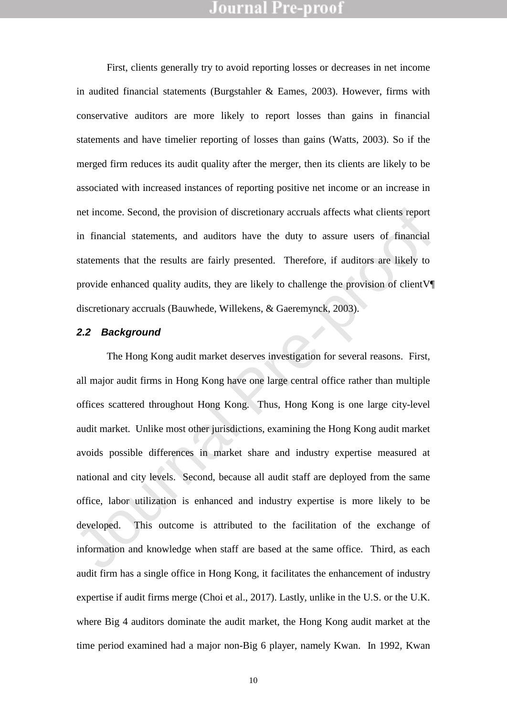First, clients generally try to avoid reporting losses or decreases in net income in audited financial statements (Burgstahler & Eames, 2003). However, firms with conservative auditors are more likely to report losses than gains in financial statements and have timelier reporting of losses than gains (Watts, 2003). So if the merged firm reduces its audit quality after the merger, then its clients are likely to be associated with increased instances of reporting positive net income or an increase in net income. Second, the provision of discretionary accruals affects what clients report in financial statements, and auditors have the duty to assure users of financial statements that the results are fairly presented. Therefore, if auditors are likely to provide enhanced quality audits, they are likely to challenge the provision of clientV¶ discretionary accruals (Bauwhede, Willekens, & Gaeremynck, 2003).

#### *2.2 Background*

net income. Second, the provision of discretionary accruals affects what clients report<br>in financial statements, and auditors have the duty to assure users of financial<br>statements that the results are fairly presented. The The Hong Kong audit market deserves investigation for several reasons. First, all major audit firms in Hong Kong have one large central office rather than multiple offices scattered throughout Hong Kong. Thus, Hong Kong is one large city-level audit market. Unlike most other jurisdictions, examining the Hong Kong audit market avoids possible differences in market share and industry expertise measured at national and city levels. Second, because all audit staff are deployed from the same office, labor utilization is enhanced and industry expertise is more likely to be developed. This outcome is attributed to the facilitation of the exchange of information and knowledge when staff are based at the same office. Third, as each audit firm has a single office in Hong Kong, it facilitates the enhancement of industry expertise if audit firms merge (Choi et al., 2017). Lastly, unlike in the U.S. or the U.K. where Big 4 auditors dominate the audit market, the Hong Kong audit market at the time period examined had a major non-Big 6 player, namely Kwan. In 1992, Kwan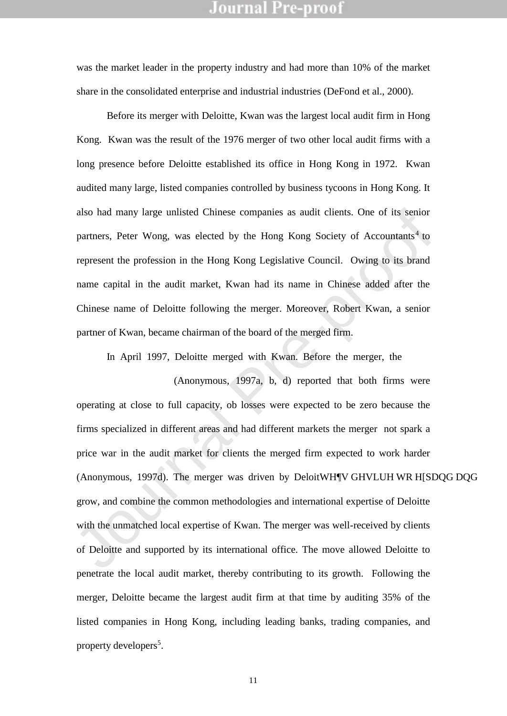was the market leader in the property industry and had more than 10% of the market share in the consolidated enterprise and industrial industries (DeFond et al., 2000).

Before its merger with Deloitte, Kwan was the largest local audit firm in Hong Kong. Kwan was the result of the 1976 merger of two other local audit firms with a long presence before Deloitte established its office in Hong Kong in 1972. Kwan audited many large, listed companies controlled by business tycoons in Hong Kong. It also had many large unlisted Chinese companies as audit clients. One of its senior partners, Peter Wong, was elected by the Hong Kong Society of Accountants<sup>4</sup> to represent the profession in the Hong Kong Legislative Council. Owing to its brand name capital in the audit market, Kwan had its name in Chinese added after the Chinese name of Deloitte following the merger. Moreover, Robert Kwan, a senior partner of Kwan, became chairman of the board of the merged firm.

also had many large unlisted Chinese companies as audit clients. One of its senior<br>partners, Peter Wong, was elected by the Hong Kong Society of Accountants<sup>4</sup> to<br>represent the profession in the Hong Kong Legislative Counc In April 1997, Deloitte merged with Kwan. Before the merger, the South China Morning Post(Anonymous, 1997a, b, d) reported that both firms were operating at close to full capacity, ob losses were expected to be zero because the firms specialized in different areas and had different markets the merger not spark a price war in the audit market for clients the merged firm expected to work harder (Anonymous, 1997d). The merger was driven by DeloitWHY GHVLUH WR H§DQG DQG grow, and combine the common methodologies and international expertise of Deloitte with the unmatched local expertise of Kwan. The merger was well-received by clients of Deloitte and supported by its international office. The move allowed Deloitte to penetrate the local audit market, thereby contributing to its growth. Following the merger, Deloitte became the largest audit firm at that time by auditing 35% of the listed companies in Hong Kong, including leading banks, trading companies, and property developers<sup>5</sup>.

11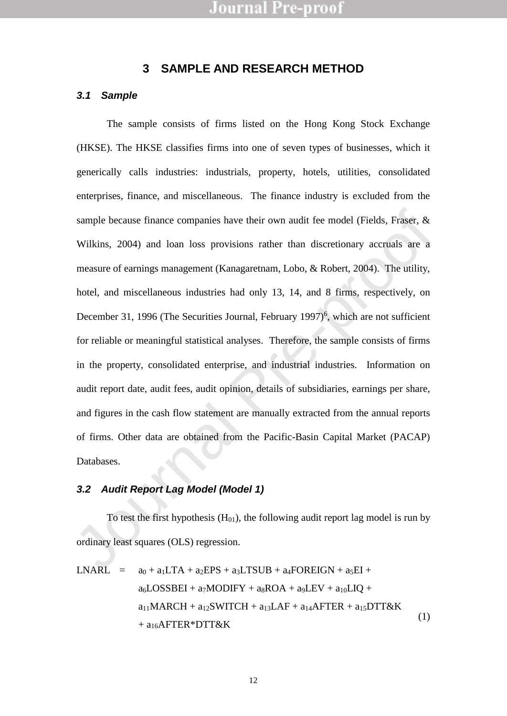## **3 SAMPLE AND RESEARCH METHOD**

#### *3.1 Sample*

sample because finance companies have their own audit fee model (Fields, Fraser, & Wilkins, 2004) and loan loss provisions rather than discretionary accruals are a measure of earnings management (Kanagaretnam, Lobo, & Rob The sample consists of firms listed on the Hong Kong Stock Exchange (HKSE). The HKSE classifies firms into one of seven types of businesses, which it generically calls industries: industrials, property, hotels, utilities, consolidated enterprises, finance, and miscellaneous. The finance industry is excluded from the sample because finance companies have their own audit fee model (Fields, Fraser, & Wilkins, 2004) and loan loss provisions rather than discretionary accruals are a measure of earnings management (Kanagaretnam, Lobo, & Robert, 2004). The utility, hotel, and miscellaneous industries had only 13, 14, and 8 firms, respectively, on December 31, 1996 (The Securities Journal, February 1997)<sup>6</sup>, which are not sufficient for reliable or meaningful statistical analyses. Therefore, the sample consists of firms in the property, consolidated enterprise, and industrial industries. Information on audit report date, audit fees, audit opinion, details of subsidiaries, earnings per share, and figures in the cash flow statement are manually extracted from the annual reports of firms. Other data are obtained from the Pacific-Basin Capital Market (PACAP) Databases.

### *3.2 Audit Report Lag Model (Model 1)*

To test the first hypothesis  $(H<sub>01</sub>)$ , the following audit report lag model is run by ordinary least squares (OLS) regression.

$$
LNARL = a_0 + a_1LTA + a_2EPS + a_3LTSUB + a_4FOREIGN + a_5EI +a_6LOSSBEI + a_7MODIFY + a_8ROA + a_9LEV + a_{10}LIQ +a_{11}MARCH + a_{12}SWITCH + a_{13}LAF + a_{14}AFFTER + a_{15}DTT&K+ a_{16}AFFTER*DTT&K
$$
\n(1)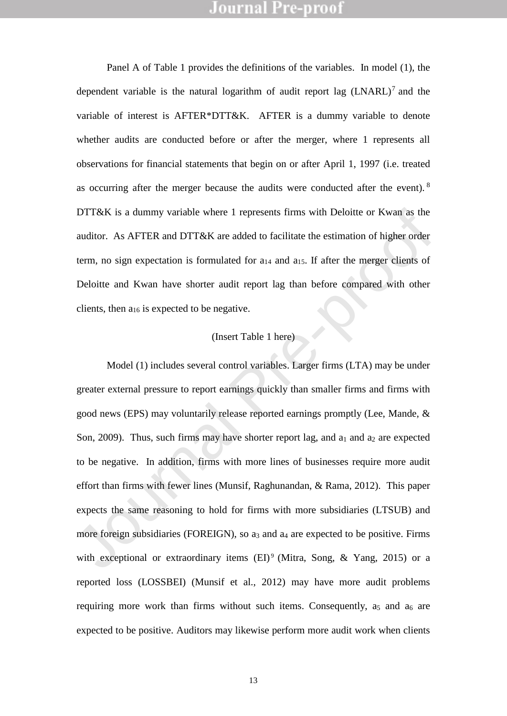Panel A of Table 1 provides the definitions of the variables. In model (1), the dependent variable is the natural logarithm of audit report lag  $(LNARL)^7$  and the variable of interest is AFTER\*DTT&K. AFTER is a dummy variable to denote whether audits are conducted before or after the merger, where 1 represents all observations for financial statements that begin on or after April 1, 1997 (i.e. treated as occurring after the merger because the audits were conducted after the event). <sup>8</sup> DTT&K is a dummy variable where 1 represents firms with Deloitte or Kwan as the auditor. As AFTER and DTT&K are added to facilitate the estimation of higher order term, no sign expectation is formulated for  $a_{14}$  and  $a_{15}$ . If after the merger clients of Deloitte and Kwan have shorter audit report lag than before compared with other clients, then a<sup>16</sup> is expected to be negative.

### (Insert Table 1 here)

1917&K is a dummy variable where 1 represents firms with Deloitte or Kwan as the<br>auditor. As AFTER and DIT&K are added to facilitate the estimation of higher order<br>term, no sign expectation is formulated for a<sub>14</sub> and a<sub>15</sub> Model (1) includes several control variables. Larger firms (LTA) may be under greater external pressure to report earnings quickly than smaller firms and firms with good news (EPS) may voluntarily release reported earnings promptly (Lee, Mande, & Son, 2009). Thus, such firms may have shorter report lag, and  $a_1$  and  $a_2$  are expected to be negative. In addition, firms with more lines of businesses require more audit effort than firms with fewer lines (Munsif, Raghunandan, & Rama, 2012). This paper expects the same reasoning to hold for firms with more subsidiaries (LTSUB) and more foreign subsidiaries (FOREIGN), so a<sup>3</sup> and a<sup>4</sup> are expected to be positive. Firms with exceptional or extraordinary items  $(EI)^9$  (Mitra, Song, & Yang, 2015) or a reported loss (LOSSBEI) (Munsif et al., 2012) may have more audit problems requiring more work than firms without such items. Consequently,  $a_5$  and  $a_6$  are expected to be positive. Auditors may likewise perform more audit work when clients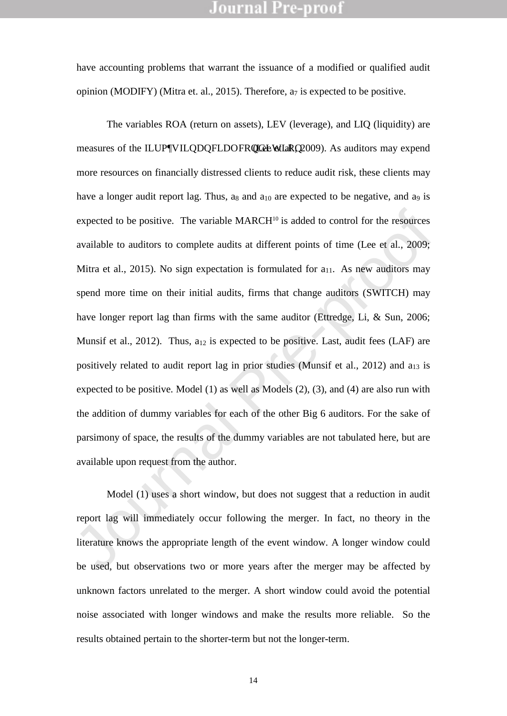have accounting problems that warrant the issuance of a modified or qualified audit opinion (MODIFY) (Mitra et. al., 2015). Therefore, a<sup>7</sup> is expected to be positive.

expected to be positive. The variable MARCH<sup>10</sup> is added to control for the resources<br>available to auditors to complete audits at different points of time (Lee et al., 2009;<br>Mira et al., 2015). No sign expectation is form The variables ROA (return on assets), LEV (leverage), and LIQ (liquidity) are measures of the ILUPWILQDQFLDOFRQGLENELRIQ 2009). As auditors may expend more resources on financially distressed clients to reduce audit risk, these clients may have a longer audit report lag. Thus, as and  $a_{10}$  are expected to be negative, and  $a_9$  is expected to be positive. The variable  $MARCH^{10}$  is added to control for the resources available to auditors to complete audits at different points of time (Lee et al., 2009; Mitra et al., 2015). No sign expectation is formulated for  $a_{11}$ . As new auditors may spend more time on their initial audits, firms that change auditors (SWITCH) may have longer report lag than firms with the same auditor (Ettredge, Li, & Sun, 2006; Munsif et al., 2012). Thus,  $a_{12}$  is expected to be positive. Last, audit fees (LAF) are positively related to audit report lag in prior studies (Munsif et al., 2012) and a<sub>13</sub> is expected to be positive. Model (1) as well as Models (2), (3), and (4) are also run with the addition of dummy variables for each of the other Big 6 auditors. For the sake of parsimony of space, the results of the dummy variables are not tabulated here, but are available upon request from the author.

Model (1) uses a short window, but does not suggest that a reduction in audit report lag will immediately occur following the merger. In fact, no theory in the literature knows the appropriate length of the event window. A longer window could be used, but observations two or more years after the merger may be affected by unknown factors unrelated to the merger. A short window could avoid the potential noise associated with longer windows and make the results more reliable. So the results obtained pertain to the shorter-term but not the longer-term.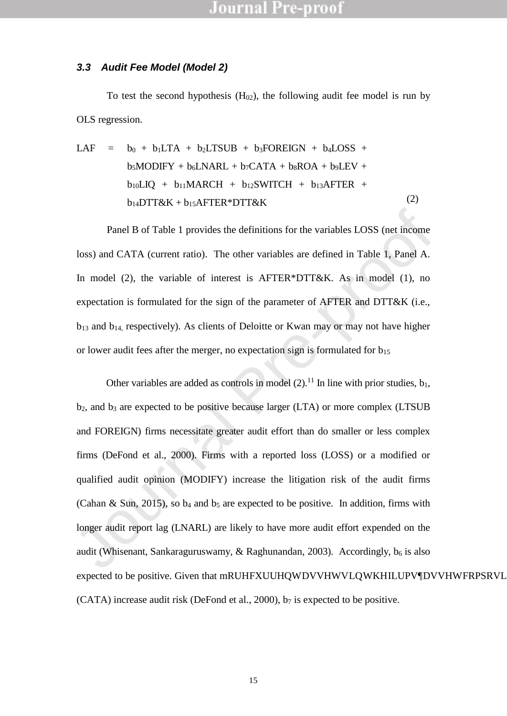#### *3.3 Audit Fee Model (Model 2)*

To test the second hypothesis  $(H<sub>02</sub>)$ , the following audit fee model is run by OLS regression.

LAF = 
$$
b_0 + b_1LTA + b_2LTSUB + b_3FOREIGN + b_4LOSS + b_5MODIFY + b_6LNARL + b_7CATA + b_8ROA + b_9LEV + b_{10}LIQ + b_{11}MARCH + b_{12}SWITCH + b_{13}AFFTER + b_{14}DTT&K + b_{15}AFFTER*DTT&K
$$

\n(2)

Panel B of Table 1 provides the definitions for the variables LOSS (net income loss) and CATA (current ratio). The other variables are defined in Table 1, Panel A. In model (2), the variable of interest is AFTER\*DTT&K. As in model (1), no expectation is formulated for the sign of the parameter of AFTER and DTT&K (i.e.,  $b_{13}$  and  $b_{14}$ , respectively). As clients of Deloitte or Kwan may or may not have higher or lower audit fees after the merger, no expectation sign is formulated for  $b_{15}$ 

Panel B of Table 1 provides the definitions for the variables LOSS (net income<br>loss) and CATA (current ratio). The other variables are defined in Table 1, Panel A.<br>In model (2), the variable of interest is AFTER\*DTT&K. As Other variables are added as controls in model  $(2)$ .<sup>11</sup> In line with prior studies,  $b_1$ , b2, and b<sup>3</sup> are expected to be positive because larger (LTA) or more complex (LTSUB and FOREIGN) firms necessitate greater audit effort than do smaller or less complex firms (DeFond et al., 2000). Firms with a reported loss (LOSS) or a modified or qualified audit opinion (MODIFY) increase the litigation risk of the audit firms (Cahan & Sun, 2015), so  $b_4$  and  $b_5$  are expected to be positive. In addition, firms with longer audit report lag (LNARL) are likely to have more audit effort expended on the audit (Whisenant, Sankaraguruswamy, & Raghunandan, 2003). Accordingly,  $b_6$  is also expected to be positive. Given that mRUHFXUUHQWDVVHWVLQWKHILUPVDVVHWFRPSRVLV (CATA) increase audit risk (DeFond et al., 2000),  $b_7$  is expected to be positive.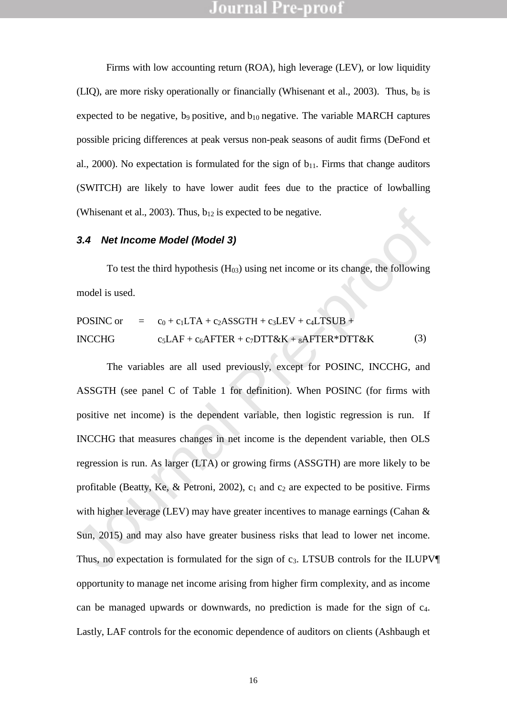Firms with low accounting return (ROA), high leverage (LEV), or low liquidity (LIQ), are more risky operationally or financially (Whisenant et al., 2003). Thus, b<sub>8</sub> is expected to be negative, b<sub>9</sub> positive, and  $b_{10}$  negative. The variable MARCH captures possible pricing differences at peak versus non-peak seasons of audit firms (DeFond et al., 2000). No expectation is formulated for the sign of  $b_{11}$ . Firms that change auditors (SWITCH) are likely to have lower audit fees due to the practice of lowballing (Whisenant et al., 2003). Thus,  $b_{12}$  is expected to be negative.

### *3.4 Net Income Model (Model 3)*

To test the third hypothesis  $(H<sub>03</sub>)$  using net income or its change, the following model is used.

POSINC or

\n
$$
= c_0 + c_1 LTA + c_2 ASSOTH + c_3 LEV + c_4 LTSUB + c_5 LAF + c_6 A FTER + c_7 DTT \& K + s A FTER * DTT \& K
$$
\n(3)

(Whisenant et al., 2003). Thus, b<sub>12</sub> is expected to be negative.<br>
3.4 **Net Income Model (Model 3)**<br>
To test the third hypothesis (H<sub>03</sub>) using net income or its change, the following<br>
model is used.<br>
POSINC or = c<sub>0</sub> + c The variables are all used previously, except for POSINC, INCCHG, and ASSGTH (see panel C of Table 1 for definition). When POSINC (for firms with positive net income) is the dependent variable, then logistic regression is run. If INCCHG that measures changes in net income is the dependent variable, then OLS regression is run. As larger (LTA) or growing firms (ASSGTH) are more likely to be profitable (Beatty, Ke, & Petroni, 2002),  $c_1$  and  $c_2$  are expected to be positive. Firms with higher leverage (LEV) may have greater incentives to manage earnings (Cahan & Sun, 2015) and may also have greater business risks that lead to lower net income. Thus, no expectation is formulated for the sign of c<sub>3</sub>. LTSUB controls for the ILUPV¶ opportunity to manage net income arising from higher firm complexity, and as income can be managed upwards or downwards, no prediction is made for the sign of c4. Lastly, LAF controls for the economic dependence of auditors on clients (Ashbaugh et

16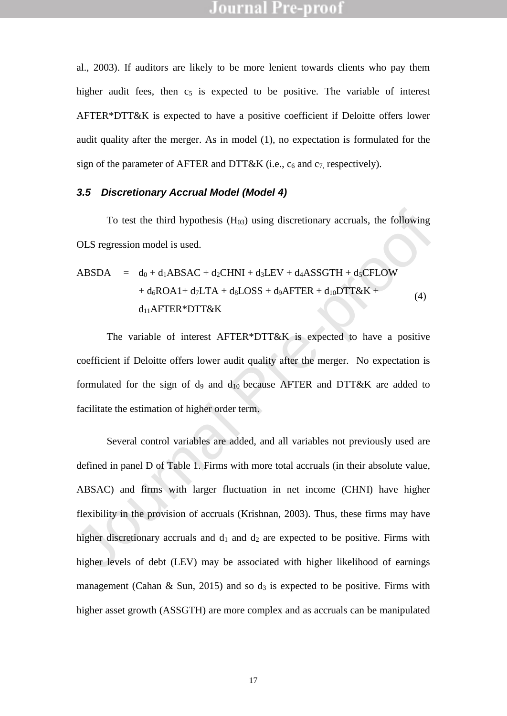al., 2003). If auditors are likely to be more lenient towards clients who pay them higher audit fees, then  $c<sub>5</sub>$  is expected to be positive. The variable of interest AFTER\*DTT&K is expected to have a positive coefficient if Deloitte offers lower audit quality after the merger. As in model (1), no expectation is formulated for the sign of the parameter of AFTER and DTT&K (i.e.,  $c_6$  and  $c_7$ , respectively).

### *3.5 Discretionary Accrual Model (Model 4)*

To test the third hypothesis  $(H<sub>03</sub>)$  using discretionary accruals, the following OLS regression model is used.

$$
ABSDA = d_0 + d_1ABSAC + d_2CHNI + d_3LEV + d_4ASSGTH + d_5CFLOW
$$
  
+  $d_6ROA1 + d_7LTA + d_8LOSS + d_9AFFTER + d_{10}DTT&K +$   
 $d_{11}AFFTER*DTT&K$  (4)

The variable of interest AFTER\*DTT&K is expected to have a positive coefficient if Deloitte offers lower audit quality after the merger. No expectation is formulated for the sign of d<sub>9</sub> and  $d_{10}$  because AFTER and DTT&K are added to facilitate the estimation of higher order term.

To test the third hypothesis  $(H_{08})$  using discretionary accruals, the following<br>
OLS regression model is used.<br>
ABSDA =  $d_0 + d_1ABSAC + d_2CHNI + d_2LEV + d_4ASSGTH + d_3CFLOW$ <br>  $+ d_6ROA1 + d_2LTA + d_5LOSS + d_9AFTER + d_{10}DTT&K +$ <br>  $d_4$ <br>
d<sub>14</sub>AFTER\* Several control variables are added, and all variables not previously used are defined in panel D of Table 1. Firms with more total accruals (in their absolute value, ABSAC) and firms with larger fluctuation in net income (CHNI) have higher flexibility in the provision of accruals (Krishnan, 2003). Thus, these firms may have higher discretionary accruals and  $d_1$  and  $d_2$  are expected to be positive. Firms with higher levels of debt (LEV) may be associated with higher likelihood of earnings management (Cahan & Sun, 2015) and so  $d_3$  is expected to be positive. Firms with higher asset growth (ASSGTH) are more complex and as accruals can be manipulated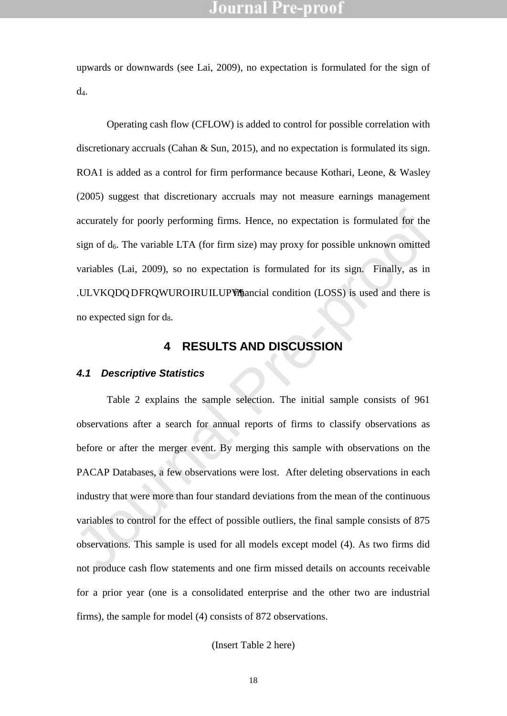upwards or downwards (see Lai, 2009), no expectation is formulated for the sign of d4.

Operating cash flow (CFLOW) is added to control for possible correlation with discretionary accruals (Cahan & Sun, 2015), and no expectation is formulated its sign. ROA1 is added as a control for firm performance because Kothari, Leone, & Wasley (2005) suggest that discretionary accruals may not measure earnings management accurately for poorly performing firms. Hence, no expectation is formulated for the sign of  $d_6$ . The variable LTA (for firm size) may proxy for possible unknown omitted variables (Lai, 2009), so no expectation is formulated for its sign. Finally, as in .ULVKQDQDFRQWUROIRUILUPVmancial condition (LOSS) is used and there is no expected sign for d8.

### **4 RESULTS AND DISCUSSION**

#### <span id="page-20-0"></span>*4.1 Descriptive Statistics*

accurately for poorly performing firms. Hence, no expectation is formulated for the<br>sign of d<sub>o</sub>. The variable LTA (for firm size) may proxy for possible unknown omitted<br>variables (Lai, 2009), so no expectation is formula Table 2 explains the sample selection. The initial sample consists of 961 observations after a search for annual reports of firms to classify observations as before or after the merger event. By merging this sample with observations on the PACAP Databases, a few observations were lost. After deleting observations in each industry that were more than four standard deviations from the mean of the continuous variables to control for the effect of possible outliers, the final sample consists of 875 observations. This sample is used for all models except model (4). As two firms did not produce cash flow statements and one firm missed details on accounts receivable for a prior year (one is a consolidated enterprise and the other two are industrial firms), the sample for model (4) consists of 872 observations.

(Insert Table 2 here)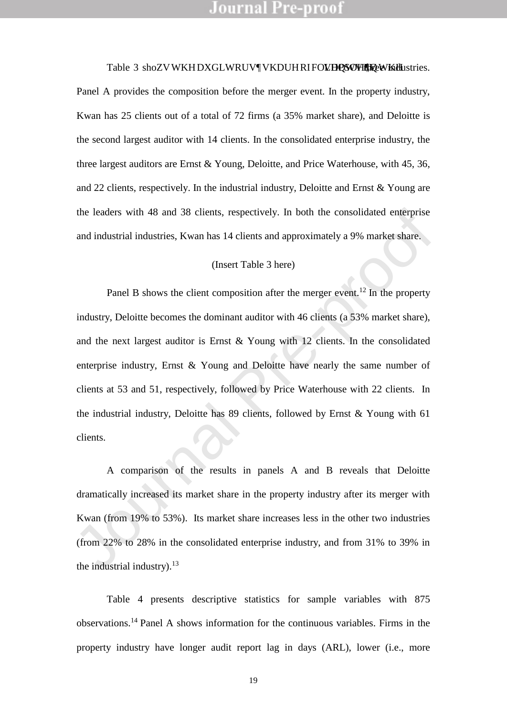Table 3 shoZVWKHDXGLWRUVWKDUHRIFOLYIQPNOHLOWEKhHustries. Panel A provides the composition before the merger event. In the property industry, Kwan has 25 clients out of a total of 72 firms (a 35% market share), and Deloitte is the second largest auditor with 14 clients. In the consolidated enterprise industry, the three largest auditors are Ernst & Young, Deloitte, and Price Waterhouse, with 45, 36, and 22 clients, respectively. In the industrial industry, Deloitte and Ernst & Young are the leaders with 48 and 38 clients, respectively. In both the consolidated enterprise and industrial industries, Kwan has 14 clients and approximately a 9% market share.

#### (Insert Table 3 here)

the leaders with 48 and 38 clients, respectively. In both the consolidated enterprise<br>and industrial industries, Kwan has 14 clients and approximately a 9% market share.<br>(Insert Table 3 here)<br>Panel B shows the client comp Panel B shows the client composition after the merger event.<sup>12</sup> In the property industry, Deloitte becomes the dominant auditor with 46 clients (a 53% market share), and the next largest auditor is Ernst & Young with 12 clients. In the consolidated enterprise industry, Ernst & Young and Deloitte have nearly the same number of clients at 53 and 51, respectively, followed by Price Waterhouse with 22 clients. In the industrial industry, Deloitte has 89 clients, followed by Ernst & Young with 61 clients.

A comparison of the results in panels A and B reveals that Deloitte dramatically increased its market share in the property industry after its merger with Kwan (from 19% to 53%). Its market share increases less in the other two industries (from 22% to 28% in the consolidated enterprise industry, and from 31% to 39% in the industrial industry). $13$ 

Table 4 presents descriptive statistics for sample variables with 875 observations.<sup>14</sup> Panel A shows information for the continuous variables. Firms in the property industry have longer audit report lag in days (ARL), lower (i.e., more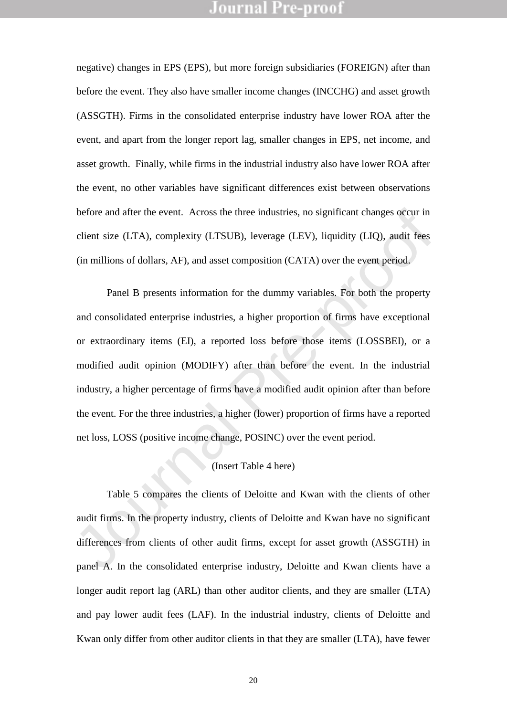negative) changes in EPS (EPS), but more foreign subsidiaries (FOREIGN) after than before the event. They also have smaller income changes (INCCHG) and asset growth (ASSGTH). Firms in the consolidated enterprise industry have lower ROA after the event, and apart from the longer report lag, smaller changes in EPS, net income, and asset growth. Finally, while firms in the industrial industry also have lower ROA after the event, no other variables have significant differences exist between observations before and after the event. Across the three industries, no significant changes occur in client size (LTA), complexity (LTSUB), leverage (LEV), liquidity (LIQ), audit fees (in millions of dollars, AF), and asset composition (CATA) over the event period.

before and after the event. Across the three industries, no significant changes occur in<br>client size (LTA), complexity (LTSUB), leverage (LEV), liquidity (LIQ), and<br>it fees<br>(in millions of dollars, AF), and asset compositi Panel B presents information for the dummy variables. For both the property and consolidated enterprise industries, a higher proportion of firms have exceptional or extraordinary items (EI), a reported loss before those items (LOSSBEI), or a modified audit opinion (MODIFY) after than before the event. In the industrial industry, a higher percentage of firms have a modified audit opinion after than before the event. For the three industries, a higher (lower) proportion of firms have a reported net loss, LOSS (positive income change, POSINC) over the event period.

## (Insert Table 4 here)

Table 5 compares the clients of Deloitte and Kwan with the clients of other audit firms. In the property industry, clients of Deloitte and Kwan have no significant differences from clients of other audit firms, except for asset growth (ASSGTH) in panel A. In the consolidated enterprise industry, Deloitte and Kwan clients have a longer audit report lag (ARL) than other auditor clients, and they are smaller (LTA) and pay lower audit fees (LAF). In the industrial industry, clients of Deloitte and Kwan only differ from other auditor clients in that they are smaller (LTA), have fewer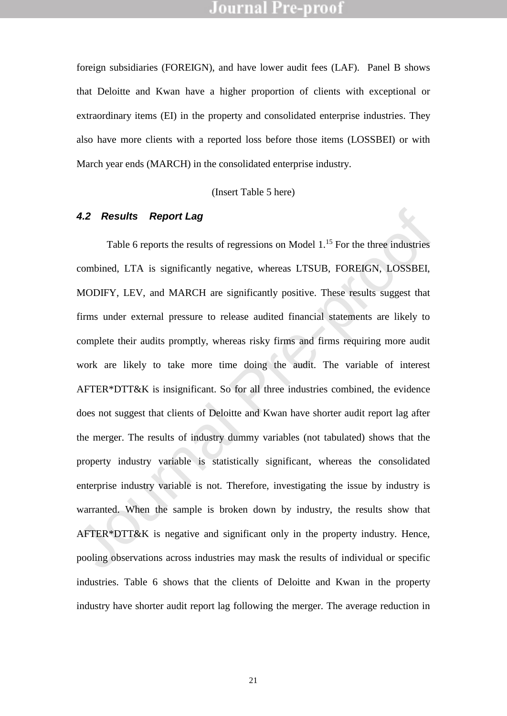foreign subsidiaries (FOREIGN), and have lower audit fees (LAF). Panel B shows that Deloitte and Kwan have a higher proportion of clients with exceptional or extraordinary items (EI) in the property and consolidated enterprise industries. They also have more clients with a reported loss before those items (LOSSBEI) or with March year ends (MARCH) in the consolidated enterprise industry.

(Insert Table 5 here)

### *4.2 Results* ±*Report Lag*

**4.2 Results ±Report Lag**<br>Table 6 reports the results of regressions on Model 1.<sup>15</sup> For the three industries<br>combined, LTA is significantly negative, whereas LTSUB, FOREIGN, LOSSBEI,<br>MODIFY, LEV, and MARCH are significan Table 6 reports the results of regressions on Model 1.<sup>15</sup> For the three industries combined, LTA is significantly negative, whereas LTSUB, FOREIGN, LOSSBEI, MODIFY, LEV, and MARCH are significantly positive. These results suggest that firms under external pressure to release audited financial statements are likely to complete their audits promptly, whereas risky firms and firms requiring more audit work are likely to take more time doing the audit. The variable of interest AFTER\*DTT&K is insignificant. So for all three industries combined, the evidence does not suggest that clients of Deloitte and Kwan have shorter audit report lag after the merger. The results of industry dummy variables (not tabulated) shows that the property industry variable is statistically significant, whereas the consolidated enterprise industry variable is not. Therefore, investigating the issue by industry is warranted. When the sample is broken down by industry, the results show that AFTER\*DTT&K is negative and significant only in the property industry. Hence, pooling observations across industries may mask the results of individual or specific industries. Table 6 shows that the clients of Deloitte and Kwan in the property industry have shorter audit report lag following the merger. The average reduction in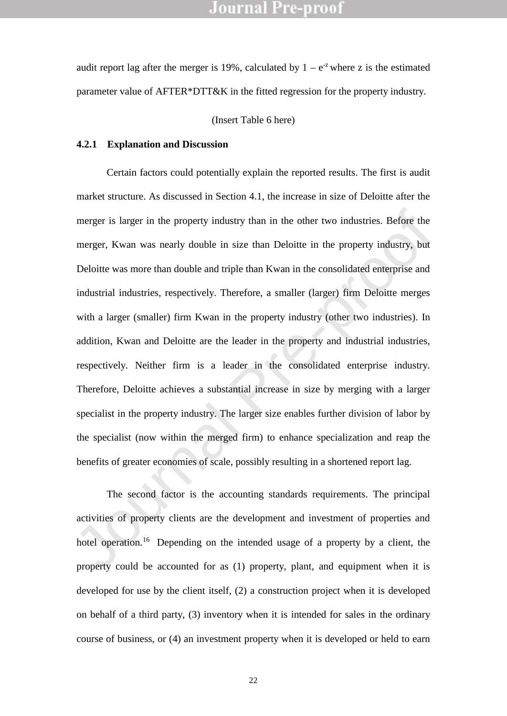audit report lag after the merger is 19%, calculated by  $1 \pm e^{-z}$  where z is the estimated parameter value of AFTER\*DTT&K in the fitted regression for the property industry.

(Insert Table 6 here)

### <span id="page-24-0"></span>**4.2.1 Explanation and Discussion**

merger is larger in the property industry than in the other two industries. Before the<br>merger, Kwan was nearly double in size than Deloitte in the property industry, but<br>Deloitte was more than double and triple than Kwan i Certain factors could potentially explain the reported results. The first is audit market structure. As discussed in Section [4.1,](#page-20-0) the increase in size of Deloitte after the merger is larger in the property industry than in the other two industries. Before the merger, Kwan was nearly double in size than Deloitte in the property industry, but Deloitte was more than double and triple than Kwan in the consolidated enterprise and industrial industries, respectively. Therefore, a smaller (larger) firm Deloitte merges with a larger (smaller) firm Kwan in the property industry (other two industries). In addition, Kwan and Deloitte are the leader in the property and industrial industries, respectively. Neither firm is a leader in the consolidated enterprise industry. Therefore, Deloitte achieves a substantial increase in size by merging with a larger specialist in the property industry. The larger size enables further division of labor by the specialist (now within the merged firm) to enhance specialization and reap the benefits of greater economies of scale, possibly resulting in a shortened report lag.

The second factor is the accounting standards requirements. The principal activities of property clients are the development and investment of properties and hotel operation.<sup>16</sup> Depending on the intended usage of a property by a client, the property could be accounted for as (1) property, plant, and equipment when it is developed for use by the client itself, (2) a construction project when it is developed on behalf of a third party, (3) inventory when it is intended for sales in the ordinary course of business, or (4) an investment property when it is developed or held to earn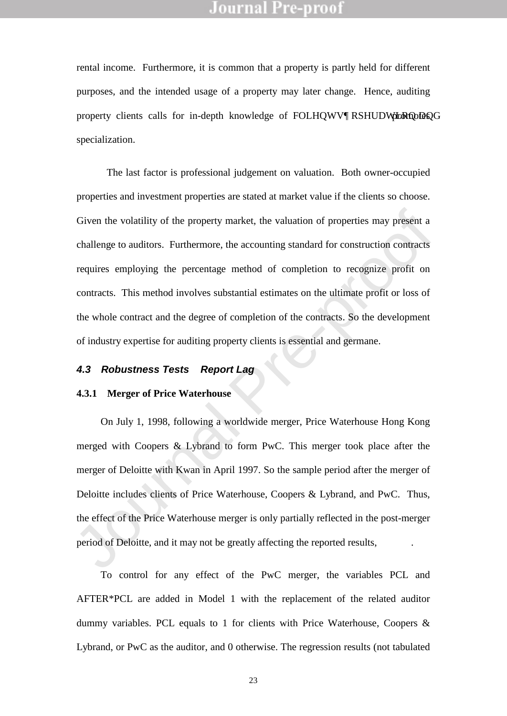rental income. Furthermore, it is common that a property is partly held for different purposes, and the intended usage of a property may later change. Hence, auditing property clients calls for in-depth knowledge of FOLHQWV¶RSHUDWhRQhDQGG specialization.

Given the volatility of the property market, the valuation of properties may present a<br>challenge to auditors. Furthermore, the accounting standard for construction contracts<br>requires employing the percentage method of com The last factor is professional judgement on valuation. Both owner-occupied properties and investment properties are stated at market value if the clients so choose. Given the volatility of the property market, the valuation of properties may present a challenge to auditors. Furthermore, the accounting standard for construction contracts requires employing the percentage method of completion to recognize profit on contracts. This method involves substantial estimates on the ultimate profit or loss of the whole contract and the degree of completion of the contracts. So the development of industry expertise for auditing property clients is essential and germane.

### *4.3 Robustness Tests* ±*Report Lag*

#### **4.3.1 Merger of Price Waterhouse**

On July 1, 1998, following a worldwide merger, Price Waterhouse Hong Kong merged with Coopers & Lybrand to form PwC. This merger took place after the merger of Deloitte with Kwan in April 1997. So the sample period after the merger of Deloitte includes clients of Price Waterhouse, Coopers & Lybrand, and PwC. Thus, the effect of the Price Waterhouse merger is only partially reflected in the post-merger period of Deloitte, and it may not be greatly affecting the reported results, a priori.

To control for any effect of the PwC merger, the variables PCL and AFTER\*PCL are added in Model 1 with the replacement of the related auditor dummy variables. PCL equals to 1 for clients with Price Waterhouse, Coopers & Lybrand, or PwC as the auditor, and 0 otherwise. The regression results (not tabulated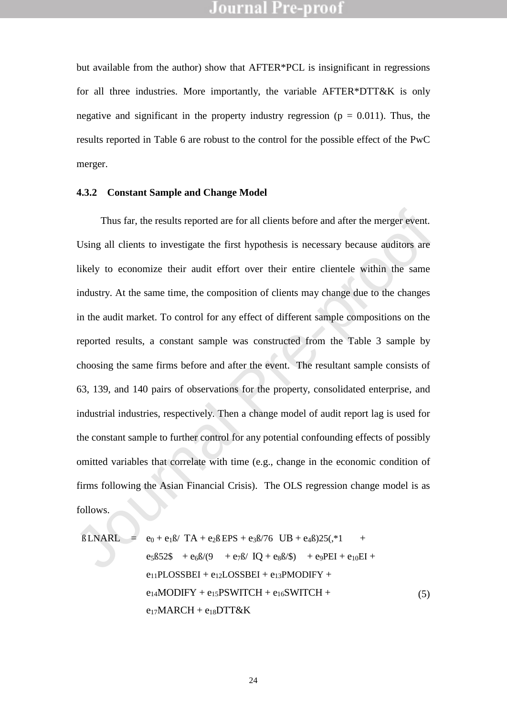but available from the author) show that AFTER\*PCL is insignificant in regressions for all three industries. More importantly, the variable AFTER\*DTT&K is only negative and significant in the property industry regression ( $p = 0.011$ ). Thus, the results reported in Table 6 are robust to the control for the possible effect of the PwC merger.

#### **4.3.2 Constant Sample and Change Model**

Thus far, the results reported are for all clients before and after the merger event.<br>Using all clients to investigate the first hypothesis is necessary because auditors are<br>fikely to economize their audit effort over the Thus far, the results reported are for all clients before and after the merger event. Using all clients to investigate the first hypothesis is necessary because auditors are likely to economize their audit effort over their entire clientele within the same industry. At the same time, the composition of clients may change due to the changes in the audit market. To control for any effect of different sample compositions on the reported results, a constant sample was constructed from the Table 3 sample by choosing the same firms before and after the event. The resultant sample consists of 63, 139, and 140 pairs of observations for the property, consolidated enterprise, and industrial industries, respectively. Then a change model of audit report lag is used for the constant sample to further control for any potential confounding effects of possibly omitted variables that correlate with time (e.g., change in the economic condition of firms following the Asian Financial Crisis). The OLS regression change model is as follows.

$$
\hat{u} \text{LNARL} = e_0 + e_1 \hat{u} \text{ TA} + e_2 \hat{u} \text{ EPS} + e_3 \hat{u} \text{76} \text{ UB} + e_4 \hat{u} \text{25}(\cdot^* \text{1} + e_5 \hat{u} \text{35} + e_6 \hat{u} \text{85} + e_7 \hat{u} \text{ IQ} + e_3 \hat{u} \text{ } + e_9 \text{PEI} + e_{10} \text{EI} + e_{11} \text{PLOSSBEI} + e_{12} \text{LOSSBEI} + e_{13} \text{PMODIFY} + e_{14} \text{MODIFY} + e_{15} \text{PSWITCH} + e_{16} \text{SWITCH} + e_{17} \text{MARCH} + e_{18} \text{DTT&K}
$$
\n
$$
(5)
$$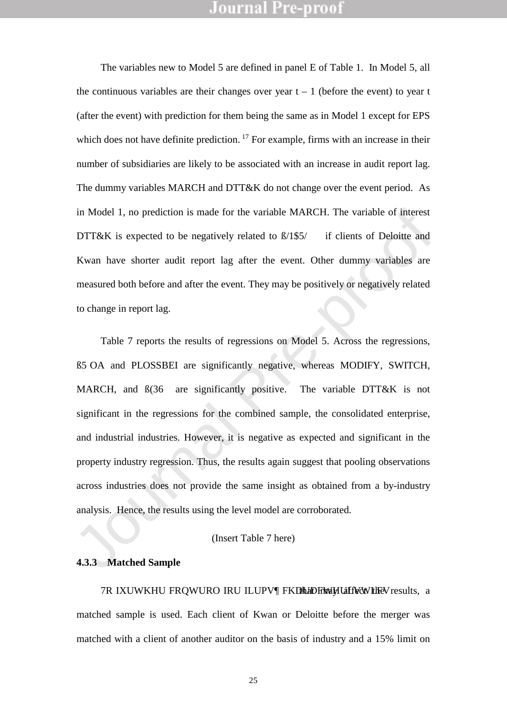The variables new to Model 5 are defined in panel E of Table 1. In Model 5, all the continuous variables are their changes over year  $t \pm 1$  (before the event) to year t (after the event) with prediction for them being the same as in Model 1 except for EPS which does not have definite prediction.<sup>17</sup> For example, firms with an increase in their number of subsidiaries are likely to be associated with an increase in audit report lag. The dummy variables MARCH and DTT&K do not change over the event period. As in Model 1, no prediction is made for the variable MARCH. The variable of interest DTT&K is expected to be negatively related to  $\hat{u}$   $\hat{s}$  if clients of Deloitte and Kwan have shorter audit report lag after the event. Other dummy variables are measured both before and after the event. They may be positively or negatively related to change in report lag.

in Model 1, no prediction is made for the variable MARCH. The variable of interest<br>
DTT&K is expected to be negatively related to  $d\mathbf{S}'$  if clients of Deloitte and<br>
Kwan have shorter audit report lag after the event. O Table 7 reports the results of regressions on Model 5. Across the regressions, û5 OA and PLOSSBEI are significantly negative, whereas MODIFY, SWITCH, MARCH, and  $(36$  are significantly positive. The variable DTT&K is not significant in the regressions for the combined sample, the consolidated enterprise, and industrial industries. However, it is negative as expected and significant in the property industry regression. Thus, the results again suggest that pooling observations across industries does not provide the same insight as obtained from a by-industry analysis. Hence, the results using the level model are corroborated.

#### (Insert Table 7 here)

### **4.3.3 Matched Sample**

**7R IMKHU FRQWRORULEV FKDDFWHLWMLFM** affect the results, a matched sample is used. Each client of Kwan or Deloitte before the merger was matched with a client of another auditor on the basis of industry and a 15% limit on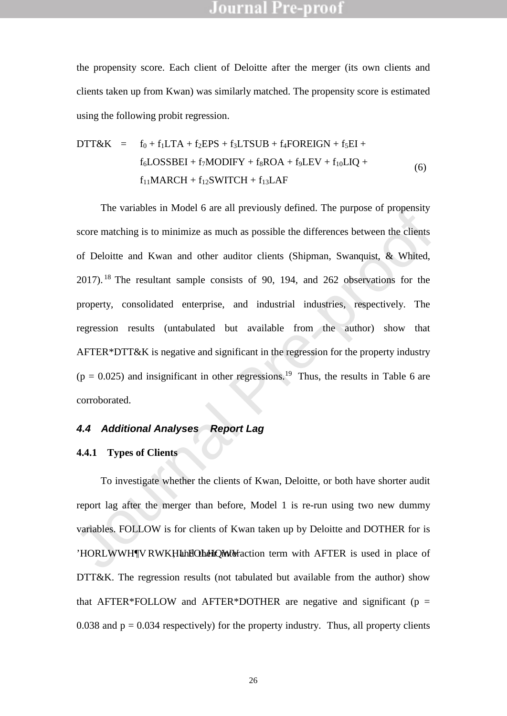the propensity score. Each client of Deloitte after the merger (its own clients and clients taken up from Kwan) was similarly matched. The propensity score is estimated using the following probit regression.

$$
DTT&K = f_0 + f_1LTA + f_2EPS + f_3LTSUB + f_4FOREIGN + f_5EI +f_6LOSSBEI + f_7MODIFY + f_8ROA + f_9LEV + f_{10}LIQ +f_{11}MARCH + f_{12}SWITCH + f_{13}LAF
$$
\n(6)

The variables in wooder o are an previously defined. The purpose of propertisty<br>score matching is to minimize as much as possible the differences between the clients<br>of Deloitte and Kwan and other auditor clients (Shipman The variables in Model 6 are all previously defined. The purpose of propensity score matching is to minimize as much as possible the differences between the clients of Deloitte and Kwan and other auditor clients (Shipman, Swanquist, & Whited, 2017). <sup>18</sup> The resultant sample consists of 90, 194, and 262 observations for the property, consolidated enterprise, and industrial industries, respectively. The regression results (untabulated but available from the author) show that AFTER\*DTT&K is negative and significant in the regression for the property industry  $(p = 0.025)$  and insignificant in other regressions.<sup>19</sup> Thus, the results in Table 6 are corroborated.

#### *4.4 Additional Analyses* ±*Report Lag*

#### <span id="page-28-0"></span>**4.4.1 Types of Clients**

To investigate whether the clients of Kwan, Deloitte, or both have shorter audit report lag after the merger than before, Model 1 is re-run using two new dummy variables. FOLLOW is for clients of Kwan taken up by Deloitte and DOTHER for is 'HORLWWHY RWKHU FOLIHQUW M raction term with AFTER is used in place of DTT&K. The regression results (not tabulated but available from the author) show that AFTER\*FOLLOW and AFTER\*DOTHER are negative and significant ( $p =$ 0.038 and  $p = 0.034$  respectively) for the property industry. Thus, all property clients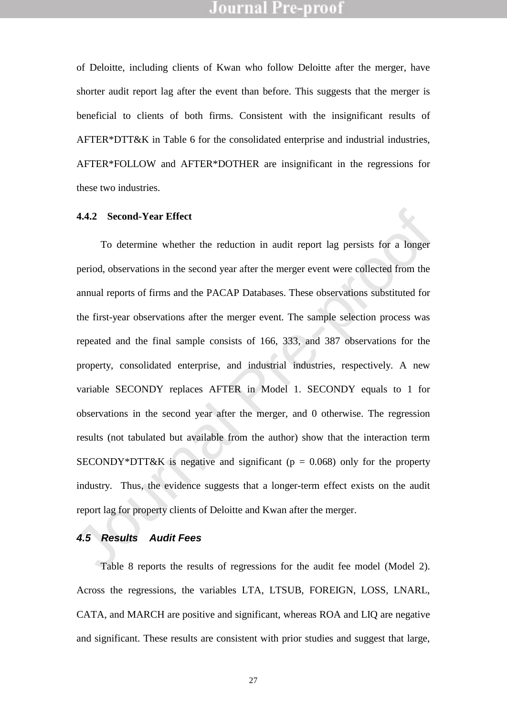of Deloitte, including clients of Kwan who follow Deloitte after the merger, have shorter audit report lag after the event than before. This suggests that the merger is beneficial to clients of both firms. Consistent with the insignificant results of AFTER\*DTT&K in Table 6 for the consolidated enterprise and industrial industries, AFTER\*FOLLOW and AFTER\*DOTHER are insignificant in the regressions for these two industries.

#### **4.4.2 Second-Year Effect**

**4.4.2 Second-Year Effect**<br>To determine whether the reduction in audit report lag persists for a longer<br>period, observations in the second year after the merger event were collected from the<br>annual reports of firms and th To determine whether the reduction in audit report lag persists for a longer period, observations in the second year after the merger event were collected from the annual reports of firms and the PACAP Databases. These observations substituted for the first-year observations after the merger event. The sample selection process was repeated and the final sample consists of 166, 333, and 387 observations for the property, consolidated enterprise, and industrial industries, respectively. A new variable SECONDY replaces AFTER in Model 1. SECONDY equals to 1 for observations in the second year after the merger, and 0 otherwise. The regression results (not tabulated but available from the author) show that the interaction term SECONDY\*DTT&K is negative and significant ( $p = 0.068$ ) only for the property industry. Thus, the evidence suggests that a longer-term effect exists on the audit report lag for property clients of Deloitte and Kwan after the merger.

#### *4.5 Results* ±*Audit Fees*

Table 8 reports the results of regressions for the audit fee model (Model 2). Across the regressions, the variables LTA, LTSUB, FOREIGN, LOSS, LNARL, CATA, and MARCH are positive and significant, whereas ROA and LIQ are negative and significant. These results are consistent with prior studies and suggest that large,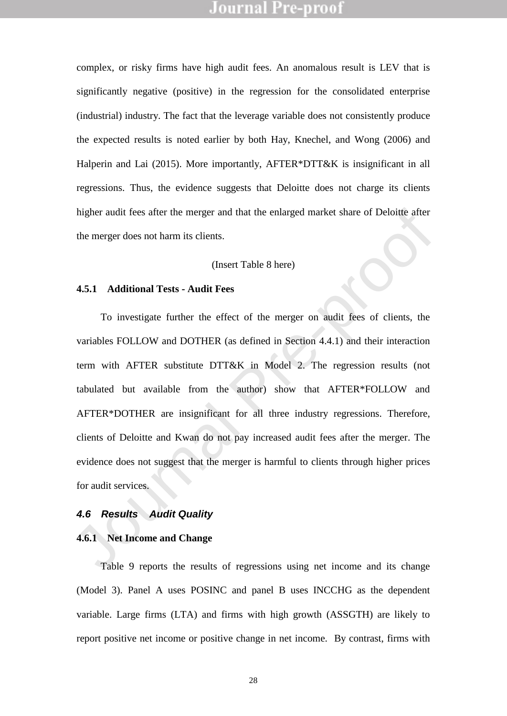complex, or risky firms have high audit fees. An anomalous result is LEV that is significantly negative (positive) in the regression for the consolidated enterprise (industrial) industry. The fact that the leverage variable does not consistently produce the expected results is noted earlier by both Hay, Knechel, and Wong (2006) and Halperin and Lai (2015). More importantly, AFTER\*DTT&K is insignificant in all regressions. Thus, the evidence suggests that Deloitte does not charge its clients higher audit fees after the merger and that the enlarged market share of Deloitte after the merger does not harm its clients.

#### (Insert Table 8 here)

#### **4.5.1 Additional Tests - Audit Fees**

higher audit fees after the merger and that the enlarged market share of Deloite after<br>the merger does not harm its clients.<br>(Insert Table 8 here)<br>4.5.1 Additional Tests - Audit Fees<br>To investigate further the effect of t To investigate further the effect of the merger on audit fees of clients, the variables FOLLOW and DOTHER (as defined in Section 4.4.1) and their interaction term with AFTER substitute DTT&K in Model 2. The regression results (not tabulated but available from the author) show that AFTER\*FOLLOW and AFTER\*DOTHER are insignificant for all three industry regressions. Therefore, clients of Deloitte and Kwan do not pay increased audit fees after the merger. The evidence does not suggest that the merger is harmful to clients through higher prices for audit services.

#### *4.6 Results* ±*Audit Quality*

#### **4.6.1 Net Income and Change**

Table 9 reports the results of regressions using net income and its change (Model 3). Panel A uses POSINC and panel B uses INCCHG as the dependent variable. Large firms (LTA) and firms with high growth (ASSGTH) are likely to report positive net income or positive change in net income. By contrast, firms with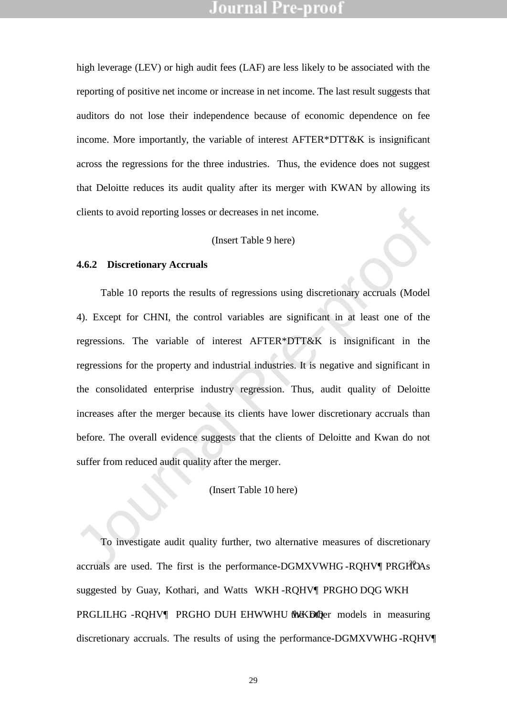high leverage (LEV) or high audit fees (LAF) are less likely to be associated with the reporting of positive net income or increase in net income. The last result suggests that auditors do not lose their independence because of economic dependence on fee income. More importantly, the variable of interest AFTER\*DTT&K is insignificant across the regressions for the three industries. Thus, the evidence does not suggest that Deloitte reduces its audit quality after its merger with KWAN by allowing its clients to avoid reporting losses or decreases in net income.

#### (Insert Table 9 here)

#### **4.6.2 Discretionary Accruals**

clients to avoid reporting losses or decreases in net income.<br>
(Insert Table 9 here)<br>
1.6.2 Discretionary Accruals<br>
Table 10 reports the results of regressions using discretionary accruals (Model<br>
4). Except for CHNI, the Table 10 reports the results of regressions using discretionary accruals (Model 4). Except for CHNI, the control variables are significant in at least one of the regressions. The variable of interest AFTER\*DTT&K is insignificant in the regressions for the property and industrial industries. It is negative and significant in the consolidated enterprise industry regression. Thus, audit quality of Deloitte increases after the merger because its clients have lower discretionary accruals than before. The overall evidence suggests that the clients of Deloitte and Kwan do not suffer from reduced audit quality after the merger.

### (Insert Table 10 here)

#### 4.6.2.1 Additional Tests ±Discretionary Accruals

To investigate audit quality further, two alternative measures of discretionary accruals are used. The first is the performance-DGMXVWHG-RQHV $\mathbb{P}RGHO$  As suggested by Guay, Kothari, and Watts WKH-RQHV¶PRGHO DQG WKH PRGLILHG -RQHV¶ PRGHO DUH EHWWHU WKDQher models in measuring discretionary accruals. The results of using the performance-DGMXVWHG -RQHV¶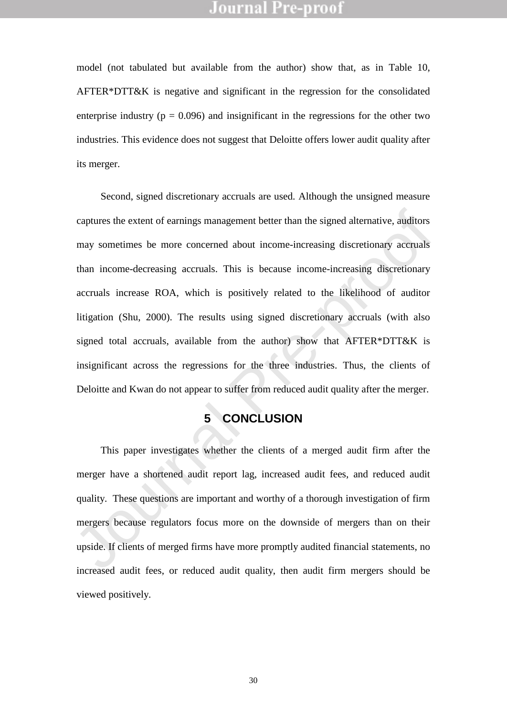model (not tabulated but available from the author) show that, as in Table 10, AFTER\*DTT&K is negative and significant in the regression for the consolidated enterprise industry ( $p = 0.096$ ) and insignificant in the regressions for the other two industries. This evidence does not suggest that Deloitte offers lower audit quality after its merger.

captures the extent of carrings management better than the signed alternative, and<br>itors may sometimes be more concerned about income-increasing discretionary accruals<br>than income-decreasing accruals. This is because incom Second, signed discretionary accruals are used. Although the unsigned measure captures the extent of earnings management better than the signed alternative, auditors may sometimes be more concerned about income-increasing discretionary accruals than income-decreasing accruals. This is because income-increasing discretionary accruals increase ROA, which is positively related to the likelihood of auditor litigation (Shu, 2000). The results using signed discretionary accruals (with also signed total accruals, available from the author) show that AFTER\*DTT&K is insignificant across the regressions for the three industries. Thus, the clients of Deloitte and Kwan do not appear to suffer from reduced audit quality after the merger.

# **5 CONCLUSION**

This paper investigates whether the clients of a merged audit firm after the merger have a shortened audit report lag, increased audit fees, and reduced audit quality. These questions are important and worthy of a thorough investigation of firm mergers because regulators focus more on the downside of mergers than on their upside. If clients of merged firms have more promptly audited financial statements, no increased audit fees, or reduced audit quality, then audit firm mergers should be viewed positively.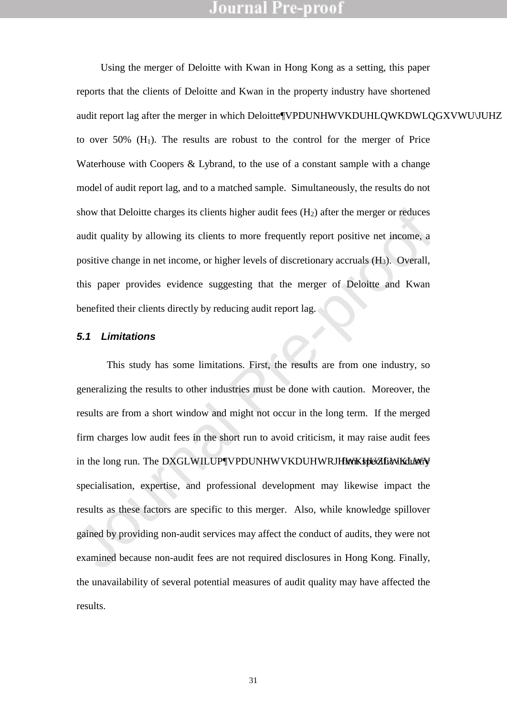Using the merger of Deloitte with Kwan in Hong Kong as a setting, this paper reports that the clients of Deloitte and Kwan in the property industry have shortened audit report lag after the merger in which Deloitte\PPDUNHWVKDUHLQWKDWLQGXVWU\UHZ to over  $50\%$  (H<sub>1</sub>). The results are robust to the control for the merger of Price Waterhouse with Coopers & Lybrand, to the use of a constant sample with a change model of audit report lag, and to a matched sample. Simultaneously, the results do not show that Deloitte charges its clients higher audit fees  $(H<sub>2</sub>)$  after the merger or reduces audit quality by allowing its clients to more frequently report positive net income, a positive change in net income, or higher levels of discretionary accruals (H3). Overall, this paper provides evidence suggesting that the merger of Deloitte and Kwan benefited their clients directly by reducing audit report lag.

#### *5.1 Limitations*

Show that Defoitte charges its clients higher audit fees (H<sub>2</sub>) after the merger or reduces<br>audit quality by allowing its clients to more frequently report positive ret income, a<br>positive change in net income, or higher l This study has some limitations. First, the results are from one industry, so generalizing the results to other industries must be done with caution. Moreover, the results are from a short window and might not occur in the long term. If the merged firm charges low audit fees in the short run to avoid criticism, it may raise audit fees in the long run. The DXGLWILUPVPDUNHWVKDUHWRJHWKHHWKHWKHOWKWY specialisation, expertise, and professional development may likewise impact the results as these factors are specific to this merger. Also, while knowledge spillover gained by providing non-audit services may affect the conduct of audits, they were not examined because non-audit fees are not required disclosures in Hong Kong. Finally, the unavailability of several potential measures of audit quality may have affected the results.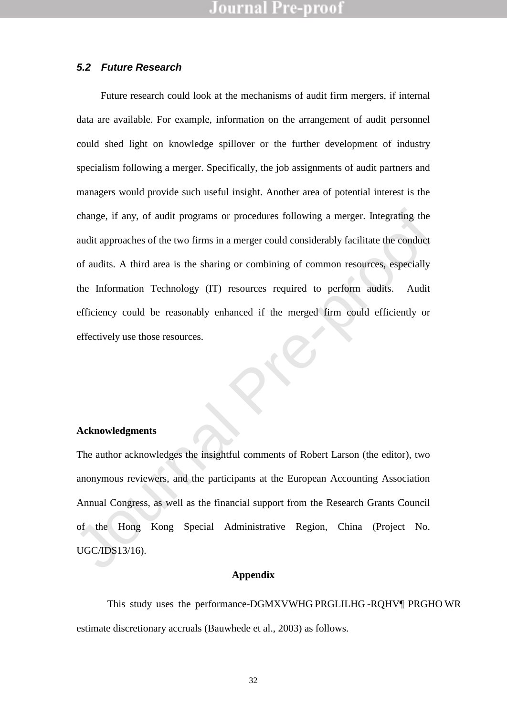#### *5.2 Future Research*

change, if any, of audit programs or procedures following a merger. Integrating the<br>audit approaches of the two firms in a merger could considerably facilitate the conduct<br>of audits. A third area is the sharing or combinin Future research could look at the mechanisms of audit firm mergers, if internal data are available. For example, information on the arrangement of audit personnel could shed light on knowledge spillover or the further development of industry specialism following a merger. Specifically, the job assignments of audit partners and managers would provide such useful insight. Another area of potential interest is the change, if any, of audit programs or procedures following a merger. Integrating the audit approaches of the two firms in a merger could considerably facilitate the conduct of audits. A third area is the sharing or combining of common resources, especially the Information Technology (IT) resources required to perform audits. Audit efficiency could be reasonably enhanced if the merged firm could efficiently or effectively use those resources.

#### **Acknowledgments**

The author acknowledges the insightful comments of Robert Larson (the editor), two anonymous reviewers, and the participants at the European Accounting Association Annual Congress, as well as the financial support from the Research Grants Council of the Hong Kong Special Administrative Region, China (Project No. UGC/IDS13/16).

#### **Appendix**

This study uses the performance-DGMXVWHG PRGLILHG-RQHV¶ PRGHO WR estimate discretionary accruals (Bauwhede et al., 2003) as follows.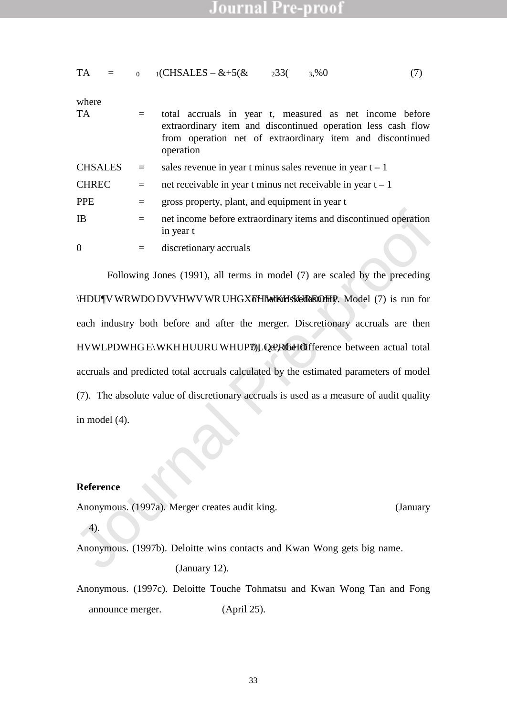$33($ 

 $3\%0$  (7)

where  
\n
$$
T A = \text{total accruals in year } t, \text{ measured as net income before\nextraordinary item and discontinued operation less cash flow\nfrom operation net of extraordinary item and discontinued\noperation
$$
\n
$$
CHSALES = \text{sales revenue in year } t \text{ minus sales revenue in year } t \pm 1
$$
\n
$$
F A = \text{net receiveable in year } t \text{ minus rate receiveable in year } t \pm 1
$$
\n
$$
F B = \text{gross property, plant, and equipment in year } t
$$
\n
$$
= \text{inter income before extraordinary items and discontinued operation}
$$
\n
$$
= \text{discretionary accuracy}
$$
\n
$$
= \text{discretionary accuracy}
$$

 $_1$ (CHSALES +  $\&$  + 5( $\&$ 

IB = net income before extraordinary items and discontinued operation<br>in year t<br>  $\theta$  = discretionary accruals<br>
Following Jones (1991), all terms in model (7) are scaled by the preceding<br> **HDUW WRWDODVVHWVWRUHGXFHAWKEH-BR** Following Jones (1991), all terms in model (7) are scaled by the preceding HDUW WRWDO DVVHWV WR UHGXFH WKH SUREGHE HY. Model (7) is run for each industry both before and after the merger. Discretionary accruals are then HVWLPDWHG E\WKH HUURU WHUP 0LQ PRCHO difference between actual total accruals and predicted total accruals calculated by the estimated parameters of model (7). The absolute value of discretionary accruals is used as a measure of audit quality in model (4).

#### **Reference**

 $TA = 0$ 

- Anonymous. (1997a). Merger creates audit king. South China Morning Postanuary 4).
- Anonymous. (1997b). Deloitte wins contacts and Kwan Wong gets big name. South China Morning Pos(January 12).
- Anonymous. (1997c). Deloitte Touche Tohmatsu and Kwan Wong Tan and Fong announce merger. PR Newswire(April 25).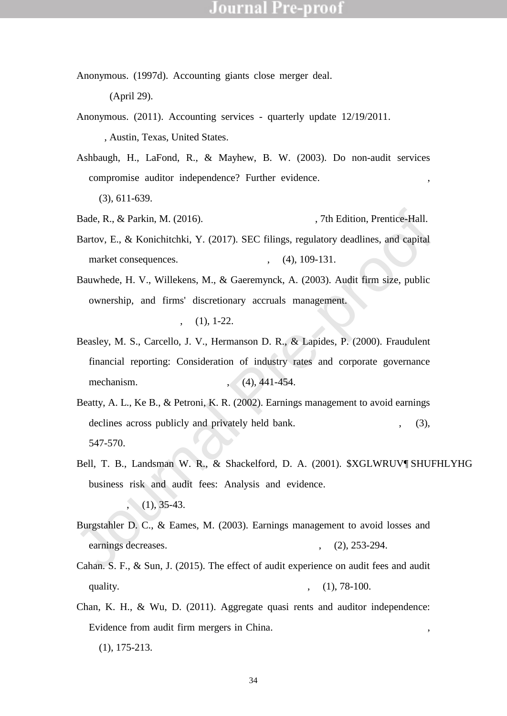- Anonymous. (1997d). Accounting giants close merger deal. South China Morning Post(April 29).
- Anonymous. (2011). Accounting services quarterly update 12/19/2011. Hoovers Inc., Austin, Texas, United States.
- Ashbaugh, H., LaFond, R., & Mayhew, B. W. (2003). Do non-audit services compromise auditor independence? Further evidence. The Accounting Review, 78(3), 611-639.
- Bade, R., & Parkin, M. (2016). Foundations of Economics th Edition, Prentice-Hall.
- Bartov, E., & Konichitchki, Y. (2017). SEC filings, regulatory deadlines, and capital market consequences. Accounting Horizons, 31(4), 109-131.
- Bauwhede, H. V., Willekens, M., & Gaeremynck, A. (2003). Audit firm size, public ownership, and firms' discretionary accruals management. The International Journal of Accounting $(38(1), 1-22)$ .
- Beasley, M. S., Carcello, J. V., Hermanson D. R., & Lapides, P. (2000). Fraudulent financial reporting: Consideration of industry rates and corporate governance mechanism. Accounting Horizons,  $4(4)$ ,  $441-454$ .
- Beatty, A. L., Ke B., & Petroni, K. R. (2002). Earnings management to avoid earnings declines across publicly and privately held bank. The Accounting Review  $7(3)$ , 547-570.
- Bade, R., & Parkin, M. (2016). Foundations of Economicsth Edition, Prentice-Hall.<br>
Bartov, E., & Konichitchki, Y. (2017). SEC filings, regulatory deadlines, and capital<br>
market consequences. Accounting Horizons31(4), 109-1 Bell, T. B., Landsman W. R., & Shackelford, D. A. (2001). **XGLWRUV** SHUFHLYHG business risk and audit fees: Analysis and evidence. Journal of Accounting Research $39(1)$ ,  $35-43$ .
- Burgstahler D. C., & Eames, M. (2003). Earnings management to avoid losses and earnings decreases. Contemporary Accounting Research 20(2), 253-294.
- Cahan. S. F., & Sun, J. (2015). The effect of audit experience on audit fees and audit quality. Journal of Accounting, Auditing and Finance  $30(1)$ , 78-100.
- Chan, K. H., & Wu, D. (2011). Aggregate quasi rents and auditor independence: Evidence from audit firm mergers in China. Contemporary Accounting Research , 28(1), 175-213.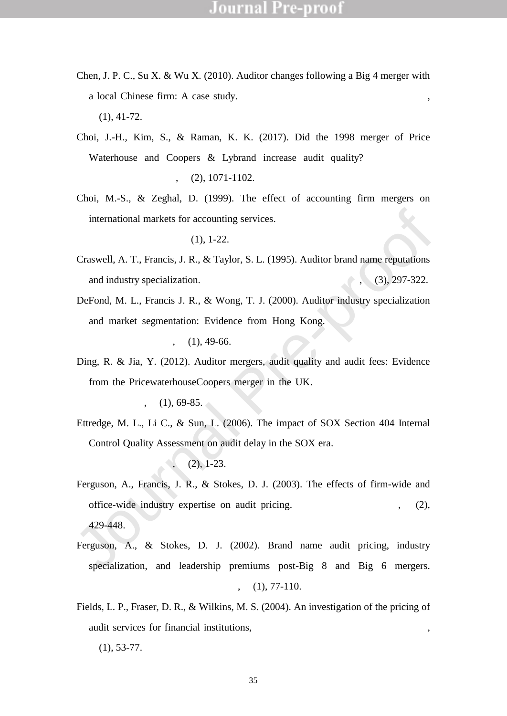- Chen, J. P. C., Su X. & Wu X. (2010). Auditor changes following a Big 4 merger with a local Chinese firm: A case study. Auditing: A Journal of Practice and Tony, 29(1), 41-72.
- Choi, J.-H., Kim, S., & Raman, K. K. (2017). Did the 1998 merger of Price Waterhouse and Coopers & Lybrand increase audit quality? Contemporary Accounting Research 34(2), 1071-1102.
- Choi, M.-S., & Zeghal, D. (1999). The effect of accounting firm mergers on international markets for accounting services. Journal of International Accounting Auditing and Taxation  $B(1)$ , 1-22.
- Craswell, A. T., Francis, J. R., & Taylor, S. L. (1995). Auditor brand name reputations and industry specialization. Journal of Accounting and Economi $\mathcal{L}(\mathcal{S})$ , 297-322.
- international markets for accounting services. Journal of InternationalAccounting<br>Auditing and Taxatior<sup>8</sup>(1), 1-22.<br>Craswell, A. T., Francis, J. R., & Taylor, S. L. (1995). Auditor brand name reputations<br>and industry spec DeFond, M. L., Francis J. R., & Wong, T. J. (2000). Auditor industry specialization and market segmentation: Evidence from Hong Kong. Auditing: A Journal of Practice and Theoryl  $9(1)$ , 49-66.
- Ding, R. & Jia, Y. (2012). Auditor mergers, audit quality and audit fees: Evidence from the PricewaterhouseCoopers merger in the UK. Journal of Accounting and Public Policy, 31(1), 69-85.
- Ettredge, M. L., Li C., & Sun, L. (2006). The impact of SOX Section 404 Internal Control Quality Assessment on audit delay in the SOX era. Auditing: A Journal of Practice and Theory  $25(2)$ , 1-23.
- Ferguson, A., Francis, J. R., & Stokes, D. J. (2003). The effects of firm-wide and office-wide industry expertise on audit pricing. The Accounting Review  $78(2)$ , 429-448.
- Ferguson, A., & Stokes, D. J. (2002). Brand name audit pricing, industry specialization, and leadership premiums post-Big 8 and Big 6 mergers. Contemporary Accounting Researd  $\mathfrak{g}(1)$ , 77-110.
- Fields, L. P., Fraser, D. R., & Wilkins, M. S. (2004). An investigation of the pricing of audit services for financial institutions, Journal of Accounting and Public Policy 23(1), 53-77.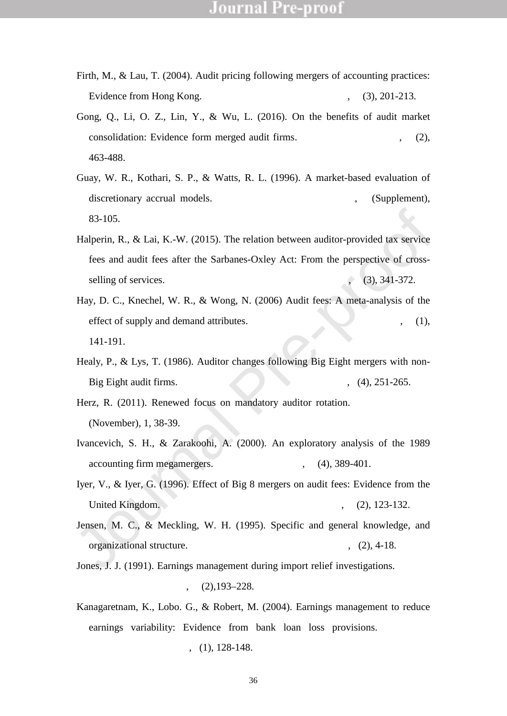- Firth, M., & Lau, T. (2004). Audit pricing following mergers of accounting practices: Evidence from Hong Kong. Accounting and Business Researc 84(3), 201-213.
- Gong, Q., Li, O. Z., Lin, Y., & Wu, L. (2016). On the benefits of audit market consolidation: Evidence form merged audit firms. The Accounting Review 91(2), 463-488.
- Guay, W. R., Kothari, S. P., & Watts, R. L. (1996). A market-based evaluation of discretionary accrual models. Journal of Accounting Researc<sup>84</sup>(Supplement), 83-105.
- 83-105.<br>
Halperin, R., & Lai, K.-W. (2015). The relation between auditor-provided tax service<br>
free and audit fees after the Sarbanes-Oxley Act: From the perspective of cross-<br>
selling of services. Journal of Accounting, Halperin, R., & Lai, K.-W. (2015). The relation between auditor-provided tax service fees and audit fees after the Sarbanes-Oxley Act: From the perspective of crossselling of services. Journal of Accounting, Auditing and Finance  $30(3)$ ,  $341-372$ .
- Hay, D. C., Knechel, W. R., & Wong, N. (2006) Audit fees: A meta-analysis of the effect of supply and demand attributes. Contemporary Accounting Research 28(1), 141-191.
- Healy, P., & Lys, T. (1986). Auditor changes following Big Eight mergers with non-Big Eight audit firms. Journal of Accounting and Public Policy 5(4), 251-265.
- Herz, R. (2011). Renewed focus on mandatory auditor rotation. Compliance Week (November), 1, 38-39.
- Ivancevich, S. H., & Zarakoohi, A. (2000). An exploratory analysis of the 1989 accounting firm megamergers. Accounting Horizons, 14(4), 389-401.
- Iyer, V., & Iyer, G. (1996). Effect of Big 8 mergers on audit fees: Evidence from the United Kingdom. Auditing: A Journal of Practice and Theort 5(2), 123-132.
- Jensen, M. C., & Meckling, W. H. (1995). Specific and general knowledge, and organizational structure. Journal of Applied Corporate Finance (2), 4-18.
- Jones, J. J. (1991). Earnings management during import relief investigations. Journal of Accounting Researc $B(2)$ , 193 $\pm$ 228.
- Kanagaretnam, K., Lobo. G., & Robert, M. (2004). Earnings management to reduce earnings variability: Evidence from bank loan loss provisions. Review of Accounting and Financ $\mathcal{A}(1)$ , 128-148.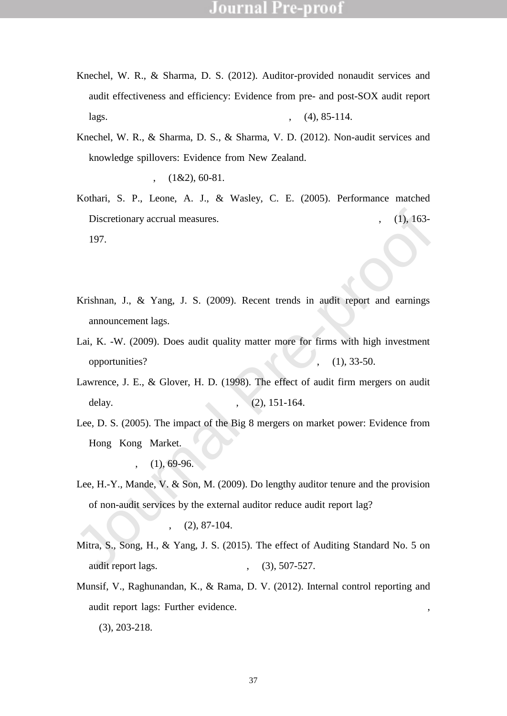- Knechel, W. R., & Sharma, D. S. (2012). Auditor-provided nonaudit services and audit effectiveness and efficiency: Evidence from pre- and post-SOX audit report lags. Auditing: A Journal of Practicand Theory31(4), 85-114.
- Knechel, W. R., & Sharma, D. S., & Sharma, V. D. (2012). Non-audit services and knowledge spillovers: Evidence from New Zealand. Journal of Business Finance and Accounting  $39(1&2)$ , 60-81.
- Kothari, S. P., Leone, A. J., & Wasley, C. E. (2005). Performance matched Discretionary accrual measures. Journal of Accounting and Economics  $(1)$ , 163-197.
- Krishnan, G. V. (2003). Does Big 6 auditor industry expertise constrain earnings management? Accounting Horizons 7(Supplement), 1-16.
- Krishnan, J., & Yang, J. S. (2009). Recent trends in audit report and earnings announcement lags. Accounting Horizon, 23(3), 265-288.
- Lai, K. -W. (2009). Does audit quality matter more for firms with high investment opportunities? Journal of Accounting an Public Policy 28(1), 33-50.
- Lawrence, J. E., & Glover, H. D. (1998). The effect of audit firm mergers on audit delay. Journal of Managerial Issues $0(2)$ , 151-164.
- Discretionary accrual measures. Journal of Accounting and Economics (1), 163-<br>197.<br>
Krishnan, G. V. (2003). Does Big 6 auditor industry expertise constrain earning<br>
management<sup>2</sup>Accounting Horizons 7(Supplement, 1-16.<br>
Kri Lee, D. S. (2005). The impact of the Big 8 mergers on market power: Evidence from Hong Kong Market. Journal of International Financial Management and Accounting  $16(1)$ , 69-96.
- Lee, H.-Y., Mande, V. & Son, M. (2009). Do lengthy auditor tenure and the provision of non-audit services by the external auditor reduce audit report lag? International Journal of Auditing 13(2), 87-104.
- Mitra, S., Song, H., & Yang, J. S. (2015). The effect of Auditing Standard No. 5 on audit report lags. Accounting Horizons, 29(3), 507-527.
- Munsif, V., Raghunandan, K., & Rama, D. V. (2012). Internal control reporting and audit report lags: Further evidence. Auditing: A Journal of Practice and Theory , 31(3), 203-218.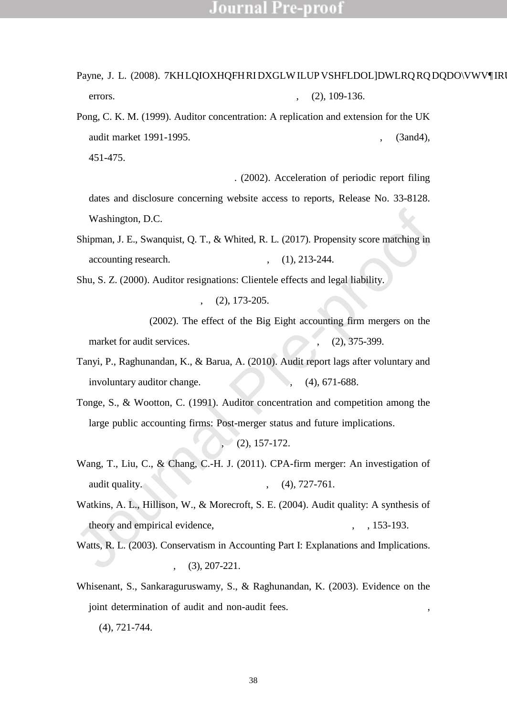- Payne, J. L. (2008). 7KH LQIOXHQFH RI DXGLW ILUP VSHFLDOLDWLRQ RQ DQDOVWV¶RUH errors. Auditing: A Journal of Practice and Theo $\frac{\alpha}{7}(2)$ , 109-136.
- Pong, C. K. M. (1999). Auditor concentration: A replication and extension for the UK audit market 1991-1995. Journal of Business Finance and Counting 26(3and4), 451-475.
- Securities and Exchange Commissi $(2002)$ . Acceleration of periodic report filing dates and disclosure concerning website access to reports, Release No. 33-8128. Washington, D.C.
- Shipman, J. E., Swanquist, Q. T., & Whited, R. L. (2017). Propensity score matching in accounting research. The Accounting Review, 92(1), 213-244.
- Shu, S. Z. (2000). Auditor resignations: Clientele effects and legal liability. Journal of Accounting and Economics  $29(2)$ , 173- $205$ .
- Sullivan, M. W. (2002). The effect of the Big Eight accounting firm mergers on the market for audit services. Journal of Law and  $E$ conomic $45(2)$ , 375-399.
- Tanyi, P., Raghunandan, K., & Barua, A. (2010). Audit report lags after voluntary and involuntary auditor change. Accounting Horizons, 24(4), 671-688.
- Washington, D.C.<br>
Shipman, J. E., Swanquist, Q. T., & Whited, R. L. (2017). Propensity score matching in<br>
accounting research. The Accounting Review 92(1), 213-244.<br>
Shu, S. Z. (2000). Auditor resignations: Clientele effec Tonge, S., & Wootton, C. (1991). Auditor concentration and competition among the large public accounting firms: Post-merger status and future implications. Journal of Accounting and Public Policy  $10(2)$ ,  $157-172$ .
- Wang, T., Liu, C., & Chang, C.-H. J. (2011). CPA-firm merger: An investigation of audit quality. European Accounting Review 20(4), 727-761.
- Watkins, A. L., Hillison, W., & Morecroft, S. E. (2004). Audit quality: A synthesis of theory and empirical evidence, Journal of Accounting iterature, 23, 153-193.
- Watts, R. L. (2003). Conservatism in Accounting Part I: Explanations and Implications. Accounting Horizons, 17(3), 207-221.
- Whisenant, S., Sankaraguruswamy, S., & Raghunandan, K. (2003). Evidence on the joint determination of audit and non-audit fees. Journal of Accounting Research 41(4), 721-744.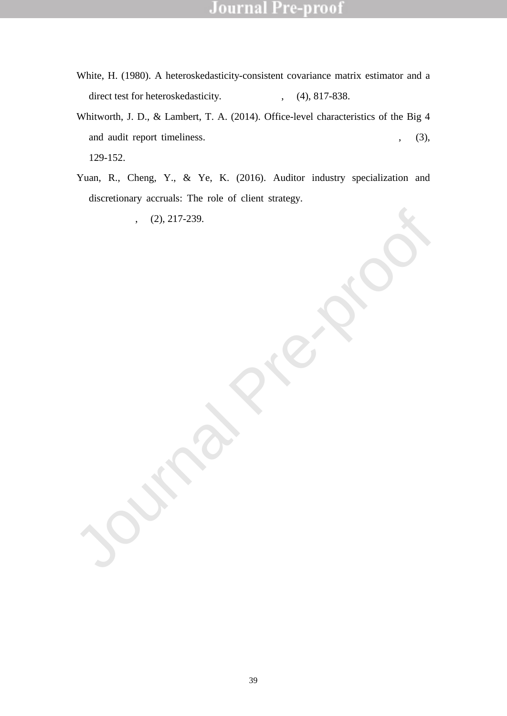- White, H. (1980). A heteroskedasticity-consistent covariance matrix estimator and a direct test for heteroskedasticity. Econometrica48(4), 817-838.
- Whitworth, J. D., & Lambert, T. A. (2014). Office-level characteristics of the Big 4 and audit report timeliness. Auditing: A Journal of Pratice and Theory, 33(3), 129-152.
- Accounting 51(2), 217-239. Yuan, R., Cheng, Y., & Ye, K. (2016). Auditor industry specialization and discretionary accruals: The role of client strategy. The International Journal of Accounting 51(2), 217-239.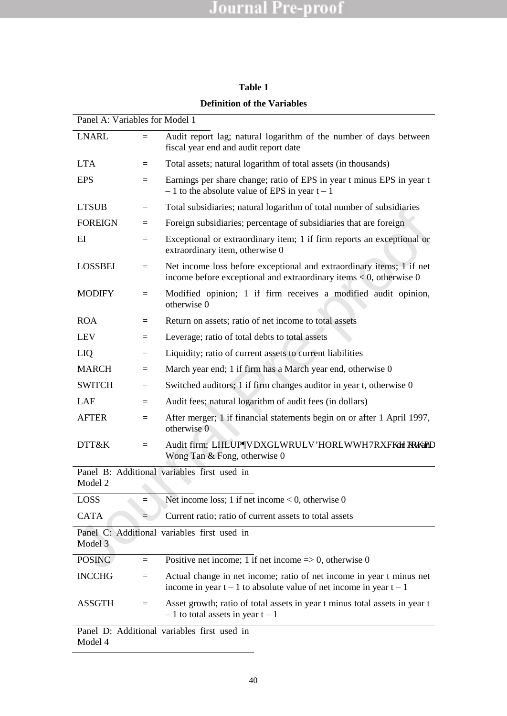### **Table 1**

|  |  |  | <b>Definition of the Variables</b> |
|--|--|--|------------------------------------|
|--|--|--|------------------------------------|

| Panel A: Variables for Model 1 |     |                                                                                                                                                    |
|--------------------------------|-----|----------------------------------------------------------------------------------------------------------------------------------------------------|
| <b>LNARL</b>                   | $=$ | Audit report lag; natural logarithm of the number of days between<br>fiscal year end and audit report date                                         |
| <b>LTA</b>                     | $=$ | Total assets; natural logarithm of total assets (in thousands)                                                                                     |
| <b>EPS</b>                     | $=$ | Earnings per share change; ratio of EPS in year t minus EPS in year t<br>$\pm$ 1 to the absolute value of EPS in year t $\pm$ 1                    |
| <b>LTSUB</b>                   | $=$ | Total subsidiaries; natural logarithm of total number of subsidiaries                                                                              |
| <b>FOREIGN</b>                 | $=$ | Foreign subsidiaries; percentage of subsidiaries that are foreign                                                                                  |
| EI                             | $=$ | Exceptional or extraordinary item; 1 if firm reports an exceptional or<br>extraordinary item, otherwise 0                                          |
| LOSSBEI                        | $=$ | Net income loss before exceptional and extraordinary items; 1 if net<br>income before exceptional and extraordinary items $< 0$ , otherwise 0      |
| <b>MODIFY</b>                  | $=$ | Modified opinion; 1 if firm receives a modified audit opinion,<br>otherwise 0                                                                      |
| <b>ROA</b>                     | Ξ   | Return on assets; ratio of net income to total assets                                                                                              |
| <b>LEV</b>                     | Ξ   | Leverage; ratio of total debts to total assets                                                                                                     |
| <b>LIQ</b>                     | $=$ | Liquidity; ratio of current assets to current liabilities                                                                                          |
| <b>MARCH</b>                   | $=$ | March year end; 1 if firm has a March year end, otherwise 0                                                                                        |
| <b>SWITCH</b>                  | Ξ   | Switched auditors; 1 if firm changes auditor in year t, otherwise 0                                                                                |
| LAF                            | $=$ | Audit fees; natural logarithm of audit fees (in dollars)                                                                                           |
| <b>AFTER</b>                   | $=$ | After merger; 1 if financial statements begin on or after 1 April 1997,<br>otherwise 0                                                             |
| DTT&K                          | $=$ | Audit firm; LIILUPVDXGLWRULV'HORLWWH7RXFKHo7RKwPDV<br>Wong Tan $&$ Fong, otherwise 0                                                               |
|                                |     | Panel B: Additional variables first used in                                                                                                        |
| Model 2                        |     |                                                                                                                                                    |
| <b>LOSS</b>                    |     | Net income loss; 1 if net income $< 0$ , otherwise 0                                                                                               |
| <b>CATA</b>                    |     | Current ratio; ratio of current assets to total assets                                                                                             |
| Model 3                        |     | Panel C: Additional variables first used in                                                                                                        |
| <b>POSINC</b>                  | $=$ | Positive net income; 1 if net income $\Rightarrow$ 0, otherwise 0                                                                                  |
| <b>INCCHG</b>                  | $=$ | Actual change in net income; ratio of net income in year t minus net<br>income in year $t \pm 1$ to absolute value of net income in year $t \pm 1$ |
| <b>ASSGTH</b>                  | $=$ | Asset growth; ratio of total assets in year t minus total assets in year t<br>$\pm$ 1 to total assets in year t $\pm$ 1                            |
| Model 4                        |     | Panel D: Additional variables first used in                                                                                                        |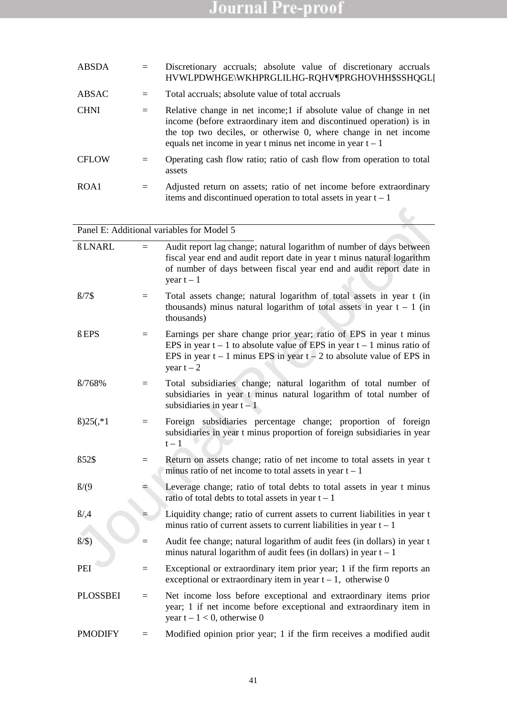| ABSDA        | $=$ | Discretionary accruals; absolute value of discretionary accruals<br>HVWLPDWHGEWKHPRGLILHG-RQHVPRGHOVHH\$SHQGL[                                                                                                                                                                  |  |  |  |  |  |  |  |
|--------------|-----|---------------------------------------------------------------------------------------------------------------------------------------------------------------------------------------------------------------------------------------------------------------------------------|--|--|--|--|--|--|--|
| ABSAC        |     | Total accruals; absolute value of total accruals                                                                                                                                                                                                                                |  |  |  |  |  |  |  |
| <b>CHNI</b>  | $=$ | Relative change in net income; 1 if absolute value of change in net<br>income (before extraordinary item and discontinued operation) is in<br>the top two deciles, or otherwise 0, where change in net income<br>equals net income in year t minus net income in year $t \pm 1$ |  |  |  |  |  |  |  |
| <b>CFLOW</b> | $=$ | Operating cash flow ratio; ratio of cash flow from operation to total<br>assets                                                                                                                                                                                                 |  |  |  |  |  |  |  |
| ROA1         | $=$ | Adjusted return on assets; ratio of net income before extraordinary<br>items and discontinued operation to total assets in year $t \pm 1$                                                                                                                                       |  |  |  |  |  |  |  |

|                 |     | Panel E: Additional variables for Model 5                                                                                                                                                                                                                |
|-----------------|-----|----------------------------------------------------------------------------------------------------------------------------------------------------------------------------------------------------------------------------------------------------------|
| û LNARL         | $=$ | Audit report lag change; natural logarithm of number of days between<br>fiscal year end and audit report date in year t minus natural logarithm<br>of number of days between fiscal year end and audit report date in<br>year $t \pm 1$                  |
| ű7\$            | $=$ | Total assets change; natural logarithm of total assets in year t (in<br>thousands) minus natural logarithm of total assets in year $t \pm 1$ (in<br>thousands)                                                                                           |
| û EPS           | $=$ | Earnings per share change prior year; ratio of EPS in year t minus<br>EPS in year $t \pm 1$ to absolute value of EPS in year $t \pm 1$ minus ratio of<br>EPS in year $t \pm 1$ minus EPS in year $t \pm 2$ to absolute value of EPS in<br>year $t \pm 2$ |
| <b>们68%</b>     | $=$ | Total subsidiaries change; natural logarithm of total number of<br>subsidiaries in year t minus natural logarithm of total number of<br>subsidiaries in year $t \pm 1$                                                                                   |
| $$25($ , *1)    | $=$ | Foreign subsidiaries percentage change; proportion of foreign<br>subsidiaries in year t minus proportion of foreign subsidiaries in year<br>$t \pm 1$                                                                                                    |
| $62\$           | $=$ | Return on assets change; ratio of net income to total assets in year t<br>minus ratio of net income to total assets in year $t \pm 1$                                                                                                                    |
| ũ9              |     | Leverage change; ratio of total debts to total assets in year t minus<br>ratio of total debts to total assets in year $t \pm 1$                                                                                                                          |
| û4              |     | Liquidity change; ratio of current assets to current liabilities in year t<br>minus ratio of current assets to current liabilities in year $t \pm 1$                                                                                                     |
| î\$             | $=$ | Audit fee change; natural logarithm of audit fees (in dollars) in year t<br>minus natural logarithm of audit fees (in dollars) in year $t \pm 1$                                                                                                         |
| <b>PEI</b>      | $=$ | Exceptional or extraordinary item prior year; 1 if the firm reports an<br>exceptional or extraordinary item in year $t \pm 1$ , otherwise 0                                                                                                              |
| <b>PLOSSBEI</b> | $=$ | Net income loss before exceptional and extraordinary items prior<br>year; 1 if net income before exceptional and extraordinary item in<br>year $t \pm 1 < 0$ , otherwise 0                                                                               |
| <b>PMODIFY</b>  | Ξ   | Modified opinion prior year; 1 if the firm receives a modified audit                                                                                                                                                                                     |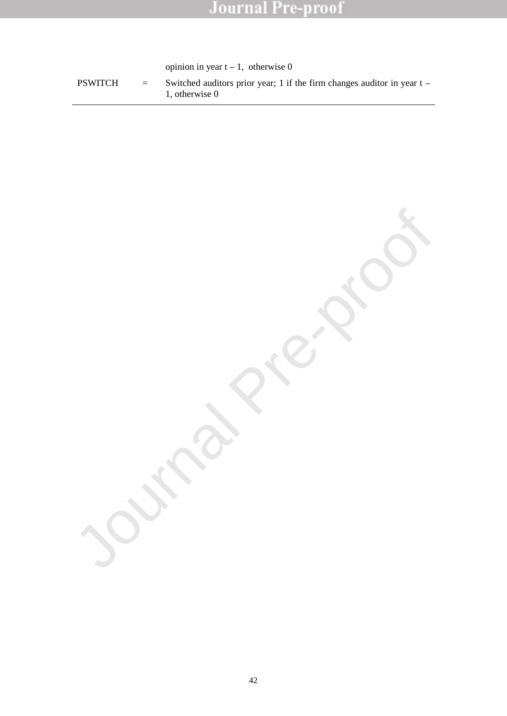opinion in year  $t \pm 1$ , otherwise 0

PSWITCH = Switched auditors prior year; 1 if the firm changes auditor in year  $t \pm$ 1, otherwise 0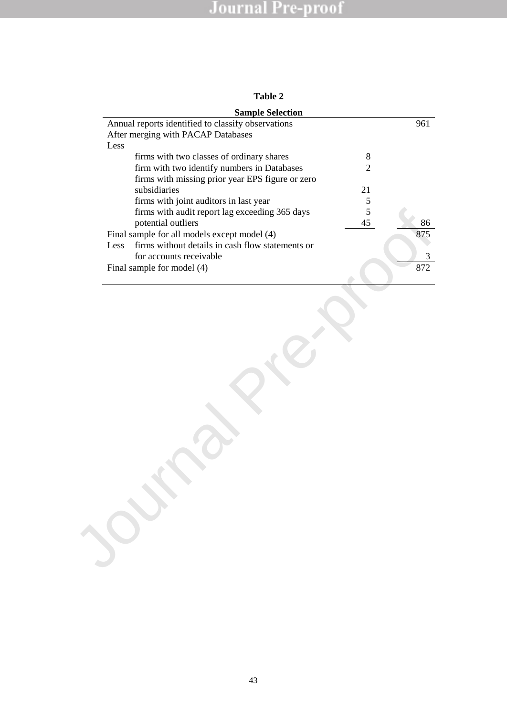| m<br>٦.<br>а |  |
|--------------|--|
|--------------|--|

| <b>Sample Selection</b>                                  |                |          |
|----------------------------------------------------------|----------------|----------|
| Annual reports identified to classify observations       |                | 961      |
| After merging with PACAP Databases                       |                |          |
| Less                                                     |                |          |
| firms with two classes of ordinary shares                | 8              |          |
| firm with two identify numbers in Databases              | $\overline{2}$ |          |
| firms with missing prior year EPS figure or zero         |                |          |
| subsidiaries                                             | 21             |          |
| firms with joint auditors in last year                   | 5              |          |
| firms with audit report lag exceeding 365 days           | 5              |          |
| potential outliers                                       | 45             | 86       |
| Final sample for all models except model (4)             |                | 875      |
| firms without details in cash flow statements or<br>Less |                |          |
| for accounts receivable                                  |                | 3<br>872 |
| Final sample for model (4)                               |                |          |
|                                                          |                |          |
|                                                          |                |          |
|                                                          |                |          |
|                                                          |                |          |
|                                                          |                |          |
|                                                          |                |          |
|                                                          |                |          |
|                                                          |                |          |
|                                                          |                |          |
|                                                          |                |          |
|                                                          |                |          |
|                                                          |                |          |
|                                                          |                |          |
|                                                          |                |          |
|                                                          |                |          |
|                                                          |                |          |
|                                                          |                |          |
|                                                          |                |          |
|                                                          |                |          |
|                                                          |                |          |
|                                                          |                |          |
|                                                          |                |          |
|                                                          |                |          |
|                                                          |                |          |
|                                                          |                |          |
|                                                          |                |          |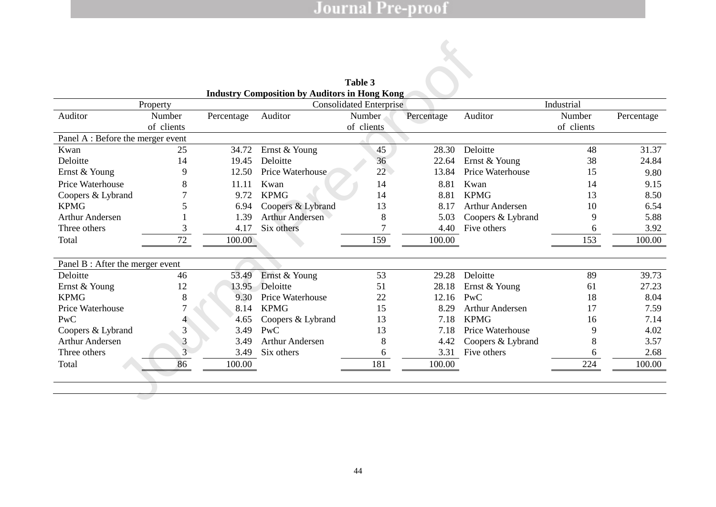|                                   |                      |            |                                                                           | Table 3                        |            |                         |                      |            |
|-----------------------------------|----------------------|------------|---------------------------------------------------------------------------|--------------------------------|------------|-------------------------|----------------------|------------|
|                                   |                      |            | Industry Composition by Auditors in Hong Kong 1 V 7 K U H H / D U J H V W |                                |            |                         | , Q G X V W U L H V  |            |
|                                   | Property             |            |                                                                           | <b>Consolidated Enterprise</b> |            |                         | Industrial           |            |
| Auditor                           | Number<br>of clients | Percentage | Auditor                                                                   | Number<br>of clients           | Percentage | Auditor                 | Number<br>of clients | Percentage |
| Panel A : Before the merger event |                      |            |                                                                           |                                |            |                         |                      |            |
| Kwan                              | 25                   | 34.72      | Ernst & Young                                                             | 45                             | 28.30      | Deloitte                | 48                   | 31.37      |
| Deloitte                          | 14                   | 19.45      | Deloitte                                                                  | 36                             | 22.64      | Ernst & Young           | 38                   | 24.84      |
| Ernst & Young                     | 9                    | 12.50      | Price Waterhouse                                                          | 22                             | 13.84      | Price Waterhouse        | 15                   | 9.80       |
| Price Waterhouse                  | 8                    | 11.11      | Kwan                                                                      | 14                             | 8.81       | Kwan                    | 14                   | 9.15       |
| Coopers & Lybrand                 |                      | 9.72       | <b>KPMG</b>                                                               | 14                             | 8.81       | <b>KPMG</b>             | 13                   | 8.50       |
| <b>KPMG</b>                       | 5                    | 6.94       | Coopers & Lybrand                                                         | 13                             | 8.17       | <b>Arthur Andersen</b>  | 10                   | 6.54       |
| <b>Arthur Andersen</b>            |                      | 1.39       | <b>Arthur Andersen</b>                                                    | 8                              | 5.03       | Coopers & Lybrand       | 9                    | 5.88       |
| Three others                      | 3                    | 4.17       | Six others                                                                |                                | 4.40       | Five others             | 6                    | 3.92       |
| Total                             | 72                   | 100.00     |                                                                           | 159                            | 100.00     |                         | 153                  | 100.00     |
| Panel B : After the merger event  |                      |            |                                                                           |                                |            |                         |                      |            |
| Deloitte                          | 46                   | 53.49      | Ernst & Young                                                             | 53                             | 29.28      | Deloitte                | 89                   | 39.73      |
| Ernst & Young                     | 12                   | 13.95      | Deloitte                                                                  | 51                             | 28.18      | Ernst & Young           | 61                   | 27.23      |
| <b>KPMG</b>                       | 8                    | 9.30       | Price Waterhouse                                                          | 22                             | 12.16      | PWC                     | 18                   | 8.04       |
| Price Waterhouse                  |                      | 8.14       | <b>KPMG</b>                                                               | 15                             | 8.29       | <b>Arthur Andersen</b>  | 17                   | 7.59       |
| <b>PwC</b>                        |                      | 4.65       | Coopers & Lybrand                                                         | 13                             | 7.18       | <b>KPMG</b>             | 16                   | 7.14       |
| Coopers & Lybrand                 | 3                    | 3.49       | <b>PwC</b>                                                                | 13                             | 7.18       | <b>Price Waterhouse</b> | 9                    | 4.02       |
| <b>Arthur Andersen</b>            | $\mathfrak{Z}$       | 3.49       | <b>Arthur Andersen</b>                                                    | 8                              | 4.42       | Coopers & Lybrand       | 8                    | 3.57       |
| Three others                      | 3                    | 3.49       | Six others                                                                | 6                              | 3.31       | Five others             | 6                    | 2.68       |
| Total                             | 86                   | 100.00     |                                                                           | 181                            | 100.00     |                         | 224                  | 100.00     |
|                                   |                      |            |                                                                           |                                |            |                         |                      |            |

**Table 3 Industry Composition by Auditors in Hong Kong**¶V7KUHH/DUJHVW,QGXVWULHV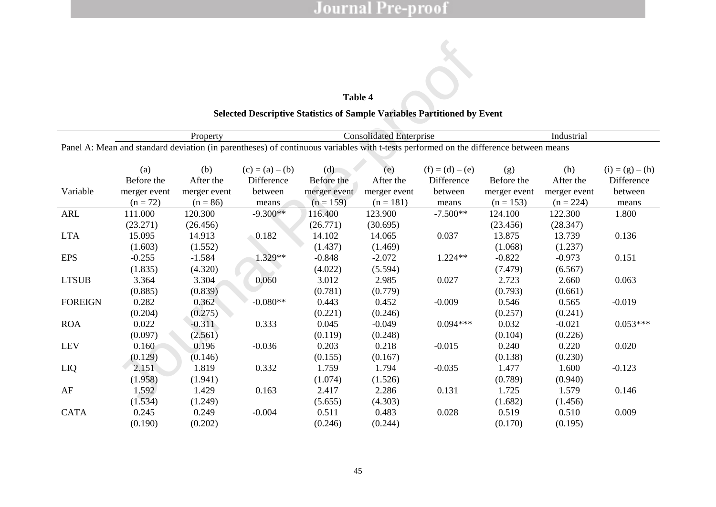## **Table 4 Selected Descriptive Statistics of Sample Variables Partitioned by Event**

|                |              |              |                                                                                                                                      | Table 4      |                                |                     |              |              |                     |
|----------------|--------------|--------------|--------------------------------------------------------------------------------------------------------------------------------------|--------------|--------------------------------|---------------------|--------------|--------------|---------------------|
|                |              |              | <b>Selected Descriptive Statistics of Sample Variables Partitioned by Event</b>                                                      |              |                                |                     |              |              |                     |
|                |              |              |                                                                                                                                      |              |                                |                     |              |              |                     |
|                |              | Property     |                                                                                                                                      |              | <b>Consolidated Enterprise</b> |                     |              | Industrial   |                     |
|                |              |              | Panel A: Mean and standard deviation (in parentheses) of continuous variables with t-tests performed on the difference between means |              |                                |                     |              |              |                     |
|                | (a)          | (b)          | $(c) = (a) \pm (b)$                                                                                                                  | (d)          | (e)                            | $(f) = (d) \pm (e)$ | (g)          | (h)          | $(i) = (g) \pm (h)$ |
|                | Before the   | After the    | Difference                                                                                                                           | Before the   | After the                      | Difference          | Before the   | After the    | Difference          |
| Variable       | merger event | merger event | between                                                                                                                              | merger event | merger event                   | between             | merger event | merger event | between             |
|                | $(n = 72)$   | $(n = 86)$   | means                                                                                                                                | $(n = 159)$  | $(n = 181)$                    | means               | $(n = 153)$  | $(n = 224)$  | means               |
| <b>ARL</b>     | 111.000      | 120.300      | $-9.300**$                                                                                                                           | 116.400      | 123.900                        | $-7.500**$          | 124.100      | 122.300      | 1.800               |
|                | (23.271)     | (26.456)     |                                                                                                                                      | (26.771)     | (30.695)                       |                     | (23.456)     | (28.347)     |                     |
| <b>LTA</b>     | 15.095       | 14.913       | 0.182                                                                                                                                | 14.102       | 14.065                         | 0.037               | 13.875       | 13.739       | 0.136               |
|                | (1.603)      | (1.552)      |                                                                                                                                      | (1.437)      | (1.469)                        |                     | (1.068)      | (1.237)      |                     |
| <b>EPS</b>     | $-0.255$     | $-1.584$     | 1.329**                                                                                                                              | $-0.848$     | $-2.072$                       | 1.224**             | $-0.822$     | $-0.973$     | 0.151               |
|                | (1.835)      | (4.320)      |                                                                                                                                      | (4.022)      | (5.594)                        |                     | (7.479)      | (6.567)      |                     |
| <b>LTSUB</b>   | 3.364        | 3.304        | 0.060                                                                                                                                | 3.012        | 2.985                          | 0.027               | 2.723        | 2.660        | 0.063               |
|                | (0.885)      | (0.839)      |                                                                                                                                      | (0.781)      | (0.779)                        |                     | (0.793)      | (0.661)      |                     |
| <b>FOREIGN</b> | 0.282        | 0.362        | $-0.080**$                                                                                                                           | 0.443        | 0.452                          | $-0.009$            | 0.546        | 0.565        | $-0.019$            |
|                | (0.204)      | (0.275)      |                                                                                                                                      | (0.221)      | (0.246)                        |                     | (0.257)      | (0.241)      |                     |
| <b>ROA</b>     | 0.022        | $-0.311$     | 0.333                                                                                                                                | 0.045        | $-0.049$                       | $0.094***$          | 0.032        | $-0.021$     | $0.053***$          |
|                | (0.097)      | (2.561)      |                                                                                                                                      | (0.119)      | (0.248)                        |                     | (0.104)      | (0.226)      |                     |
| <b>LEV</b>     | 0.160        | 0.196        | $-0.036$                                                                                                                             | 0.203        | 0.218                          | $-0.015$            | 0.240        | 0.220        | 0.020               |
|                | (0.129)      | (0.146)      |                                                                                                                                      | (0.155)      | (0.167)                        |                     | (0.138)      | (0.230)      |                     |
| LIQ            | 2.151        | 1.819        | 0.332                                                                                                                                | 1.759        | 1.794                          | $-0.035$            | 1.477        | 1.600        | $-0.123$            |
|                | (1.958)      | (1.941)      |                                                                                                                                      | (1.074)      | (1.526)                        |                     | (0.789)      | (0.940)      |                     |
| AF             | 1.592        | 1.429        | 0.163                                                                                                                                | 2.417        | 2.286                          | 0.131               | 1.725        | 1.579        | 0.146               |
|                | (1.534)      | (1.249)      |                                                                                                                                      | (5.655)      | (4.303)                        |                     | (1.682)      | (1.456)      |                     |
| <b>CATA</b>    | 0.245        | 0.249        | $-0.004$                                                                                                                             | 0.511        | 0.483                          | 0.028               | 0.519        | 0.510        | 0.009               |
|                | (0.190)      | (0.202)      |                                                                                                                                      | (0.246)      | (0.244)                        |                     | (0.170)      | (0.195)      |                     |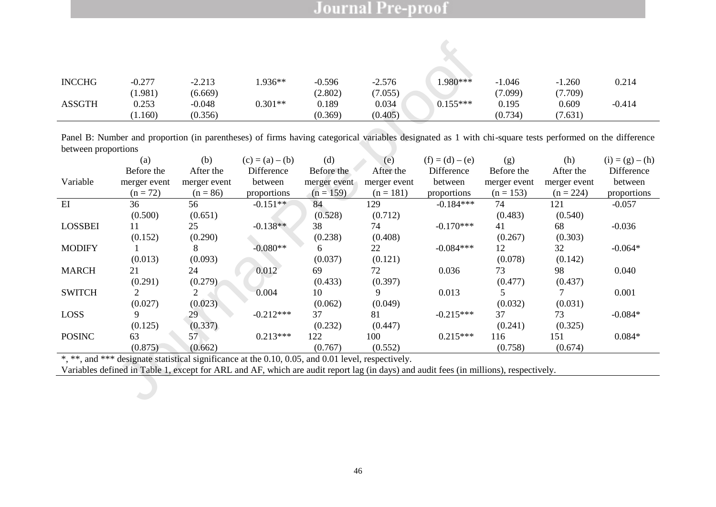| <b>INCCHG</b> | $-0.277$ | $-2.213$ | .936**    | $-0.596$ | $-2.576$ | $.980***$  | $-1.046$ | 1.260   | 0.214    |
|---------------|----------|----------|-----------|----------|----------|------------|----------|---------|----------|
|               | (1.981)  | (6.669)  |           | (2.802)  | 7.055    |            | (7.099)  | (7.709) |          |
| <b>ASSGTH</b> | 0.253    | $-0.048$ | $0.301**$ | 0.189    | 0.034    | $0.155***$ | 0.195    | 0.609   | $-0.414$ |
|               | 1.160    | (0.356)  |           | (0.369)  | (0.405)  |            | (0.734)  | (7.631) |          |

| <b>INCCHG</b>       | $-0.277$         | $-2.213$            | $1.936**$                                                                                                                                               | $-0.596$         | $-2.576$         | $1.980***$          | $-1.046$         | $-1.260$         | 0.214               |
|---------------------|------------------|---------------------|---------------------------------------------------------------------------------------------------------------------------------------------------------|------------------|------------------|---------------------|------------------|------------------|---------------------|
|                     |                  |                     |                                                                                                                                                         |                  |                  |                     |                  |                  |                     |
| <b>ASSGTH</b>       | (1.981)<br>0.253 | (6.669)<br>$-0.048$ | $0.301**$                                                                                                                                               | (2.802)<br>0.189 | (7.055)<br>0.034 | $0.155***$          | (7.099)<br>0.195 | (7.709)<br>0.609 | $-0.414$            |
|                     |                  |                     |                                                                                                                                                         |                  |                  |                     |                  |                  |                     |
|                     | (1.160)          | (0.356)             |                                                                                                                                                         | (0.369)          | (0.405)          |                     | (0.734)          | (7.631)          |                     |
|                     |                  |                     | Panel B: Number and proportion (in parentheses) of firms having categorical variables designated as 1 with chi-square tests performed on the difference |                  |                  |                     |                  |                  |                     |
| between proportions |                  |                     |                                                                                                                                                         |                  |                  |                     |                  |                  |                     |
|                     | (a)              | (b)                 | $(c) = (a) \pm (b)$                                                                                                                                     | (d)              | (e)              | $(f) = (d) \pm (e)$ | (g)              | (h)              | $(i) = (g) \pm (h)$ |
|                     | Before the       | After the           | Difference                                                                                                                                              | Before the       | After the        | Difference          | Before the       | After the        | Difference          |
| Variable            | merger event     | merger event        | between                                                                                                                                                 | merger event     | merger event     | between             | merger event     | merger event     | between             |
|                     | $(n = 72)$       | $(n = 86)$          | proportions                                                                                                                                             | $(n = 159)$      | $(n = 181)$      | proportions         | $(n = 153)$      | $(n = 224)$      | proportions         |
| EI                  | 36               | 56                  | $-0.151**$                                                                                                                                              | 84               | 129              | $-0.184***$         | 74               | 121              | $-0.057$            |
|                     | (0.500)          | (0.651)             |                                                                                                                                                         | (0.528)          | (0.712)          |                     | (0.483)          | (0.540)          |                     |
| <b>LOSSBEI</b>      | 11               | 25                  | $-0.138**$                                                                                                                                              | 38               | 74               | $-0.170***$         | 41               | 68               | $-0.036$            |
|                     | (0.152)          | (0.290)             |                                                                                                                                                         | (0.238)          | (0.408)          |                     | (0.267)          | (0.303)          |                     |
| <b>MODIFY</b>       |                  | 8                   | $-0.080**$                                                                                                                                              | 6                | 22               | $-0.084***$         | 12               | 32               | $-0.064*$           |
|                     | (0.013)          | (0.093)             |                                                                                                                                                         | (0.037)          | (0.121)          |                     | (0.078)          | (0.142)          |                     |
| <b>MARCH</b>        | 21               | 24                  | 0.012                                                                                                                                                   | 69               | 72               | 0.036               | 73               | 98               | 0.040               |
|                     | (0.291)          | (0.279)             |                                                                                                                                                         | (0.433)          | (0.397)          |                     | (0.477)          | (0.437)          |                     |
| <b>SWITCH</b>       | 2                | $\overline{2}$      | 0.004                                                                                                                                                   | 10               | 9                | 0.013               | 5                | 7                | 0.001               |
|                     | (0.027)          | (0.023)             |                                                                                                                                                         | (0.062)          | (0.049)          |                     | (0.032)          | (0.031)          |                     |
| <b>LOSS</b>         | 9                | 29                  | $-0.212***$                                                                                                                                             | 37               | 81               | $-0.215***$         | 37               | 73               | $-0.084*$           |
|                     | (0.125)          | (0.337)             |                                                                                                                                                         | (0.232)          | (0.447)          |                     | (0.241)          | (0.325)          |                     |
| <b>POSINC</b>       | 63               | 57                  | $0.213***$                                                                                                                                              | 122              | 100              | $0.215***$          | 116              | 151              | $0.084*$            |
|                     | (0.875)          | (0.662)             |                                                                                                                                                         | (0.767)          | (0.552)          |                     | (0.758)          | (0.674)          |                     |
|                     |                  |                     | *, **, and *** designate statistical significance at the 0.10, 0.05, and 0.01 level, respectively.                                                      |                  |                  |                     |                  |                  |                     |
|                     |                  |                     | Variables defined in Table 1, except for ARL and AF, which are audit report lag (in days) and audit fees (in millions), respectively.                   |                  |                  |                     |                  |                  |                     |
|                     |                  |                     |                                                                                                                                                         |                  |                  |                     |                  |                  |                     |
|                     |                  |                     |                                                                                                                                                         |                  |                  |                     |                  |                  |                     |
|                     |                  |                     |                                                                                                                                                         |                  |                  |                     |                  |                  |                     |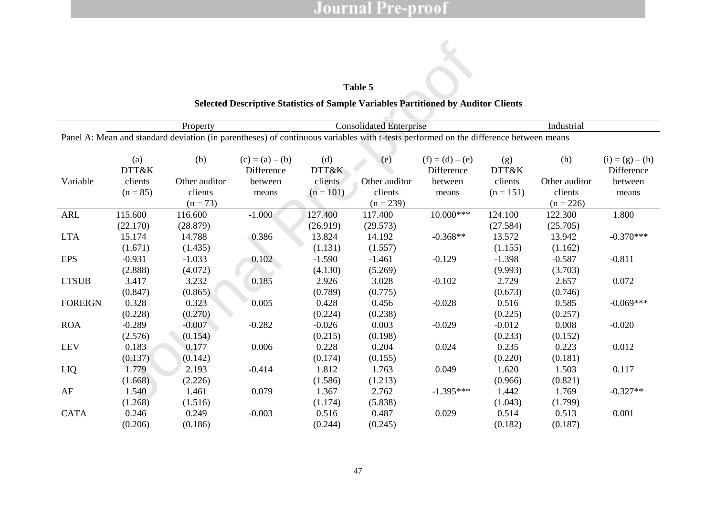|                |                                                          |                                                                                                                                      |                                                                                    |              | Table 5       |                                   |              |               |                                   |  |  |
|----------------|----------------------------------------------------------|--------------------------------------------------------------------------------------------------------------------------------------|------------------------------------------------------------------------------------|--------------|---------------|-----------------------------------|--------------|---------------|-----------------------------------|--|--|
|                |                                                          |                                                                                                                                      | Selected Descriptive Statistics of Sample Variables Partitioned by Auditor Clients |              |               |                                   |              |               |                                   |  |  |
|                | <b>Consolidated Enterprise</b><br>Industrial<br>Property |                                                                                                                                      |                                                                                    |              |               |                                   |              |               |                                   |  |  |
|                |                                                          | Panel A: Mean and standard deviation (in parentheses) of continuous variables with t-tests performed on the difference between means |                                                                                    |              |               |                                   |              |               |                                   |  |  |
|                |                                                          |                                                                                                                                      |                                                                                    |              |               |                                   |              |               |                                   |  |  |
|                | (a)<br>DTT&K                                             | (b)                                                                                                                                  | $(c) = (a) \pm (b)$<br>Difference                                                  | (d)<br>DTT&K | (e)           | $(f) = (d) \pm (e)$<br>Difference | (g)<br>DTT&K | (h)           | $(i) = (g) \pm (h)$<br>Difference |  |  |
| Variable       | clients                                                  | Other auditor                                                                                                                        | between                                                                            | clients      | Other auditor | between                           | clients      | Other auditor | between                           |  |  |
|                | $(n = 85)$                                               | clients                                                                                                                              | means                                                                              | $(n = 101)$  | clients       | means                             | $(n = 151)$  | clients       | means                             |  |  |
|                |                                                          | $(n = 73)$                                                                                                                           |                                                                                    |              | $(n = 239)$   |                                   |              | $(n = 226)$   |                                   |  |  |
| <b>ARL</b>     | 115.600                                                  | 116.600                                                                                                                              | $-1.000$                                                                           | 127.400      | 117.400       | 10.000***                         | 124.100      | 122.300       | 1.800                             |  |  |
|                | (22.170)                                                 | (28.879)                                                                                                                             |                                                                                    | (26.919)     | (29.573)      |                                   | (27.584)     | (25.705)      |                                   |  |  |
| <b>LTA</b>     | 15.174                                                   | 14.788                                                                                                                               | 0.386                                                                              | 13.824       | 14.192        | $-0.368**$                        | 13.572       | 13.942        | $-0.370***$                       |  |  |
|                | (1.671)                                                  | (1.435)                                                                                                                              |                                                                                    | (1.131)      | (1.557)       |                                   | (1.155)      | (1.162)       |                                   |  |  |
| <b>EPS</b>     | $-0.931$                                                 | $-1.033$                                                                                                                             | 0.102                                                                              | $-1.590$     | $-1.461$      | $-0.129$                          | $-1.398$     | $-0.587$      | $-0.811$                          |  |  |
|                | (2.888)                                                  | (4.072)                                                                                                                              |                                                                                    | (4.130)      | (5.269)       |                                   | (9.993)      | (3.703)       |                                   |  |  |
| <b>LTSUB</b>   | 3.417                                                    | 3.232                                                                                                                                | 0.185                                                                              | 2.926        | 3.028         | $-0.102$                          | 2.729        | 2.657         | 0.072                             |  |  |
|                | (0.847)                                                  | (0.865)                                                                                                                              |                                                                                    | (0.789)      | (0.775)       |                                   | (0.673)      | (0.746)       |                                   |  |  |
| <b>FOREIGN</b> | 0.328                                                    | 0.323                                                                                                                                | 0.005                                                                              | 0.428        | 0.456         | $-0.028$                          | 0.516        | 0.585         | $-0.069***$                       |  |  |
|                | (0.228)                                                  | (0.270)                                                                                                                              |                                                                                    | (0.224)      | (0.238)       |                                   | (0.225)      | (0.257)       |                                   |  |  |
| <b>ROA</b>     | $-0.289$                                                 | $-0.007$                                                                                                                             | $-0.282$                                                                           | $-0.026$     | 0.003         | $-0.029$                          | $-0.012$     | 0.008         | $-0.020$                          |  |  |
|                | (2.576)                                                  | (0.154)                                                                                                                              |                                                                                    | (0.215)      | (0.198)       |                                   | (0.233)      | (0.152)       |                                   |  |  |
| <b>LEV</b>     | 0.183                                                    | 0.177                                                                                                                                | 0.006                                                                              | 0.228        | 0.204         | 0.024                             | 0.235        | 0.223         | 0.012                             |  |  |
|                | (0.137)                                                  | (0.142)                                                                                                                              |                                                                                    | (0.174)      | (0.155)       |                                   | (0.220)      | (0.181)       |                                   |  |  |
| LIQ            | 1.779                                                    | 2.193                                                                                                                                | $-0.414$                                                                           | 1.812        | 1.763         | 0.049                             | 1.620        | 1.503         | 0.117                             |  |  |
|                | (1.668)                                                  | (2.226)                                                                                                                              |                                                                                    | (1.586)      | (1.213)       |                                   | (0.966)      | (0.821)       |                                   |  |  |
| AF             | 1.540                                                    | 1.461                                                                                                                                | 0.079                                                                              | 1.367        | 2.762         | $-1.395***$                       | 1.442        | 1.769         | $-0.327**$                        |  |  |
|                | (1.268)                                                  | (1.516)                                                                                                                              |                                                                                    | (1.174)      | (5.838)       |                                   | (1.043)      | (1.799)       |                                   |  |  |
| <b>CATA</b>    | 0.246                                                    | 0.249                                                                                                                                | $-0.003$                                                                           | 0.516        | 0.487         | 0.029                             | 0.514        | 0.513         | 0.001                             |  |  |
|                | (0.206)                                                  | (0.186)                                                                                                                              |                                                                                    | (0.244)      | (0.245)       |                                   | (0.182)      | (0.187)       |                                   |  |  |

## <span id="page-49-0"></span>**Table 5**

## **Selected Descriptive Statistics of Sample Variables Partitioned by Auditor Clients**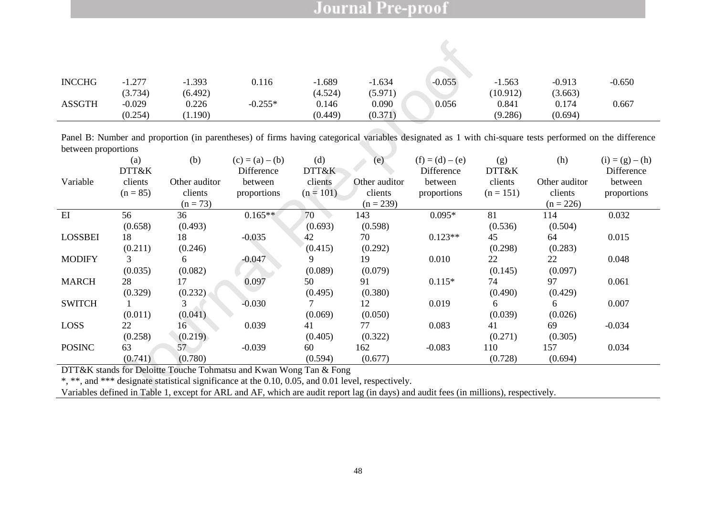| <b>INCCHG</b> | 1 777    | $-1.393$ | 0.116     | .689    | $-1.634$ | $-0.055$ | 1.563    | $-0.913$ | $-0.650$ |
|---------------|----------|----------|-----------|---------|----------|----------|----------|----------|----------|
|               | (3.734)  | (6.492)  |           | (4.524) | (5.971)  |          | (10.912) | (3.663)  |          |
| <b>ASSGTH</b> | $-0.029$ | 0.226    | $-0.255*$ | 0.146   | 0.090    | 0.056    | 0.841    | 0.174    | 0.667    |
|               | (0.254)  | 1.190    |           | (0.449) | (0.371)  |          | (9.286)  | (0.694)  |          |

| <b>INCCHG</b>                                                                                                                                                                                                                                                                                                     | $-1.277$                       | $-1.393$                    | 0.116                             | $-1.689$                    | $-1.634$                    | $-0.055$                          | $-1.563$                     | $-0.913$                    | $-0.650$                          |
|-------------------------------------------------------------------------------------------------------------------------------------------------------------------------------------------------------------------------------------------------------------------------------------------------------------------|--------------------------------|-----------------------------|-----------------------------------|-----------------------------|-----------------------------|-----------------------------------|------------------------------|-----------------------------|-----------------------------------|
| <b>ASSGTH</b>                                                                                                                                                                                                                                                                                                     | (3.734)<br>$-0.029$<br>(0.254) | (6.492)<br>0.226<br>(1.190) | $-0.255*$                         | (4.524)<br>0.146<br>(0.449) | (5.971)<br>0.090<br>(0.371) | 0.056                             | (10.912)<br>0.841<br>(9.286) | (3.663)<br>0.174<br>(0.694) | 0.667                             |
| Panel B: Number and proportion (in parentheses) of firms having categorical variables designated as 1 with chi-square tests performed on the difference<br>between proportions                                                                                                                                    |                                |                             |                                   |                             |                             |                                   |                              |                             |                                   |
|                                                                                                                                                                                                                                                                                                                   | (a)<br>DTT&K                   | (b)                         | $(c) = (a) \pm (b)$<br>Difference | (d)<br>DTT&K                | (e)                         | $(f) = (d) \pm (e)$<br>Difference | (g)<br>DTT&K                 | (h)                         | $(i) = (g) \pm (h)$<br>Difference |
| Variable                                                                                                                                                                                                                                                                                                          | clients                        | Other auditor               | between                           | clients                     | Other auditor               | between                           | clients                      | Other auditor               | between                           |
|                                                                                                                                                                                                                                                                                                                   | $(n = 85)$                     | clients                     | proportions                       | $(n = 101)$                 | clients                     | proportions                       | $(n = 151)$                  | clients                     | proportions                       |
|                                                                                                                                                                                                                                                                                                                   |                                | $(n = 73)$                  |                                   |                             | $(n = 239)$                 |                                   |                              | $(n = 226)$                 |                                   |
| EI                                                                                                                                                                                                                                                                                                                | 56                             | 36                          | $0.165**$                         | 70                          | 143                         | $0.095*$                          | 81                           | 114                         | 0.032                             |
|                                                                                                                                                                                                                                                                                                                   | (0.658)                        | (0.493)                     |                                   | (0.693)                     | (0.598)                     |                                   | (0.536)                      | (0.504)                     |                                   |
| <b>LOSSBEI</b>                                                                                                                                                                                                                                                                                                    | 18                             | 18                          | $-0.035$                          | 42                          | 70                          | $0.123**$                         | 45                           | 64                          | 0.015                             |
|                                                                                                                                                                                                                                                                                                                   | (0.211)                        | (0.246)                     |                                   | (0.415)                     | (0.292)                     |                                   | (0.298)                      | (0.283)                     |                                   |
| <b>MODIFY</b>                                                                                                                                                                                                                                                                                                     | 3                              | 6                           | $-0.047$                          | 9                           | 19                          | 0.010                             | 22                           | 22                          | 0.048                             |
|                                                                                                                                                                                                                                                                                                                   | (0.035)                        | (0.082)                     |                                   | (0.089)                     | (0.079)                     |                                   | (0.145)                      | (0.097)                     |                                   |
| <b>MARCH</b>                                                                                                                                                                                                                                                                                                      | 28                             | 17                          | 0.097                             | 50                          | 91                          | $0.115*$                          | 74                           | 97                          | 0.061                             |
|                                                                                                                                                                                                                                                                                                                   | (0.329)                        | (0.232)                     |                                   | (0.495)                     | (0.380)                     |                                   | (0.490)                      | (0.429)                     |                                   |
| <b>SWITCH</b>                                                                                                                                                                                                                                                                                                     |                                | 3                           | $-0.030$                          | 7                           | 12                          | 0.019                             | 6                            | 6                           | 0.007                             |
|                                                                                                                                                                                                                                                                                                                   | (0.011)                        | (0.041)                     |                                   | (0.069)                     | (0.050)                     |                                   | (0.039)                      | (0.026)                     |                                   |
| LOSS                                                                                                                                                                                                                                                                                                              | 22                             | 16                          | 0.039                             | 41                          | 77                          | 0.083                             | 41                           | 69                          | $-0.034$                          |
|                                                                                                                                                                                                                                                                                                                   | (0.258)                        | (0.219)                     |                                   | (0.405)                     | (0.322)                     |                                   | (0.271)                      | (0.305)                     |                                   |
| <b>POSINC</b>                                                                                                                                                                                                                                                                                                     | 63                             | 57                          | $-0.039$                          | 60                          | 162                         | $-0.083$                          | 110                          | 157                         | 0.034                             |
|                                                                                                                                                                                                                                                                                                                   | (0.741)                        | (0.780)                     |                                   | (0.594)                     | (0.677)                     |                                   | (0.728)                      | (0.694)                     |                                   |
| DTT&K stands for Deloitte Touche Tohmatsu and Kwan Wong Tan & Fong<br>*, **, and *** designate statistical significance at the 0.10, 0.05, and 0.01 level, respectively.<br>Variables defined in Table 1, except for ARL and AF, which are audit report lag (in days) and audit fees (in millions), respectively. |                                |                             |                                   |                             |                             |                                   |                              |                             |                                   |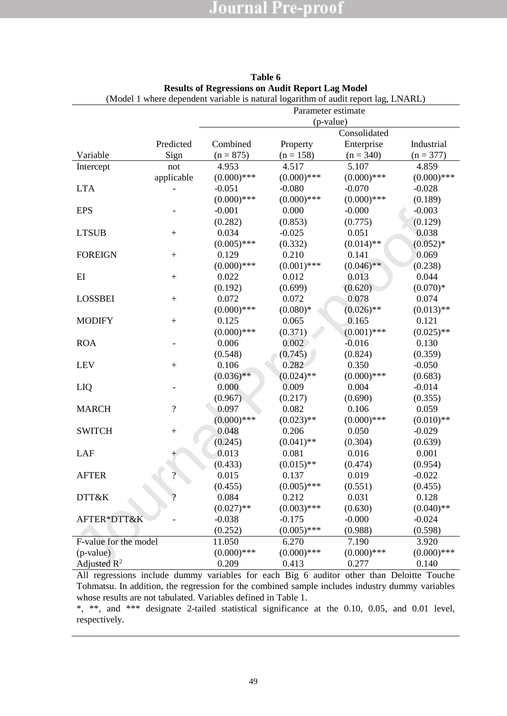|                       |                          |               | Parameter estimate |               |               |
|-----------------------|--------------------------|---------------|--------------------|---------------|---------------|
|                       |                          |               | (p-value)          |               |               |
|                       |                          |               |                    | Consolidated  |               |
|                       | Predicted                | Combined      | Property           | Enterprise    | Industrial    |
| Variable              | Sign                     | $(n = 875)$   | $(n = 158)$        | $(n = 340)$   | $(n = 377)$   |
| Intercept             | not                      | 4.953         | 4.517              | 5.107         | 4.859         |
|                       | applicable               | $(0.000)$ *** | $(0.000)$ ***      | $(0.000)$ *** | $(0.000)$ *** |
| <b>LTA</b>            |                          | $-0.051$      | $-0.080$           | $-0.070$      | $-0.028$      |
|                       |                          | $(0.000)$ *** | $(0.000)$ ***      | $(0.000)$ *** | (0.189)       |
| <b>EPS</b>            |                          | $-0.001$      | 0.000              | $-0.000$      | $-0.003$      |
|                       |                          | (0.282)       | (0.853)            | (0.775)       | (0.129)       |
| <b>LTSUB</b>          | $+$                      | 0.034         | $-0.025$           | 0.051         | 0.038         |
|                       |                          | $(0.005)$ *** | (0.332)            | $(0.014)$ **  | $(0.052)*$    |
| <b>FOREIGN</b>        | $^{+}$                   | 0.129         | 0.210              | 0.141         | 0.069         |
|                       |                          | $(0.000)$ *** | $(0.001)$ ***      | $(0.046)$ **  | (0.238)       |
| $E$ I                 | $\boldsymbol{+}$         | 0.022         | 0.012              | 0.013         | 0.044         |
|                       |                          | (0.192)       | (0.699)            | (0.620)       | $(0.070)*$    |
| <b>LOSSBEI</b>        | $+$                      | 0.072         | 0.072              | 0.078         | 0.074         |
|                       |                          | $(0.000)$ *** | $(0.080)*$         | $(0.026)$ **  | $(0.013)$ **  |
| <b>MODIFY</b>         | $+$                      | 0.125         | 0.065              | 0.165         | 0.121         |
|                       |                          | $(0.000)$ *** | (0.371)            | $(0.001)$ *** | $(0.025)$ **  |
| <b>ROA</b>            |                          | 0.006         | 0.002              | $-0.016$      | 0.130         |
|                       |                          | (0.548)       | (0.745)            | (0.824)       | (0.359)       |
| <b>LEV</b>            | $+$                      | 0.106         | 0.282              | 0.350         | $-0.050$      |
|                       |                          | $(0.036)$ **  | $(0.024)$ **       | $(0.000)$ *** | (0.683)       |
| LIQ                   |                          | 0.000         | 0.009              | 0.004         | $-0.014$      |
|                       |                          | (0.967)       | (0.217)            | (0.690)       | (0.355)       |
| <b>MARCH</b>          | $\overline{\mathcal{L}}$ | 0.097         | 0.082              | 0.106         | 0.059         |
|                       |                          | $(0.000)$ *** | $(0.023)$ **       | $(0.000)$ *** | $(0.010)$ **  |
| <b>SWITCH</b>         | $+$                      | 0.048         | 0.206              | 0.050         | $-0.029$      |
|                       |                          | (0.245)       | $(0.041)$ **       | (0.304)       | (0.639)       |
| <b>LAF</b>            |                          | 0.013         | 0.081              | 0.016         | 0.001         |
|                       |                          | (0.433)       | $(0.015)$ **       | (0.474)       | (0.954)       |
| <b>AFTER</b>          | $\overline{?}$           | 0.015         | 0.137              | 0.019         | $-0.022$      |
|                       |                          | (0.455)       | $(0.005)$ ***      | (0.551)       | (0.455)       |
| DTT&K                 | $\gamma$                 | 0.084         | 0.212              | 0.031         | 0.128         |
|                       |                          | $(0.027)$ **  | $(0.003)$ ***      | (0.630)       | $(0.040)$ **  |
| AFTER*DTT&K           |                          | $-0.038$      | $-0.175$           | $-0.000$      | $-0.024$      |
|                       |                          | (0.252)       | $(0.005)$ ***      | (0.988)       | (0.598)       |
| F-value for the model |                          | 11.050        | 6.270              | 7.190         | 3.920         |
| (p-value)             |                          | $(0.000)$ *** | $(0.000)$ ***      | $(0.000)$ *** | $(0.000)$ *** |
| Adjusted $R^2$        |                          | 0.209         | 0.413              | 0.277         | 0.140         |

#### <span id="page-51-0"></span>**Table 6 Results of Regressions on Audit Report Lag Model** (Model 1 where dependent variable is natural logarithm of audit report lag, LNARL)

All regressions include dummy variables for each Big 6 auditor other than Deloitte Touche Tohmatsu. In addition, the regression for the combined sample includes industry dummy variables whose results are not tabulated. Variables defined in Table 1.

\*, \*\*, and \*\*\* designate 2-tailed statistical significance at the 0.10, 0.05, and 0.01 level, respectively.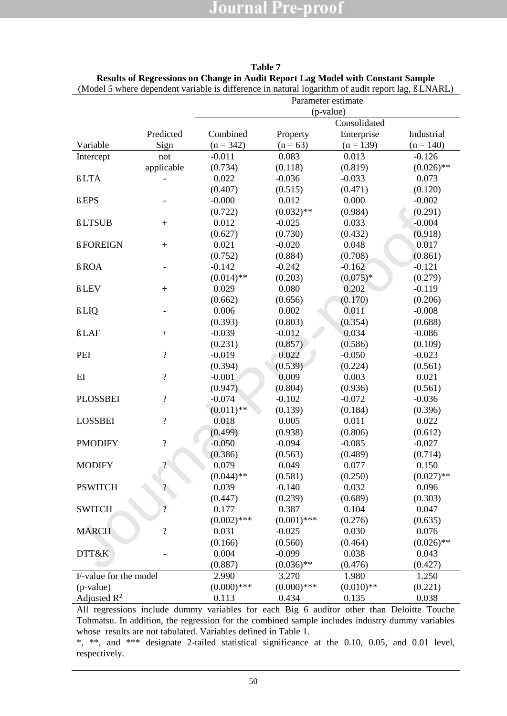|                       |                          |               |               | Parameter estimate |              |
|-----------------------|--------------------------|---------------|---------------|--------------------|--------------|
|                       |                          |               |               | (p-value)          |              |
|                       |                          |               |               | Consolidated       |              |
|                       | Predicted                | Combined      | Property      | Enterprise         | Industrial   |
| Variable              | Sign                     | $(n = 342)$   | $(n = 63)$    | $(n = 139)$        | $(n = 140)$  |
| Intercept             | not                      | $-0.011$      | 0.083         | 0.013              | $-0.126$     |
|                       | applicable               | (0.734)       | (0.118)       | (0.819)            | $(0.026)$ ** |
| û LTA                 |                          | 0.022         | $-0.036$      | $-0.033$           | 0.073        |
|                       |                          | (0.407)       | (0.515)       | (0.471)            | (0.120)      |
| û EPS                 |                          | $-0.000$      | 0.012         | 0.000              | $-0.002$     |
|                       |                          | (0.722)       | $(0.032)$ **  | (0.984)            | (0.291)      |
| û LTSUB               | $+$                      | 0.012         | $-0.025$      | 0.033              | $-0.004$     |
|                       |                          | (0.627)       | (0.730)       | (0.432)            | (0.918)      |
| û FOREIGN             | $+$                      | 0.021         | $-0.020$      | 0.048              | 0.017        |
|                       |                          | (0.752)       | (0.884)       | (0.708)            | (0.861)      |
| û ROA                 |                          | $-0.142$      | $-0.242$      | $-0.162$           | $-0.121$     |
|                       |                          | $(0.014)$ **  | (0.203)       | $(0.075)*$         | (0.279)      |
| û LEV                 | $\boldsymbol{+}$         | 0.029         | 0.080         | 0.202              | $-0.119$     |
|                       |                          | (0.662)       | (0.656)       | (0.170)            | (0.206)      |
| û LIQ                 |                          | 0.006         | 0.002         | 0.011              | $-0.008$     |
|                       |                          | (0.393)       | (0.803)       | (0.354)            | (0.688)      |
| ûLAF                  | $+$                      | $-0.039$      | $-0.012$      | 0.034              | $-0.086$     |
|                       |                          | (0.231)       | (0.857)       | (0.586)            | (0.109)      |
| PEI                   | $\overline{?}$           | $-0.019$      | 0.022         | $-0.050$           | $-0.023$     |
|                       |                          | (0.394)       | (0.539)       | (0.224)            | (0.561)      |
| EI                    | $\overline{?}$           | $-0.001$      | 0.009         | 0.003              | 0.021        |
|                       |                          | (0.947)       | (0.804)       | (0.936)            | (0.561)      |
| <b>PLOSSBEI</b>       | $\overline{\mathcal{C}}$ | $-0.074$      | $-0.102$      | $-0.072$           | $-0.036$     |
|                       |                          | $(0.011)$ **  | (0.139)       | (0.184)            | (0.396)      |
| <b>LOSSBEI</b>        | $\overline{\mathcal{L}}$ | 0.018         | 0.005         | 0.011              | 0.022        |
|                       |                          | (0.499)       | (0.938)       | (0.806)            | (0.612)      |
| <b>PMODIFY</b>        | $\overline{?}$           | $-0.050$      | $-0.094$      | $-0.085$           | $-0.027$     |
|                       |                          | (0.386)       | (0.563)       | (0.489)            | (0.714)      |
| <b>MODIFY</b>         | $\gamma$                 | 0.079         | 0.049         | 0.077              | 0.150        |
|                       |                          | $(0.044)$ **  | (0.581)       | (0.250)            | $(0.027)$ ** |
| <b>PSWITCH</b>        | $\overline{?}$           | 0.039         | $-0.140$      | 0.032              | 0.096        |
|                       |                          | (0.447)       | (0.239)       | (0.689)            | (0.303)      |
| <b>SWITCH</b>         | $\overline{?}$           | 0.177         | 0.387         | 0.104              | 0.047        |
|                       |                          | $(0.002)$ *** | $(0.001)$ *** | (0.276)            | (0.635)      |
| <b>MARCH</b>          | $\overline{?}$           | 0.031         | $-0.025$      | 0.030              | 0.076        |
|                       |                          | (0.166)       | (0.560)       | (0.464)            | $(0.026)$ ** |
| DTT&K                 |                          | 0.004         | $-0.099$      | 0.038              | 0.043        |
|                       |                          | (0.887)       | $(0.036)$ **  | (0.476)            | (0.427)      |
| F-value for the model |                          | 2.990         | 3.270         | 1.980              | 1.250        |
| (p-value)             |                          | $(0.000)$ *** | $(0.000)$ *** | $(0.010)$ **       | (0.221)      |
| Adjusted $R^2$        |                          | 0.113         | 0.434         | 0.135              | 0.038        |

**Table 7 Results of Regressions on Change in Audit Report Lag Model with Constant Sample** (Model 5 where dependent variable is difference in natural logarithm of audit report lag, û LNARL)

All regressions include dummy variables for each Big 6 auditor other than Deloitte Touche Tohmatsu. In addition, the regression for the combined sample includes industry dummy variables whose results are not tabulated. Variables defined in Table 1.

\*, \*\*, and \*\*\* designate 2-tailed statistical significance at the 0.10, 0.05, and 0.01 level, respectively.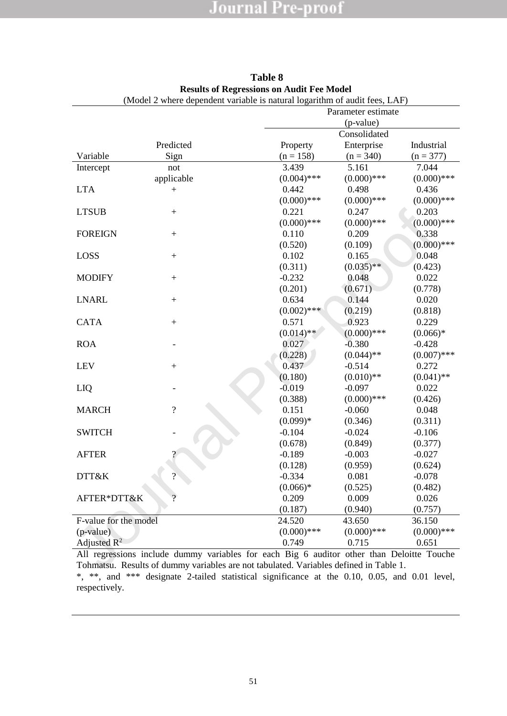|                       |                          | ( <i>wouch</i> 2 where dependent variable is natural logarithm of addit rees, $E/N$ $\mu$ | Parameter estimate |                     |
|-----------------------|--------------------------|-------------------------------------------------------------------------------------------|--------------------|---------------------|
|                       |                          |                                                                                           | (p-value)          |                     |
|                       |                          |                                                                                           | Consolidated       |                     |
|                       | Predicted                |                                                                                           |                    | Industrial          |
|                       |                          | Property                                                                                  | Enterprise         |                     |
| Variable              | Sign                     | $(n = 158)$                                                                               | $(n = 340)$        | $(n = 377)$         |
| Intercept             | not                      | 3.439                                                                                     | 5.161              | 7.044               |
|                       | applicable               | $(0.004)$ ***                                                                             | $(0.000)$ ***      | $(0.000)$ ***       |
| <b>LTA</b>            | $\mathrm{+}$             | 0.442                                                                                     | 0.498              | 0.436               |
|                       |                          | $(0.000)$ ***                                                                             | $(0.000)$ ***      | $(0.000)$ ***       |
| <b>LTSUB</b>          | $+$                      | 0.221                                                                                     | 0.247              | 0.203               |
|                       |                          | $(0.000)$ ***                                                                             | $(0.000)$ ***      | $(0.000)$ ***       |
| <b>FOREIGN</b>        | $+$                      | 0.110                                                                                     | 0.209              | 0.338               |
|                       |                          | (0.520)                                                                                   | (0.109)            | $(0.000)$ ***       |
| LOSS                  | $\boldsymbol{+}$         | 0.102                                                                                     | 0.165              | 0.048               |
|                       |                          | (0.311)                                                                                   | $(0.035)$ **       | (0.423)             |
| <b>MODIFY</b>         | $+$                      | $-0.232$                                                                                  | 0.048              | 0.022               |
|                       |                          | (0.201)                                                                                   | (0.671)            | (0.778)             |
| <b>LNARL</b>          | $+$                      | 0.634                                                                                     | 0.144              | 0.020               |
|                       |                          | $(0.002)$ ***                                                                             | (0.219)            | (0.818)             |
| <b>CATA</b>           | $+$                      | 0.571                                                                                     | 0.923              | 0.229               |
|                       |                          | $(0.014)$ **                                                                              | $(0.000)$ ***      | $(0.066)*$          |
| <b>ROA</b>            |                          | 0.027                                                                                     | $-0.380$           | $-0.428$            |
|                       |                          | (0.228)                                                                                   | $(0.044)$ **       | $(0.007)$ ***       |
| <b>LEV</b>            | $+$                      | 0.437                                                                                     | $-0.514$           | 0.272               |
|                       |                          | (0.180)                                                                                   | $(0.010)$ **       | $(0.041)$ **        |
| LIQ                   |                          | $-0.019$                                                                                  | $-0.097$           | 0.022               |
|                       |                          | (0.388)                                                                                   | $(0.000)$ ***      | (0.426)             |
| <b>MARCH</b>          | $\overline{\mathcal{L}}$ | 0.151                                                                                     | $-0.060$           | 0.048               |
|                       |                          | $(0.099)*$                                                                                | (0.346)            | (0.311)             |
| <b>SWITCH</b>         |                          | $-0.104$                                                                                  | $-0.024$           | $-0.106$            |
|                       |                          | (0.678)                                                                                   | (0.849)            | (0.377)             |
| <b>AFTER</b>          |                          | $-0.189$                                                                                  | $-0.003$           | $-0.027$            |
|                       |                          | (0.128)                                                                                   | (0.959)            |                     |
| DTT&K                 | $\gamma$                 | $-0.334$                                                                                  | 0.081              | (0.624)<br>$-0.078$ |
|                       |                          |                                                                                           |                    |                     |
|                       | $\Omega$                 | $(0.066)*$                                                                                | (0.525)            | (0.482)             |
| AFTER*DTT&K           |                          | 0.209                                                                                     | 0.009              | 0.026               |
|                       |                          | (0.187)                                                                                   | (0.940)            | (0.757)             |
| F-value for the model |                          | 24.520                                                                                    | 43.650             | 36.150              |
| (p-value)             |                          | $(0.000)$ ***                                                                             | $(0.000)$ ***      | $(0.000)$ ***       |
| Adjusted $R^2$        |                          | 0.749                                                                                     | 0.715              | 0.651               |
|                       |                          | All regressions include dummy variables for each Big 6 auditor other than Deloitte Touche |                    |                     |
|                       |                          | Tohmatsu. Results of dummy variables are not tabulated. Variables defined in Table 1.     |                    |                     |

#### **Table 8 Results of Regressions on Audit Fee Model** (Model 2 where dependent variable is natural logarithm of audit fees, LAF)

All regressions include dummy variables for each Big 6 auditor other than Deloitte Touche Tohmatsu. Results of dummy variables are not tabulated. Variables defined in Table 1. \*, \*\*, and \*\*\* designate 2-tailed statistical significance at the 0.10, 0.05, and 0.01 level, respectively.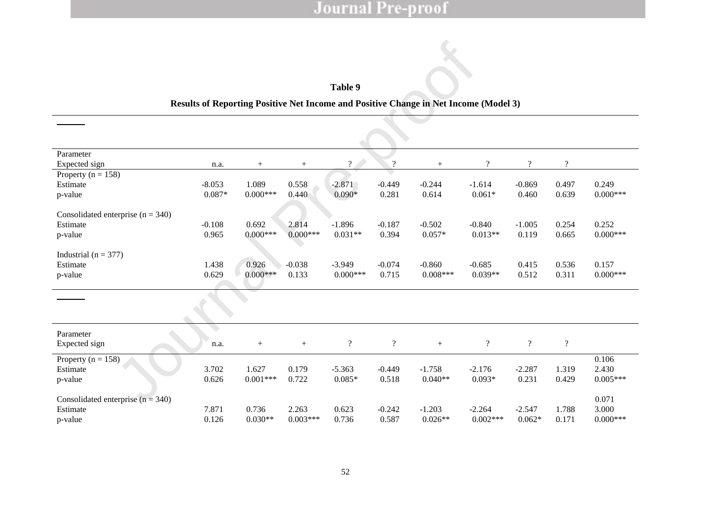### **Table 9**

#### **Results of Reporting Positive Net Income and Positive Change in Net Income (Model 3)**

#### Panel A

#### POSINC=  $c_0$  +  $c_1$ LTA +  $c_2$ ASSGTH+  $c_3$ LEV +  $c_4$ LTSUB+  $c_5$ LAF +  $c_6$ AFTER+  $c_7$ DTT&K +  $c_8$ AFTER\*DTT&K

|                                                            |                        |                          |                       | Table 9                |                                  |                                                                                                                                                                                                              |                                  |                            |                   |                                    |
|------------------------------------------------------------|------------------------|--------------------------|-----------------------|------------------------|----------------------------------|--------------------------------------------------------------------------------------------------------------------------------------------------------------------------------------------------------------|----------------------------------|----------------------------|-------------------|------------------------------------|
|                                                            |                        |                          |                       |                        |                                  | Results of Reporting Positive Net Income and Positive Change in Net Income (Model 3)                                                                                                                         |                                  |                            |                   |                                    |
| Panel A                                                    |                        |                          |                       |                        |                                  |                                                                                                                                                                                                              |                                  |                            |                   |                                    |
|                                                            |                        |                          |                       |                        |                                  | POSINC= C <sub>0</sub> + C <sub>1</sub> LTA + C <sub>2</sub> ASSGTH+ C <sub>3</sub> LEV + C <sub>4</sub> LTSUB+ C <sub>5</sub> LAF + C <sub>6</sub> AFTER+ C <sub>7</sub> DTT&K + C <sub>6</sub> AFTER*DTT&K |                                  |                            |                   |                                    |
| Parameter<br>Expected sign                                 | $\mathbf{C}_0$<br>n.a. | C <sub>1</sub><br>$^{+}$ | C <sub>2</sub><br>$+$ | $C_3$<br>$\gamma$      | C <sub>4</sub><br>$\gamma$       | C <sub>5</sub><br>$+$                                                                                                                                                                                        | $C_6$<br>$\gamma$                | $\mathbb{C}_7$<br>$\gamma$ | $C_8$<br>$\gamma$ | Pseudo R<br>sig.level              |
| Property ( $n = 158$ )<br>Estimate<br>p-value              | $-8.053$<br>$0.087*$   | 1.089<br>$0.000***$      | 0.558<br>0.440        | $-2.871$<br>$0.090*$   | $-0.449$<br>0.281                | $-0.244$<br>0.614                                                                                                                                                                                            | $-1.614$<br>$0.061*$             | $-0.869$<br>0.460          | 0.497<br>0.639    | 0.249<br>$0.000***$                |
| Consolidated enterprise $(n = 340)$<br>Estimate<br>p-value | $-0.108$<br>0.965      | 0.692<br>$0.000***$      | 2.814<br>$0.000***$   | $-1.896$<br>$0.031**$  | $-0.187$<br>0.394                | $-0.502$<br>$0.057*$                                                                                                                                                                                         | $-0.840$<br>$0.013**$            | $-1.005$<br>0.119          | 0.254<br>0.665    | 0.252<br>$0.000***$                |
| Industrial ( $n = 377$ )<br>Estimate<br>p-value            | 1.438<br>0.629         | 0.926<br>$0.000***$      | $-0.038$<br>0.133     | $-3.949$<br>$0.000***$ | $-0.074$<br>0.715                | $-0.860$<br>$0.008***$                                                                                                                                                                                       | $-0.685$<br>$0.039**$            | 0.415<br>0.512             | 0.536<br>0.311    | 0.157<br>$0.000***$                |
| Pand B                                                     |                        |                          |                       |                        |                                  | $INCCHG = C0 + C1LTA + C2ASSGTH+ C3LEV + C4LTSUB+ C5LAF + C6AFFTER + C7DTT&K + C8AFFTER*DTT&K$                                                                                                               |                                  |                            |                   |                                    |
| Parameter<br>Expected sign                                 | $C_0$<br>n.a.          | C <sub>1</sub><br>$^{+}$ | $\mathrm{C}_2$<br>$+$ | $C_3$<br>$\gamma$      | C <sub>4</sub><br>$\overline{?}$ | C <sub>5</sub><br>$+$                                                                                                                                                                                        | $\mathrm{C}_6$<br>$\overline{?}$ | C <sub>7</sub><br>$\gamma$ | $C_8$<br>$\gamma$ | Adj. $R^2$<br>F-value<br>sig.level |
| Property ( $n = 158$ )<br>Estimate<br>p-value              | 3.702<br>0.626         | 1.627<br>$0.001***$      | 0.179<br>0.722        | $-5.363$<br>$0.085*$   | $-0.449$<br>0.518                | $-1.758$<br>$0.040**$                                                                                                                                                                                        | $-2.176$<br>$0.093*$             | $-2.287$<br>0.231          | 1.319<br>0.429    | 0.106<br>2.430<br>$0.005***$       |
| Consolidated enterprise ( $n = 340$ )                      |                        |                          |                       |                        |                                  |                                                                                                                                                                                                              |                                  |                            |                   | 0.071                              |

### Pane<sup>B</sup>

#### $INCCHG = C<sub>0</sub> + C<sub>1</sub>LTA + C<sub>2</sub>ASSGTH+ C<sub>3</sub>LEV + C<sub>4</sub>LTSUB+ C<sub>5</sub>LAF + C<sub>6</sub>AFFTER + C<sub>7</sub>DTT&K + C<sub>8</sub>AFFTER*DTT&K$

| Parameter<br>Expected sign            | $\mathtt{C}_0$<br>n.a. | C <sub>1</sub><br>$^+$ | C <sub>2</sub><br>$^+$ | $C_3$    | C <sub>4</sub> | C <sub>5</sub><br>$^{+}$ | $c_{6}$    | C <sub>7</sub> | $C_8$ | Adj. $\mathbb{R}^2$<br>F-value<br>sig.level |
|---------------------------------------|------------------------|------------------------|------------------------|----------|----------------|--------------------------|------------|----------------|-------|---------------------------------------------|
| Property ( $n = 158$ )                |                        |                        |                        |          |                |                          |            |                |       | 0.106                                       |
| Estimate                              | 3.702                  | .627                   | 0.179                  | $-5.363$ | $-0.449$       | $-1.758$                 | $-2.176$   | $-2.287$       | .319  | 2.430                                       |
| p-value                               | 0.626                  | $0.001***$             | 0.722                  | $0.085*$ | 0.518          | $0.040**$                | $0.093*$   | 0.231          | 0.429 | $0.005***$                                  |
| Consolidated enterprise ( $n = 340$ ) |                        |                        |                        |          |                |                          |            |                |       | 0.071                                       |
| Estimate                              | 7.871                  | 0.736                  | 2.263                  | 0.623    | $-0.242$       | $-1.203$                 | $-2.264$   | $-2.547$       | .788  | 3.000                                       |
| p-value                               | 0.126                  | $0.030**$              | $0.003***$             | 0.736    | 0.587          | $0.026**$                | $0.002***$ | $0.062*$       | 0.171 | $0.000***$                                  |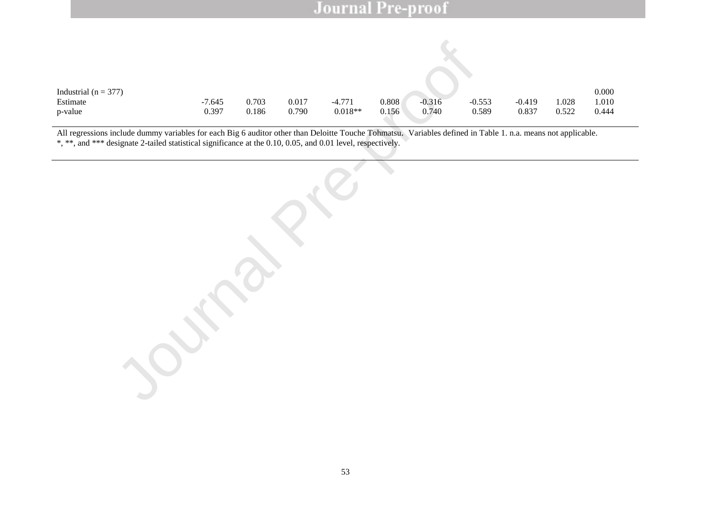| Industrial ( $n = 377$ ) |          |       |       |           |       |          |          |          |       | 0.000 |
|--------------------------|----------|-------|-------|-----------|-------|----------|----------|----------|-------|-------|
| Estimate                 | $-7.645$ | 0.703 | 0.017 | $-4.771$  | 0.808 | $-0.316$ | $-0.553$ | $-0.419$ | 1.028 | 1.010 |
| p-value                  | 0.397    | 0.186 | 0.790 | $0.018**$ | 0.156 | 0.740    | 0.589    | 0.837    | 0.522 | 0.444 |

All regressions include dummy variables for each Big 6 auditor other than Deloitte Touche Tohmatsu. Variables defined in Table 1. n.a. means not applicable. \*, \*\*, and \*\*\* designate 2-tailed statistical significance at the 0.10, 0.05, and 0.01 level, respectively.

(7)<br>  $-7.645$  0.703 0.017  $-4.771$  0.808 0.316 0.54<br>
nelade dummy variables for each Big 6 auditor other than Deloite Touche Tollmatsa, Variables defined in 1<br>
signate 2-tailed statistical significance at the 0.10, 0.05,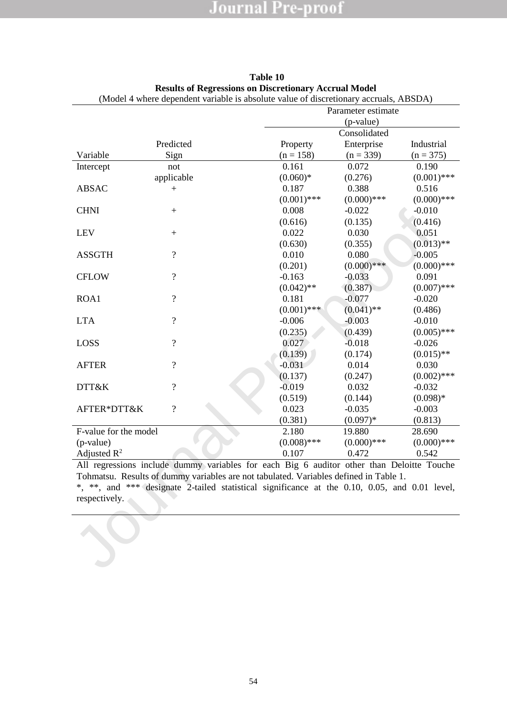|                       | $100001 + 001000$ dependent variable is absolute value of discretionally accruais, rabble $Y$ |               | Parameter estimate |               |
|-----------------------|-----------------------------------------------------------------------------------------------|---------------|--------------------|---------------|
|                       |                                                                                               |               | (p-value)          |               |
|                       |                                                                                               |               | Consolidated       |               |
|                       | Predicted                                                                                     | Property      | Enterprise         | Industrial    |
| Variable              | Sign                                                                                          | $(n = 158)$   | $(n = 339)$        | $(n = 375)$   |
| Intercept             | not                                                                                           | 0.161         | 0.072              | 0.190         |
|                       | applicable                                                                                    | $(0.060)*$    | (0.276)            | $(0.001)$ *** |
| <b>ABSAC</b>          |                                                                                               | 0.187         | 0.388              | 0.516         |
|                       | $^{+}$                                                                                        | $(0.001)$ *** | $(0.000)$ ***      | $(0.000)$ *** |
| <b>CHNI</b>           |                                                                                               | 0.008         | $-0.022$           | $-0.010$      |
|                       | $+$                                                                                           | (0.616)       |                    | (0.416)       |
|                       |                                                                                               |               | (0.135)            |               |
| LEV                   | $^{+}$                                                                                        | 0.022         | 0.030              | 0.051         |
|                       |                                                                                               | (0.630)       | (0.355)            | $(0.013)$ **  |
| <b>ASSGTH</b>         | $\overline{\mathcal{L}}$                                                                      | 0.010         | 0.080              | $-0.005$      |
|                       |                                                                                               | (0.201)       | $(0.000)$ ***      | $(0.000)$ *** |
| <b>CFLOW</b>          | $\overline{?}$                                                                                | $-0.163$      | $-0.033$           | 0.091         |
|                       |                                                                                               | $(0.042)$ **  | (0.387)            | $(0.007)$ *** |
| ROA1                  | $\overline{?}$                                                                                | 0.181         | $-0.077$           | $-0.020$      |
|                       |                                                                                               | $(0.001)$ *** | $(0.041)$ **       | (0.486)       |
| <b>LTA</b>            | $\overline{\mathcal{L}}$                                                                      | $-0.006$      | $-0.003$           | $-0.010$      |
|                       |                                                                                               | (0.235)       | (0.439)            | $(0.005)$ *** |
| LOSS                  | $\overline{?}$                                                                                | 0.027         | $-0.018$           | $-0.026$      |
|                       |                                                                                               | (0.139)       | (0.174)            | $(0.015)$ **  |
| <b>AFTER</b>          | $\gamma$                                                                                      | $-0.031$      | 0.014              | 0.030         |
|                       |                                                                                               | (0.137)       | (0.247)            | $(0.002)$ *** |
| DTT&K                 | $\overline{\mathcal{L}}$                                                                      | $-0.019$      | 0.032              | $-0.032$      |
|                       |                                                                                               | (0.519)       | (0.144)            | $(0.098)*$    |
| AFTER*DTT&K           | $\gamma$                                                                                      | 0.023         | $-0.035$           | $-0.003$      |
|                       |                                                                                               | (0.381)       | $(0.097)*$         | (0.813)       |
| F-value for the model |                                                                                               | 2.180         | 19.880             | 28.690        |
| (p-value)             |                                                                                               | $(0.008)$ *** | $(0.000)$ ***      | $(0.000)$ *** |
| Adjusted $R^2$        |                                                                                               | 0.107         | 0.472              | 0.542         |
|                       | All regressions include dummy variables for each Big 6 auditor other than Deloitte Touche     |               |                    |               |
|                       | Tohmatsu. Results of dummy variables are not tabulated. Variables defined in Table 1.         |               |                    |               |
|                       | *, **, and *** designate 2-tailed statistical significance at the 0.10, 0.05, and 0.01 level, |               |                    |               |
| respectively.         |                                                                                               |               |                    |               |
|                       |                                                                                               |               |                    |               |
|                       |                                                                                               |               |                    |               |
|                       |                                                                                               |               |                    |               |
|                       |                                                                                               |               |                    |               |
|                       |                                                                                               |               |                    |               |
|                       |                                                                                               |               |                    |               |
|                       |                                                                                               |               |                    |               |

| Table 10                                                     |  |
|--------------------------------------------------------------|--|
| <b>Results of Regressions on Discretionary Accrual Model</b> |  |
|                                                              |  |

(Model 4 where dependent variable is absolute value of discretionary accruals, ABSDA)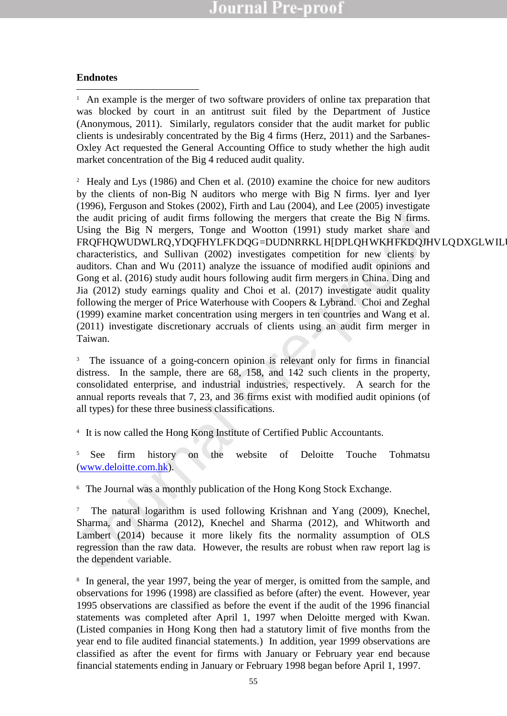### **Endnotes**

-<sup>1</sup> An example is the merger of two software providers of online tax preparation that was blocked by court in an antitrust suit filed by the Department of Justice (Anonymous, 2011). Similarly, regulators consider that the audit market for public clients is undesirably concentrated by the Big 4 firms (Herz, 2011) and the Sarbanes-Oxley Act requested the General Accounting Office to study whether the high audit market concentration of the Big 4 reduced audit quality.

(1790), rangasan disotatory and Youth and Zative (1800-7), and EV (1800-7) and White the Big N firms.<br>
Hold pricing of addit firms following the mergers that create the Big N firms.<br>
Using the Big N mergers, Tonge and Woo <sup>2</sup> Healy and Lys (1986) and Chen et al. (2010) examine the choice for new auditors by the clients of non-Big N auditors who merge with Big N firms. Iyer and Iyer (1996), Ferguson and Stokes (2002), Firth and Lau (2004), and Lee (2005) investigate the audit pricing of audit firms following the mergers that create the Big N firms. Using the Big N mergers, Tonge and Wootton (1991) study market share and FRQFHQWUDWLRQ,YDQFHYLFKDQG=DUDNRRKL HDPLQHWKHFKDQJHVLQDXGLWILU characteristics, and Sullivan (2002) investigates competition for new clients by auditors. Chan and Wu (2011) analyze the issuance of modified audit opinions and Gong et al. (2016) study audit hours following audit firm mergers in China. Ding and Jia (2012) study earnings quality and Choi et al. (2017) investigate audit quality following the merger of Price Waterhouse with Coopers & Lybrand. Choi and Zeghal (1999) examine market concentration using mergers in ten countries and Wang et al. (2011) investigate discretionary accruals of clients using an audit firm merger in Taiwan.

<sup>3</sup> The issuance of a going-concern opinion is relevant only for firms in financial distress. In the sample, there are 68, 158, and 142 such clients in the property, consolidated enterprise, and industrial industries, respectively. A search for the annual reports reveals that 7, 23, and 36 firms exist with modified audit opinions (of all types) for these three business classifications.

4 It is now called the Hong Kong Institute of Certified Public Accountants.

<sup>5</sup> See firm history on the website of Deloitte Touche Tohmatsu (www.deloitte.com.hk).

6 The Journal was a monthly publication of the Hong Kong Stock Exchange.

7 The natural logarithm is used following Krishnan and Yang (2009), Knechel, Sharma, and Sharma (2012), Knechel and Sharma (2012), and Whitworth and Lambert (2014) because it more likely fits the normality assumption of OLS regression than the raw data. However, the results are robust when raw report lag is the dependent variable.

<sup>8</sup> In general, the year 1997, being the year of merger, is omitted from the sample, and observations for 1996 (1998) are classified as before (after) the event. However, year 1995 observations are classified as before the event if the audit of the 1996 financial statements was completed after April 1, 1997 when Deloitte merged with Kwan. (Listed companies in Hong Kong then had a statutory limit of five months from the year end to file audited financial statements.) In addition, year 1999 observations are classified as after the event for firms with January or February year end because financial statements ending in January or February 1998 began before April 1, 1997.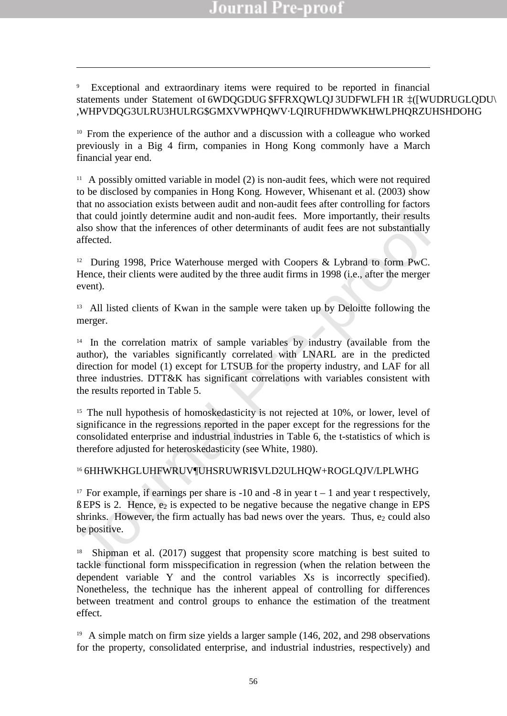9 Exceptional and extraordinary items were required to be reported in financial statements under Statement oI 6WDOGDUG FFRXOWLOJ 3UDFWLFH 1R PWUDRUGLODU ,WHPVDQG3ULRU3HULRG\$MXVWPHQWVLQIRUFHDWWKHWLPHQRZUHSHDOHG

<sup>10</sup> From the experience of the author and a discussion with a colleague who worked previously in a Big 4 firm, companies in Hong Kong commonly have a March financial year end.

-

<sup>11</sup> A possibly omitted variable in model (2) is non-audit fees, which were not required to be disclosed by companies in Hong Kong. However, Whisenant et al. (2003) show that no association exists between audit and non-audit fees after controlling for factors that could jointly determine audit and non-audit fees. More importantly, their results also show that the inferences of other determinants of audit fees are not substantially affected.

<sup>12</sup> During 1998, Price Waterhouse merged with Coopers & Lybrand to form PwC. Hence, their clients were audited by the three audit firms in 1998 (i.e., after the merger event).

<sup>13</sup> All listed clients of Kwan in the sample were taken up by Deloitte following the merger.

that could jointly determine audit and non-audit fees. More importantly, their results<br>also show that the inferences of other determinants of audit fees are not substantially<br>affected.<br>  $\therefore$  During 1998, Price Waterhouse <sup>14</sup> In the correlation matrix of sample variables by industry (available from the author), the variables significantly correlated with LNARL are in the predicted direction for model (1) except for LTSUB for the property industry, and LAF for all three industries. DTT&K has significant correlations with variables consistent with the results reported in Table 5.

<sup>15</sup> The null hypothesis of homoskedasticity is not rejected at 10%, or lower, level of significance in the regressions reported in the paper except for the regressions for the consolidated enterprise and industrial industries in Table 6, the t-statistics of which is therefore adjusted for heteroskedasticity (see White, 1980).

### 16 6HHWKHGLUHFWRUVUHSRUWRI\$/LD2ULHQW+ROGLQJV/LPLWHG

<sup>17</sup> For example, if earnings per share is -10 and -8 in year  $t \pm 1$  and year t respectively,  $\hat{u}$  EPS is 2. Hence, e<sub>2</sub> is expected to be negative because the negative change in EPS shrinks. However, the firm actually has bad news over the years. Thus,  $e_2$  could also be positive.

18 Shipman et al. (2017) suggest that propensity score matching is best suited to tackle functional form misspecification in regression (when the relation between the dependent variable Y and the control variables Xs is incorrectly specified). Nonetheless, the technique has the inherent appeal of controlling for differences between treatment and control groups to enhance the estimation of the treatment effect.

<sup>19</sup> A simple match on firm size yields a larger sample (146, 202, and 298 observations for the property, consolidated enterprise, and industrial industries, respectively) and